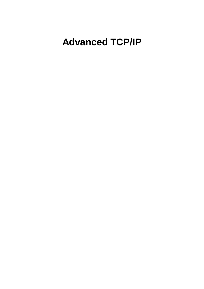## **Advanced TCP/IP**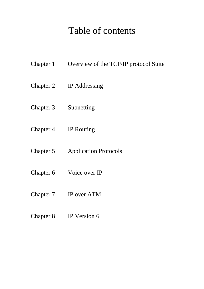## Table of contents

- Chapter 1 Overview of the TCP/IP protocol Suite
- Chapter 2 IP Addressing
- Chapter 3 Subnetting
- Chapter 4 IP Routing
- Chapter 5 Application Protocols
- Chapter 6 Voice over IP
- Chapter 7 IP over ATM
- Chapter 8 IP Version 6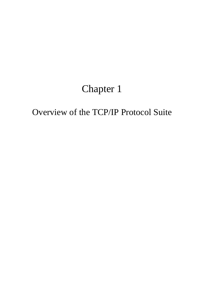## Chapter 1

## Overview of the TCP/IP Protocol Suite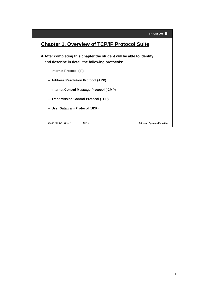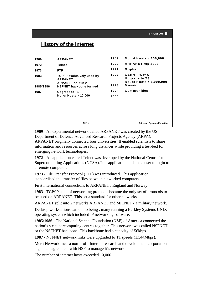## **History of the Internet**

|           | Rev. B                                                                       |      | <b>Ericsson Systems Expertise</b>  |
|-----------|------------------------------------------------------------------------------|------|------------------------------------|
|           |                                                                              |      |                                    |
|           | No. of Hosts > 10,000                                                        | 2000 |                                    |
| 1987      | Upgrade to T1                                                                | 1994 | <b>Communities</b>                 |
| 1985/1986 | <b>ARPANET</b><br><b>ARPANET split in 2</b><br><b>NSFNET backbone formed</b> | 1993 | No. of Hosts > 1,000,000<br>Mosaic |
| 1983      | <b>TCP/IP exclusively used by</b>                                            | 1992 | CERN – WWW<br>Upgrade to T3        |
| 1973      | <b>FTP</b>                                                                   | 1991 | Gopher                             |
| 1972      | <b>Telnet</b>                                                                | 1990 | <b>ARPANET</b> replaced            |
| 1969      | <b>ARPANET</b>                                                               | 1989 | No. of Hosts > 100,000             |
|           |                                                                              |      |                                    |

**1969** - An experimental network called ARPANET was created by the US Department of Defence Advanced Research Projects Agency (ARPA). ARPANET originally connected four universities. It enabled scientists to share information and resources across long distances while providing a test-bed for emerging network technologies.

**1972** - An application called Telnet was developed by the National Centre for Supercomputing Applications (NCSA).This application enabled a user to login to a remote computer.

**1973** - File Transfer Protocol (FTP) was introduced. This application standardised the transfer of files between networked computers.

First international connections to ARPANET : England and Norway.

**1983** - TCP/IP suite of networking protocols became the only set of protocols to be used on ARPANET. This set a standard for other networks.

ARPANET split into 2 networks ARPANET and MILNET - a military network.

Desktop workstations came into being , many running a Berkley Systems UNIX operating system which included IP networking software.

**1985/1986 -** The National Science Foundation (NSF) of America connected the nation's six supercomputing centres together. This network was called NSFNET or the NSFNET backbone. This backbone had a capacity of 56kbps.

**1987** - NSFNET network links were upgraded to T1 speeds (1.544Mbps).

Merit Network Inc.- a non-profit Internet research and development corporation signed an agreement with NSF to manage it's network.

The number of internet hosts exceeded 10,000.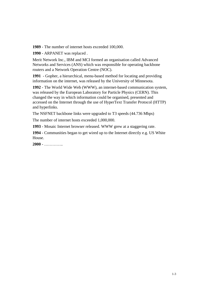**1989** - The number of internet hosts exceeded 100,000.

**1990** - ARPANET was replaced .

Merit Network Inc., IBM and MCI formed an organisation called Advanced Networks and Services (ANS) which was responsible for operating backbone routers and a Network Operation Centre (NOC).

**1991** - Gopher, a hierarchical, menu-based method for locating and providing information on the internet, was released by the University of Minnesota.

**1992** - The World Wide Web (WWW), an internet-based communication system, was released by the European Laboratory for Particle Physics (CERN). This changed the way in which information could be organised, presented and accessed on the Internet through the use of HyperText Transfer Protocol (HTTP) and hyperlinks.

The NSFNET backbone links were upgraded to T3 speeds (44.736 Mbps)

The number of internet hosts exceeded 1,000,000.

**1993** - Mosaic Internet browser released. WWW grew at a staggering rate.

**1994** - Communities began to get wired up to the Internet directly e.g. US White House.

**2000** - …………..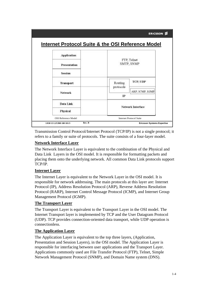|                                                              | <b>ERICSSON ≶</b>              |  |
|--------------------------------------------------------------|--------------------------------|--|
| <b>Internet Protocol Suite &amp; the OSI Reference Model</b> |                                |  |
|                                                              | FTP, Telnet<br>SMTP, SNMP      |  |
|                                                              |                                |  |
|                                                              |                                |  |
| Routing                                                      | TCP, UDP                       |  |
|                                                              | ARP, ICMP, IGMP                |  |
|                                                              |                                |  |
|                                                              | Network Interface              |  |
|                                                              |                                |  |
|                                                              | <b>Internet Protocol Suite</b> |  |
|                                                              | protocols<br>IP                |  |

Transmission Control Protocol/Internet Protocol (TCP/IP) is not a single protocol; it refers to a family or suite of protocols. The suite consists of a four-layer model.

## **Network Interface Layer**

The Network Interface Layer is equivalent to the combination of the Physical and Data Link Layers in the OSI model. It is responsible for formatting packets and placing them onto the underlying network. All common Data Link protocols support TCP/IP.

## **Internet Layer**

The Internet Layer is equivalent to the Network Layer in the OSI model. It is responsible for network addressing. The main protocols at this layer are: Internet Protocol (IP), Address Resolution Protocol (ARP), Reverse Address Resolution Protocol (RARP), Internet Control Message Protocol (ICMP), and Internet Group Management Protocol (IGMP).

## **The Transport Layer**

The Transport Layer is equivalent to the Transport Layer in the OSI model. The Internet Transport layer is implemented by TCP and the User Datagram Protocol (UDP). TCP provides connection-oriented data transport, while UDP operation is connectionless.

## **The Application Layer**

The Application Layer is equivalent to the top three layers, (Application, Presentation and Session Layers), in the OSI model. The Application Layer is responsible for interfacing between user applications and the Transport Layer. Applications commonly used are File Transfer Protocol (FTP), Telnet, Simple Network Management Protocol (SNMP), and Domain Name system (DNS).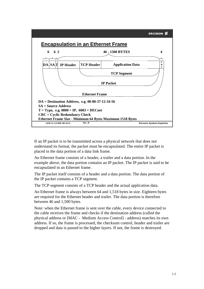

If an IP packet is to be transmitted across a physical network that does not understand its format, the packet must be encapsulated. The entire IP packet is placed in the data portion of a data link frame.

An Ethernet frame consists of a header, a trailer and a data portion. In the example above, the data portion contains an IP packet. The IP packet is said to be encapsulated in an Ethernet frame.

The IP packet itself consists of a header and a data portion. The data portion of the IP packet contains a TCP segment.

The TCP segment consists of a TCP header and the actual application data.

An Ethernet frame is always between 64 and 1,518 bytes in size. Eighteen bytes are required for the Ethernet header and trailer. The data portion is therefore between 46 and 1,500 bytes.

Note: when the Ethernet frame is sent over the cable, every device connected to the cable receives the frame and checks if the destination address (called the physical address or [MAC - Medium Access Control] - address) matches its own address. If so, the frame is processed, the checksum control, header and trailer are dropped and data is passed to the higher layers. If not, the frame is destroyed.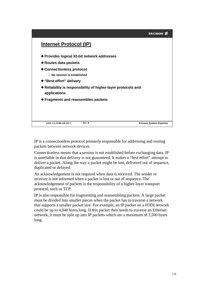|                                                                               | <b>ERICSSON</b>                   |
|-------------------------------------------------------------------------------|-----------------------------------|
| Internet Protocol (IP)                                                        |                                   |
| ● Provides logical 32-bit network addresses                                   |                                   |
| ● Routes data packets                                                         |                                   |
| ● Connectionless protocol                                                     |                                   |
| - No session is established                                                   |                                   |
| ● "Best effort" delivery                                                      |                                   |
| • Reliability is responsibility of higher-layer protocols and<br>applications |                                   |
| • Fragments and reassembles packets                                           |                                   |
|                                                                               |                                   |
| Rev. B<br>1/038 13 LZUBB 108 101/5                                            | <b>Ericsson Systems Expertise</b> |

IP is a connectionless protocol primarily responsible for addressing and routing packets between network devices.

Connectionless means that a session is not established before exchanging data. IP is unreliable in that delivery is not guaranteed. It makes a "best effort" attempt to deliver a packet. Along the way a packet might be lost, delivered out of sequence, duplicated or delayed.

An acknowledgement is not required when data is received. The sender or receiver is not informed when a packet is lost or out of sequence. The acknowledgement of packets is the responsibility of a higher-layer transport protocol, such as TCP.

IP is also responsible for fragmenting and reassembling packets. A large packet must be divided into smaller pieces when the packet has to traverse a network that supports a smaller packet size. For example, an IP packet on a FDDI network could be up to 4,040 bytes long. If this packet then needs to traverse an Ethernet network, it must be split up into IP packets which are a maximum of 1,500 bytes long.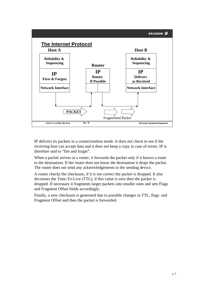

IP delivers its packets in a connectionless mode. It does not check to see if the receiving host can accept data and it does not keep a copy in case of errors. IP is therefore said to "fire and forget".

When a packet arrives at a router, it forwards the packet only if it knows a route to the destination. If the router does not know the destination it drops the packet. The router does not send any acknowledgements to the sending device.

A router checks the checksum, if it is not correct the packet is dropped. It also decreases the Time-To-Live (TTL), if this value is zero then the packet is dropped. If necessary it fragments larger packets into smaller ones and sets Flags and Fragment Offset fields accordingly.

Finally, a new checksum is generated due to possible changes in TTL, flags and Fragment Offset and then the packet is forwarded.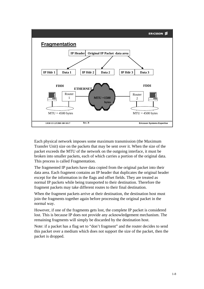

Each physical network imposes some maximum transmission (the Maximum Transfer Unit) size on the packets that may be sent over it. When the size of the packet exceeds the MTU of the network on the outgoing interface, it must be broken into smaller packets, each of which carries a portion of the original data. This process is called Fragmentation.

The fragmented IP packets have data copied from the original packet into their data area. Each fragment contains an IP header that duplicates the original header except for the information in the flags and offset fields. They are treated as normal IP packets while being transported to their destination. Therefore the fragment packets may take different routes to their final destination.

When the fragment packets arrive at their destination, the destination host must join the fragments together again before processing the original packet in the normal way.

However, if one of the fragments gets lost, the complete IP packet is considered lost. This is because IP does not provide any acknowledgement mechanism. The remaining fragments will simply be discarded by the destination host.

Note: if a packet has a flag set to "don't fragment" and the router decides to send this packet over a medium which does not support the size of the packet, then the packet is dropped.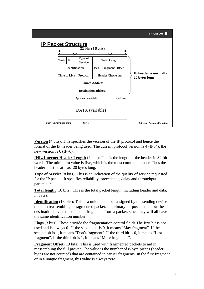

**Version** (4 bits): This specifies the version of the IP protocol and hence the format of the IP header being used. The current protocol version is 4 (IPv4); the new version is 6 (IPv6).

**IHL, Internet Header Length** (4 bits): This is the length of the header in 32-bit words. The minimum value is five, which is the most common header. Thus the header must be at least 20 bytes long.

**Type of Service** (8 bits): This is an indication of the quality of service requested for the IP packet. It specifies reliability, precedence, delay and throughput parameters.

**Total length** (16 bits): This is the total packet length, including header and data, in bytes.

**Identification** (16 bits): This is a unique number assigned by the sending device to aid in reassembling a fragmented packet. Its primary purpose is to allow the destination device to collect all fragments from a packet, since they will all have the same identification number.

**Flags** (3 bits): These provide the fragmentation control fields.The first bit is not used and is always 0. If the second bit is 0, it means "May fragment". If the second bit is 1, it means "Don't fragment". If the third bit is 0, it means "Last fragment". If the third bit is 1, it means "More fragments".

**Fragment Offset** (13 bits): This is used with fragmented packets to aid in reassembling the full packet. The value is the number of 8-byte pieces (header bytes are not counted) that are contained in earlier fragments. In the first fragment or in a unique fragment, this value is always zero.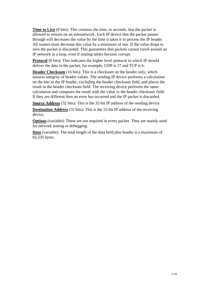**Time to Live** (8 bits): This contains the time, in seconds, that the packet is allowed to remain on an internetwork. Each IP device that the packet passes through will decreases the value by the time it takes it to process the IP header. All routers must decrease this value by a minimum of one. If the value drops to zero the packet is discarded. This guarantees that packets cannot travel around an IP network in a loop, even if routing tables become corrupt.

**Protocol** (8 bits): This indicates the higher level protocol to which IP should deliver the data in the packet, for example, UDP is 17 and TCP is 6.

**Header Checksum** (16 bits): This is a checksum on the header only, which ensures integrity of header values. The sending IP device performs a calculation on the bits in the IP header, excluding the header checksum field, and places the result in the header checksum field. The receiving device performs the same calculation and compares the result with the value in the header checksum field. If they are different then an error has occurred and the IP packet is discarded.

**Source Address** (32 bits): This is the 32-bit IP address of the sending device.

**Destination Address** (32 bits): This is the 32-bit IP address of the receiving device.

**Options** (variable): These are not required in every packet. They are mainly used for network testing or debugging.

**Data** (variable): The total length of the data field plus header is a maximum of 65,535 bytes.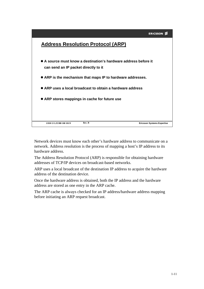

Network devices must know each other's hardware address to communicate on a network. Address resolution is the process of mapping a host's IP address to its hardware address.

The Address Resolution Protocol (ARP) is responsible for obtaining hardware addresses of TCP/IP devices on broadcast-based networks.

ARP uses a local broadcast of the destination IP address to acquire the hardware address of the destination device.

Once the hardware address is obtained, both the IP address and the hardware address are stored as one entry in the ARP cache.

The ARP cache is always checked for an IP address/hardware address mapping before initiating an ARP request broadcast.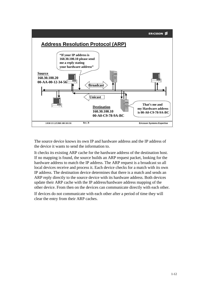

The source device knows its own IP and hardware address and the IP address of the device it wants to send the information to.

It checks its existing ARP cache for the hardware address of the destination host. If no mapping is found, the source builds an ARP request packet, looking for the hardware address to match the IP address. The ARP request is a broadcast so all local devices receive and process it. Each device checks for a match with its own IP address. The destination device determines that there is a match and sends an ARP reply directly to the source device with its hardware address. Both devices update their ARP cache with the IP address/hardware address mapping of the other device. From then on the devices can communicate directly with each other.

If devices do not communicate with each other after a period of time they will clear the entry from their ARP caches.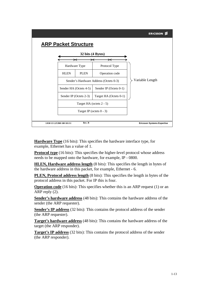

**Hardware Type** (16 bits): This specifies the hardware interface type, for example, Ethernet has a value of 1.

**Protocol type** (16 bits): This specifies the higher-level protocol whose address needs to be mapped onto the hardware, for example, IP - 0800.

**HLEN, Hardware address length** (8 bits): This specifies the length in bytes of the hardware address in this packet, for example, Ethernet - 6.

**PLEN, Protocol address length** (8 bits): This specifies the length in bytes of the protocol address in this packet. For IP this is four.

**Operation code** (16 bits): This specifies whether this is an ARP request (1) or an ARP reply (2).

**Sender's hardware address** (48 bits): This contains the hardware address of the sender (the ARP requester).

**Sender's IP address** (32 bits): This contains the protocol address of the sender (the ARP requester).

**Target's hardware address** (48 bits): This contains the hardware address of the target (the ARP responder).

**Target's IP address** (32 bits): This contains the protocol address of the sender (the ARP responder).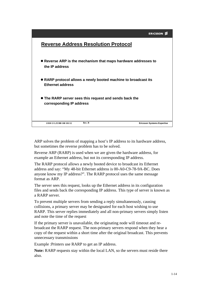

ARP solves the problem of mapping a host's IP address to its hardware address, but sometimes the reverse problem has to be solved.

Reverse ARP (RARP) is used when we are given the hardware address, for example an Ethernet address, but not its corresponding IP address.

The RARP protocol allows a newly booted device to broadcast its Ethernet address and say: "My 48-bit Ethernet address is 00-A0-C9-78-9A-BC. Does anyone know my IP address?". The RARP protocol uses the same message format as ARP.

The server sees this request, looks up the Ethernet address in its configuration files and sends back the corresponding IP address. This type of server is known as a RARP server.

To prevent multiple servers from sending a reply simultaneously, causing collisions, a primary server may be designated for each host wishing to use RARP. This server replies immediately and all non-primary servers simply listen and note the time of the request

If the primary server is unavailable, the originating node will timeout and rebroadcast the RARP request. The non-primary servers respond when they hear a copy of the request within a short time after the original broadcast. This prevents unnecessary transmissions

Example :Printers use RARP to get an IP address.

**Note:** RARP requests stay within the local LAN, so the servers must reside there also.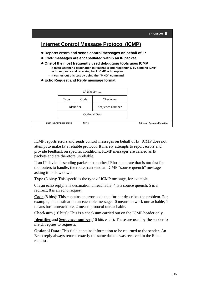

ICMP reports errors and sends control messages on behalf of IP. ICMP does not attempt to make IP a reliable protocol. It merely attempts to report errors and provide feedback on specific conditions. ICMP messages are carried as IP packets and are therefore unreliable.

If an IP device is sending packets to another IP host at a rate that is too fast for the routers to handle, the router can send an ICMP "source quench" message asking it to slow down.

**Type** (8 bits): This specifies the type of ICMP message, for example,

0 is an echo reply, 3 is destination unreachable, 4 is a source quench, 5 is a redirect, 8 is an echo request.

**Code** (8 bits): This contains an error code that further describes the problem. For example, in a destination unreachable message: 0 means network unreachable, 1 means host unreachable, 2 means protocol unreachable.

**Checksum** (16 bits): This is a checksum carried out on the ICMP header only.

**Identifier** and **Sequence number** (16 bits each): These are used by the sender to match replies to requests.

**Optional Data:** This field contains information to be returned to the sender. An Echo reply always returns exactly the same data as was received in the Echo request.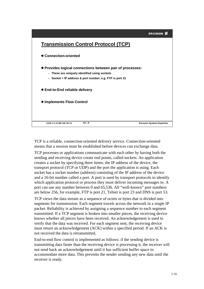

TCP is a reliable, connection-oriented delivery service. Connection-oriented means that a session must be established before devices can exchange data.

TCP processes or applications communicate with each other by having both the sending and receiving device create end points, called sockets. An application creates a socket by specifying three items: the IP address of the device, the transport protocol (TCP or UDP) and the port the application is using. Each socket has a socket number (address) consisting of the IP address of the device and a 16-bit number called a port. A port is used by transport protocols to identify which application protocol or process they must deliver incoming messages to. A port can use any number between 0 and 65,536. All "well-known" port numbers are below 256, for example, FTP is port 21, Telnet is port 23 and DNS is port 53.

TCP views the data stream as a sequence of octets or bytes that is divided into segments for transmission. Each segment travels across the network in a single IP packet. Reliability is achieved by assigning a sequence number to each segment transmitted. If a TCP segment is broken into smaller pieces, the receiving device knows whether all pieces have been received. An acknowledgement is used to verify that the data was received. For each segment sent, the receiving device must return an acknowledgement (ACK) within a specified period. If an ACK is not received the data is retransmitted.

End-to-end flow control is implemented as follows: if the sending device is transmitting data faster than the receiving device is processing it, the receiver will not send back an acknowledgement until it has sufficient buffer space to accommodate more data. This prevents the sender sending any new data until the receiver is ready.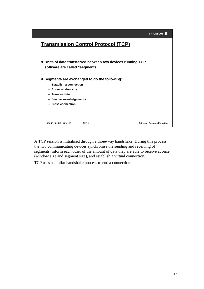|                                                                                                                                                                        | <b>ERICSSON ≶</b>                 |
|------------------------------------------------------------------------------------------------------------------------------------------------------------------------|-----------------------------------|
| <b>Transmission Control Protocol (TCP)</b>                                                                                                                             |                                   |
| • Units of data transferred between two devices running TCP<br>software are called "segments"                                                                          |                                   |
| • Segments are exchanged to do the following:<br>$-$ Establish a connection<br>- Agree window size<br>- Transfer data<br>- Send acknowledgements<br>- Close connection |                                   |
| Rev. B<br>1/038 13 LZUBB 108 101/15                                                                                                                                    | <b>Ericsson Systems Expertise</b> |

A TCP session is initialised through a three-way handshake. During this process the two communicating devices synchronise the sending and receiving of segments, inform each other of the amount of data they are able to receive at once (window size and segment size), and establish a virtual connection.

TCP uses a similar handshake process to end a connection.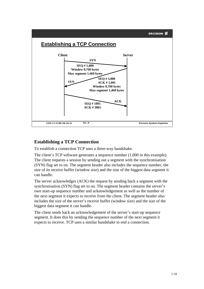

## **Establishing a TCP Connection**

To establish a connection TCP uses a three-way handshake.

The client's TCP software generates a sequence number (1,000 in this example). The client requests a session by sending out a segment with the synchronisation (SYN) flag set to on. The segment header also includes the sequence number, the size of its receive buffer (window size) and the size of the biggest data segment it can handle.

The server acknowledges (ACK) the request by sending back a segment with the synchronisation (SYN) flag set to on. The segment header contains the server's own start-up sequence number and acknowledgement as well as the number of the next segment it expects to receive from the client. The segment header also includes the size of the server's receive buffer (window size) and the size of the biggest data segment it can handle.

The client sends back an acknowledgement of the server's start-up sequence segment. It does this by sending the sequence number of the next segment it expects to receive. TCP uses a similar handshake to end a connection.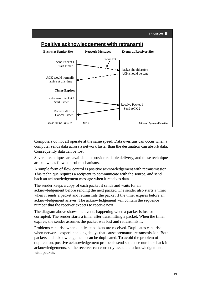

Computers do not all operate at the same speed. Data overruns can occur when a computer sends data across a network faster than the destination can absorb data. Consequently data can be lost.

Several techniques are available to provide reliable delivery, and these techniques are known as flow control mechanisms.

A simple form of flow control is positive acknowledgement with retransmission. This technique requires a recipient to communicate with the source, and send back an acknowledgement message when it receives data.

The sender keeps a copy of each packet it sends and waits for an acknowledgement before sending the next packet. The sender also starts a timer when it sends a packet and retransmits the packet if the timer expires before an acknowledgement arrives. The acknowledgement will contain the sequence number that the receiver expects to receive next.

The diagram above shows the events happening when a packet is lost or corrupted. The sender starts a timer after transmitting a packet. When the timer expires, the sender assumes the packet was lost and retransmits it.

Problems can arise when duplicate packets are received. Duplicates can arise when networks experience long delays that cause premature retransmission. Both packets and acknowledgements can be duplicated. To avoid the problem of duplication, positive acknowledgement protocols send sequence numbers back in acknowledgements, so the receiver can correctly associate acknowledgements with packets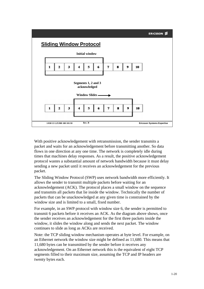

With positive acknowledgement with retransmission, the sender transmits a packet and waits for an acknowledgement before transmitting another. So data flows in one direction at any one time. The network is completely idle during times that machines delay responses. As a result, the positive acknowledgement protocol wastes a substantial amount of network bandwidth because it must delay sending a new packet until it receives an acknowledgement for the previous packet.

The Sliding Window Protocol (SWP) uses network bandwidth more efficiently. It allows the sender to transmit multiple packets before waiting for an acknowledgement (ACK). The protocol places a small window on the sequence and transmits all packets that lie inside the window. Technically the number of packets that can be unacknowledged at any given time is constrained by the window size and is limited to a small, fixed number.

For example, in an SWP protocol with window size 6, the sender is permitted to transmit 6 packets before it receives an ACK. As the diagram above shows, once the sender receives an acknowledgement for the first three packets inside the window, it slides the window along and sends the next packet. The window continues to slide as long as ACKs are received.

Note: the TCP sliding window mechanism operates at byte level. For example, on an Ethernet network the window size might be defined as 11,680. This means that 11,680 bytes can be transmitted by the sender before it receives any acknowledgement. On an Ethernet network this is the equivalent of eight TCP segments filled to their maximum size, assuming the TCP and IP headers are twenty bytes each.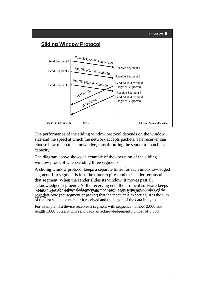



The performance of the sliding window protocol depends on the window size and the speed at which the network accepts packets. The receiver can choose how much to acknowledge, thus throttling the sender to match its capacity.

The diagram above shows an example of the operation of the sliding window protocol when sending three segments.

 $\Delta$ P $t$ n and  $\overline{g}$ GPs the action, valedes men by and material action is the sequence mumber of the next data byte (not segment or packet) that the receiver is expecting. It is the sum of the last sequence number it received and the length of the data in bytes. A sliding window protocol keeps a separate timer for each unacknowledged segment. If a segment is lost, the timer expires and the sender retransmits that segment. When the sender slides its window, it moves past all acknowledged segments. At the receiving end, the protocol software keeps

For example, if a device receives a segment with sequence number 2,000 and length 1,000 bytes, it will send back an acknowledgement number of 3,000.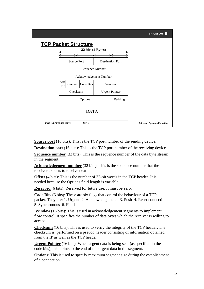

**Source port** (16 bits): This is the TCP port number of the sending device.

**Destination port** (16 bits): This is the TCP port number of the receiving device.

**Sequence number** (32 bits): This is the sequence number of the data byte stream in the segment.

**Acknowledgement number** (32 bits): This is the sequence number that the receiver expects to receive next.

**Offset** (4 bits): This is the number of 32-bit words in the TCP header. It is needed because the Options field length is variable.

**Reserved** (6 bits): Reserved for future use. It must be zero.

**Code Bits** (6 bits): These are six flags that control the behaviour of a TCP packet. They are: 1. Urgent 2. Acknowledgement 3. Push 4. Reset connection 5. Synchronous 6. Finish.

**Window** (16 bits): This is used in acknowledgement segments to implement flow control. It specifies the number of data bytes which the receiver is willing to accept.

**Checksum** (16 bits): This is used to verify the integrity of the TCP header. The checksum is performed on a pseudo header consisting of information obtained from the IP as well as the TCP header

**Urgent Pointer** (16 bits): When urgent data is being sent (as specified in the code bits), this points to the end of the urgent data in the segment.

**Options**: This is used to specify maximum segment size during the establishment of a connection.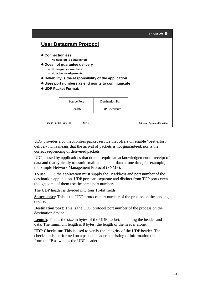|                           |                               |                                                        | <b>ERICSSON</b>                   |
|---------------------------|-------------------------------|--------------------------------------------------------|-----------------------------------|
|                           | <b>User Datagram Protocol</b> |                                                        |                                   |
| ● Connectionless          |                               |                                                        |                                   |
|                           | - No session is established   |                                                        |                                   |
|                           | • Does not guarantee delivery |                                                        |                                   |
|                           | - No sequence numbers         |                                                        |                                   |
|                           | - No acknowledgements         |                                                        |                                   |
|                           |                               | • Reliability is the responsibility of the application |                                   |
|                           |                               | • Uses port numbers as end points to communicate       |                                   |
|                           | <b>UDP Packet Format:</b>     |                                                        |                                   |
|                           |                               |                                                        |                                   |
|                           | <b>Source Port</b>            | <b>Destination Port</b>                                |                                   |
|                           | Length                        | <b>UDP</b> Checksum                                    |                                   |
|                           |                               |                                                        |                                   |
| 1/038 13 LZUBB 108 101/22 | Rev. B                        |                                                        | <b>Ericsson Systems Expertise</b> |

UDP provides a connectionless packet service that offers unreliable "best effort" delivery. This means that the arrival of packets is not guaranteed, nor is the correct sequencing of delivered packets.

UDP is used by applications that do not require an acknowledgement of receipt of data and that typically transmit small amounts of data at one time, for example, the Simple Network Management Protocol (SNMP).

To use UDP, the application must supply the IP address and port number of the destination application. UDP ports are separate and distinct from TCP ports even though some of them use the same port numbers.

The UDP header is divided into four 16-bit fields:

**Source port**: This is the UDP protocol port number of the process on the sending device.

**Destination port**: This is the UDP protocol port number of the process on the destination device.

**Length**: This is the size in bytes of the UDP packet, including the header and data. The minimum length is 8 bytes, the length of the header alone.

**UDP Checksum**: This is used to verify the integrity of the UDP header. The checksum is performed on a pseudo header consisting of information obtained from the IP as well as the UDP header.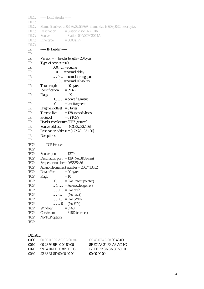```
DLC: ----- DLC Header -----
DLC:
DLC: Frame 5 arrived at 03:36:02.55769 ; frame size is 60 (003C hex) bytes
DLC: Destination = Station cisco 07AC0A
DLC: Source = Station 00A0C943074A
DLC: Ethertype = 0800 (IP)
DLC:
IP: ----- IP Header -----
IP:
IP: Version = 4, header length = 20 bytes
IP: Type of service = 00IP: 000 \dots = routine
IP: \ldots 0 \ldots = normal delay
IP: \dots 0 \dots = normal throughput
IP: …. .0.. = normal reliability
IP: Total length = 40 bytes<br>IP: Identification = 39327Identification
IP: Flags =4XIP: .1... = don't fragment<br>IP: .0... = last fragment.0 \ldots = last fragment
IP: Fragment offset = 0 bytes
IP: Time to live = 128 seconds/hops
IP: Protocol =6 (TCP)
IP: Header checksum= 8FE7 (correct)
IP: Source address = [163.33.232.166]
IP: Destination address = [172.28.153.100]
IP: No options
IP:
TCP: ---- TCP Header -----
TCP:<br>TCP:
       Source port = 1279TCP: Destination port = 139 (NetBIOS-ssn)
TCP: Sequence number= 265535486
TCP: Acknowledgement number = 2067413552
TCP: Data offset = 20 bytes
TCP: Flags = 10TCP: ... = (No urgent pointer)TCP: ... 1 ... = Acknowledgement
TCP: \ldots 0 \ldots = (N_0 \text{ push})TCP: \ldots \ldots \ldots \ldots = (No reset)
TCP: ... \, .0. = (No SYN)TCP: \ldots \ldots \ldots \ldots \ldots \ldots \quad \text{(No FIN)}TCP: Window = 8760TCP: Checksum = 318D (correct)
TCP: No TCP options
TCP:
```
#### DETAIL:

| 0000 | $00000007$ AC 0A 00 AO  | C943074A08004500        |
|------|-------------------------|-------------------------|
| 0010 | (0.28999640008066)      | 8F E7 A3 21 F8 A6 AC 1C |
| 0020 | 99 64 04 FF 00 8B 0F D3 | BF FE 7B 3A 3A 30 50 10 |
| 0030 | 22 38 31 8D 00 00 00 00 | <u> 00.00.00.00</u>     |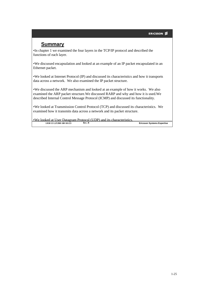## **Summary**

•In chapter 1 we examined the four layers in the TCP/IP protocol and described the functions of each layer.

•We discussed encapsulation and looked at an example of an IP packet encapsulated in an Ethernet packet.

•We looked at Internet Protocol (IP) and discussed its characteristics and how it transports data across a network. We also examined the IP packet structure.

•We discussed the ARP mechanism and looked at an example of how it works. We also examined the ARP packet structure.We discussed RARP and why and how it is used.We described Internal Control Message Protocol (ICMP) and discussed its functionality.

•We looked at Transmission Control Protocol (TCP) and discussed its characteristics. We examined how it transmits data across a network and its packet structure.

**Rev. B Ericsson Systems Expertise** •We looked at User Datagram Protocol (UDP) and its characteristics. **1/038 13 LZUBB 108 101/23**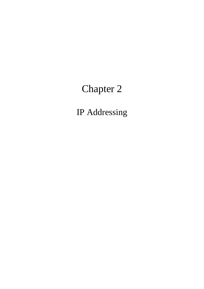# Chapter 2

IP Addressing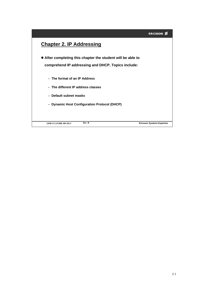#### ERICSSON<sup>2</sup>

## **Chapter 2. IP Addressing**

 **After completing this chapter the student will be able to comprehend IP addressing and DHCP. Topics include:**

- **The format of an IP Address**
- **The different IP address classes**
- **Default subnet masks**
- **Dynamic Host Configuration Protocol (DHCP)**

**2/038 13 LZUBB 108 101/1**

**Rev. B Ericsson Systems Expertise**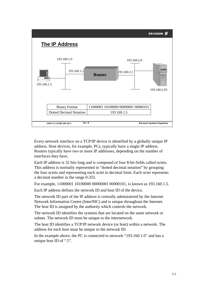

Every network interface on a TCP/IP device is identified by a globally unique IP address. Host devices, for example, PCs, typically have a single IP address. Routers typically have two or more IP addresses, depending on the number of interfaces they have.

Each IP address is 32 bits long and is composed of four 8-bit fields called octets. This address is normally represented in "dotted decimal notation" by grouping the four octets and representing each octet in decimal form. Each octet represents a decimal number in the range 0-255.

For example, 11000001 10100000 00000001 00000101, is known as 193.160.1.5.

Each IP address defines the network ID and host ID of the device.

The network ID part of the IP address is centrally administered by the Internet Network Information Centre (InterNIC) and is unique throughout the Internet. The host ID is assigned by the authority which controls the network.

The network ID identifies the systems that are located on the same network or subnet. The network ID must be unique to the internetwork.

The host ID identifies a TCP/IP network device (or host) within a network. The address for each host must be unique to the network ID.

In the example above, the PC is connected to network "193.160.1.0" and has a unique host ID of ".5".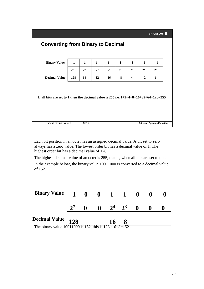## **Rev. B Ericsson Systems Expertise Converting from Binary to Decimal 1 1 11111 1**  $2^7$  |  $2^6$  |  $2^5$  |  $2^4$  |  $2^3$  |  $2^2$  |  $2^1$  |  $2^0$ **128 2 64 1 32 16 8 4 Binary Value Decimal Value If all bits are set to 1 then the decimal value is 255 i.e. 1+2+4+8+16+32+64+128=255 2/038 13 LZUBB 108 101/3**

Each bit position in an octet has an assigned decimal value. A bit set to zero always has a zero value. The lowest order bit has a decimal value of 1. The highest order bit has a decimal value of 128.

The highest decimal value of an octet is 255, that is, when all bits are set to one. In the example below, the binary value 10011000 is converted to a decimal value of 152.

| <b>Binary Value</b>             |              |            |   |                |                |  |  |
|---------------------------------|--------------|------------|---|----------------|----------------|--|--|
|                                 | $\mathbf{D}$ |            |   | 2 <sup>4</sup> | 2 <sup>3</sup> |  |  |
| <b>Decimal Value  </b><br>T1.11 | 128          | $\epsilon$ | . | 100.17.0       | 150            |  |  |

The binary value 10011000 is 152, this is 128+16+8=152 .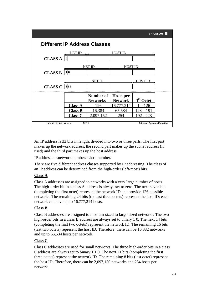

An IP address is 32 bits in length, divided into two or three parts. The first part makes up the network address, the second part makes up the subnet address (if used) and the third part makes up the host address.

IP address  $=$  <network number> <host number>

There are five different address classes supported by IP addressing. The class of an IP address can be determined from the high-order (left-most) bits.

## **Class A**

Class A addresses are assigned to networks with a very large number of hosts. The high-order bit in a class A address is always set to zero. The next seven bits (completing the first octet) represent the network ID and provide 126 possible networks. The remaining 24 bits (the last three octets) represent the host ID; each network can have up to 16,777,214 hosts.

## **Class B**

Class B addresses are assigned to medium-sized to large-sized networks. The two high-order bits in a class B address are always set to binary 1 0. The next 14 bits (completing the first two octets) represent the network ID. The remaining 16 bits (last two octets) represent the host ID. Therefore, there can be 16,382 networks and up to 65,534 hosts per network.

## **Class C**

Class C addresses are used for small networks. The three high-order bits in a class C address are always set to binary 1 1 0. The next 21 bits (completing the first three octets) represent the network ID. The remaining 8 bits (last octet) represent the host ID. Therefore, there can be 2,097,150 networks and 254 hosts per network.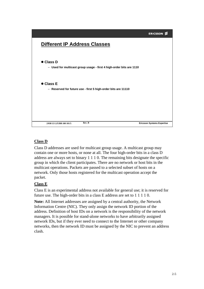

### **Class D**

Class D addresses are used for multicast group usage. A multicast group may contain one or more hosts, or none at all. The four high-order bits in a class D address are always set to binary 1 1 1 0. The remaining bits designate the specific group in which the client participates. There are no network or host bits in the multicast operations. Packets are passed to a selected subset of hosts on a network. Only those hosts registered for the multicast operation accept the packet.

#### **Class E**

Class E is an experimental address not available for general use; it is reserved for future use. The high-order bits in a class E address are set to 1 1 1 1 0.

**Note:** All Internet addresses are assigned by a central authority, the Network Information Centre (NIC). They only assign the network ID portion of the address. Definition of host IDs on a network is the responsibility of the network managers. It is possible for stand-alone networks to have arbitrarily assigned network IDs, but if they ever need to connect to the Internet or other company networks, then the network ID must be assigned by the NIC to prevent an address clash.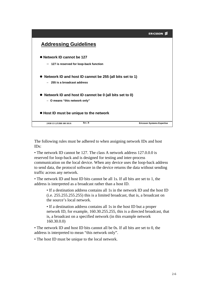

The following rules must be adhered to when assigning network IDs and host IDs:

• The network ID cannot be 127. The class A network address 127.0.0.0 is reserved for loop-back and is designed for testing and inter-process communication on the local device. When any device uses the loop-back address to send data, the protocol software in the device returns the data without sending traffic across any network.

• The network ID and host ID bits cannot be all 1s. If all bits are set to 1, the address is interpreted as a broadcast rather than a host ID.

• If a destination address contains all 1s in the network ID and the host ID (i.e. 255.255.255.255) this is a limited broadcast, that is, a broadcast on the source's local network.

• If a destination address contains all 1s in the host ID but a proper network ID, for example, 160.30.255.255, this is a directed broadcast, that is, a broadcast on a specified network (in this example network 160.30.0.0)

• The network ID and host ID bits cannot all be 0s. If all bits are set to 0, the address is interpreted to mean "this network only".

• The host ID must be unique to the local network.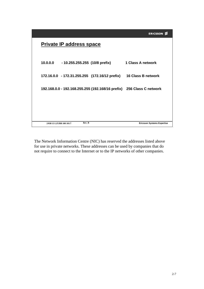|                          | <b>Private IP address space</b> |        |                                         |                                                                       |
|--------------------------|---------------------------------|--------|-----------------------------------------|-----------------------------------------------------------------------|
|                          |                                 |        | 10.0.0.0 - 10.255.255.255 (10/8 prefix) | 1 Class A network                                                     |
|                          |                                 |        |                                         | 172.16.0.0 - 172.31.255.255 (172.16/12 prefix) 16 Class B network     |
|                          |                                 |        |                                         | 192.168.0.0 - 192.168.255.255 (192.168/16 prefix) 256 Class C network |
|                          |                                 |        |                                         |                                                                       |
|                          |                                 |        |                                         |                                                                       |
| 2/038 13 LZUBB 108 101/7 |                                 | Rev. B |                                         | <b>Ericsson Systems Expertise</b>                                     |

The Network Information Centre (NIC) has reserved the addresses listed above for use in private networks. These addresses can be used by companies that do not require to connect to the Internet or to the IP networks of other companies.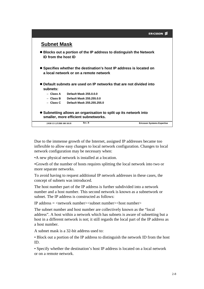# **Subnet Mask**

- **Blocks out a portion of the IP address to distinguish the Network ID from the host ID**
- **Specifies whether the destination's host IP address is located on a local network or on a remote network**
- **Default subnets are used on IP networks that are not divided into subnets:**
	- **Class A Default Mask 255.0.0.0**
	- **Class B Default Mask 255.255.0.0**
	- **Class C Default Mask 255.255.255.0**
- **Subnetting allows an organisation to split up its network into smaller, more efficient subnetworks.**

| 2/038 13 LZUBB 108 101/8 | Rev. B | <b>Ericsson Systems Expertise</b> |
|--------------------------|--------|-----------------------------------|
|                          |        |                                   |

Due to the immense growth of the Internet, assigned IP addresses became too inflexible to allow easy changes to local network configuration. Changes to local network configuration may be necessary when:

•A new physical network is installed at a location.

•Growth of the number of hosts requires splitting the local network into two or more separate networks.

To avoid having to request additional IP network addresses in these cases, the concept of subnets was introduced.

The host number part of the IP address is further subdivided into a network number and a host number. This second network is known as a subnetwork or subnet. The IP address is constructed as follows:

IP address  $=$  <network number> $\le$ subnet number> $\le$ host number>

The subnet number and host number are collectively known as the "local address". A host within a network which has subnets is aware of subnetting but a host in a different network is not; it still regards the local part of the IP address as a host number.

A subnet mask is a 32-bit address used to:

• Block out a portion of the IP address to distinguish the network ID from the host ID.

• Specify whether the destination's host IP address is located on a local network or on a remote network.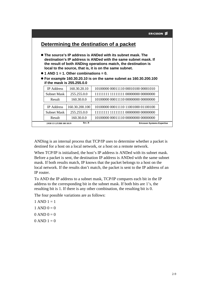|                                                |                | Determining the destination of a packet<br>• The source's IP address is ANDed with its subnet mask. The<br>destination's IP address is ANDed with the same subnet mask. If<br>the result of both ANDing operations match, the destination is<br>local to the source, that is, it is on the same subnet. |  |
|------------------------------------------------|----------------|---------------------------------------------------------------------------------------------------------------------------------------------------------------------------------------------------------------------------------------------------------------------------------------------------------|--|
| $\bullet$ 1 AND 1 = 1. Other combinations = 0. |                | $\bullet$ For example 160.30.20.10 is on the same subnet as 160.30.200.100                                                                                                                                                                                                                              |  |
| if the mask is 255.255.0.0                     |                |                                                                                                                                                                                                                                                                                                         |  |
| <b>IP</b> Address                              | 160.30.20.10   | 10100000 00011110 00010100 00001010                                                                                                                                                                                                                                                                     |  |
| <b>Subnet Mask</b>                             | 255.255.0.0    | 11111111 11111111 00000000 00000000                                                                                                                                                                                                                                                                     |  |
| Result                                         | 160.30.0.0     | 10100000 00011110 00000000 00000000                                                                                                                                                                                                                                                                     |  |
| <b>IP</b> Address                              | 160.30.200.100 | 10100000 00011110 11001000 01100100                                                                                                                                                                                                                                                                     |  |
| <b>Subnet Mask</b>                             | 255.255.0.0    | 11111111 11111111 00000000 00000000                                                                                                                                                                                                                                                                     |  |
| Result                                         | 160.30.0.0     | 10100000 00011110 00000000 00000000                                                                                                                                                                                                                                                                     |  |
| 2/038 13 LZUBB 108 101/9                       | Rev. B         | <b>Ericsson Systems Expertise</b>                                                                                                                                                                                                                                                                       |  |

ANDing is an internal process that TCP/IP uses to determine whether a packet is destined for a host on a local network, or a host on a remote network.

When TCP/IP is initialised, the host's IP address is ANDed with its subnet mask. Before a packet is sent, the destination IP address is ANDed with the same subnet mask. If both results match, IP knows that the packet belongs to a host on the local network. If the results don't match, the packet is sent to the IP address of an IP router.

To AND the IP address to a subnet mask, TCP/IP compares each bit in the IP address to the corresponding bit in the subnet mask. If both bits are 1's, the resulting bit is 1. If there is any other combination, the resulting bit is 0.

The four possible variations are as follows:

 $1$  AND  $1 = 1$ 1 AND  $0 = 0$ 

- $0$  AND  $0 = 0$
- $0$  AND  $1 = 0$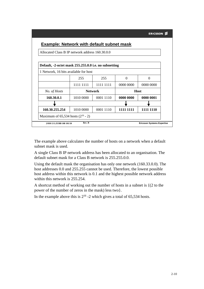| Allocated Class B IP network address 160.30.0.0       |           |                |           |                                   |
|-------------------------------------------------------|-----------|----------------|-----------|-----------------------------------|
| Default, -2-octet mask 255.255.0.0 i.e. no subnetting |           |                |           |                                   |
| 1 Network, 16 bits available for host                 |           |                |           |                                   |
|                                                       | 255       | 255            | ∩         | $\theta$                          |
|                                                       | 1111 1111 | 1111 1111      | 0000 0000 | 0000 0000                         |
| No. of Hosts                                          |           | <b>Network</b> |           | Host                              |
| 160.30.0.1                                            | 1010 0000 | 0001 1110      | 0000 0000 | 0000 0001                         |
|                                                       |           |                |           |                                   |
| 160.30.255.254                                        | 1010 0000 | 0001 1110      | 1111 1111 | 1111 1110                         |
| Maximum of $65,534$ hosts $(2^{16} - 2)$              |           |                |           |                                   |
| 2/038 13 LZUBB 108 101/10                             | Rev. B    |                |           | <b>Ericsson Systems Expertise</b> |

The example above calculates the number of hosts on a network when a default subnet mask is used.

A single Class B IP network address has been allocated to an organisation. The default subnet mask for a Class B network is 255.255.0.0.

Using the default mask the organisation has only one network (160.33.0.0). The host addresses 0.0 and 255.255 cannot be used. Therefore, the lowest possible host address within this network is 0.1 and the highest possible network address within this network is 255.254.

A shortcut method of working out the number of hosts in a subnet is {(2 to the power of the number of zeros in the mask) less two}.

In the example above this is  $2^{16}$  -2 which gives a total of 65,534 hosts.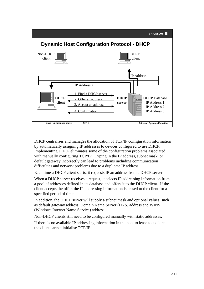



DHCP centralises and manages the allocation of TCP/IP configuration information by automatically assigning IP addresses to devices configured to use DHCP. Implementing DHCP eliminates some of the configuration problems associated with manually configuring TCP/IP. Typing in the IP address, subnet mask, or default gateway incorrectly can lead to problems including communication difficulties and network problems due to a duplicate IP address.

Each time a DHCP client starts, it requests IP an address from a DHCP server.

When a DHCP server receives a request, it selects IP addressing information from a pool of addresses defined in its database and offers it to the DHCP client. If the client accepts the offer, the IP addressing information is leased to the client for a specified period of time.

In addition, the DHCP server will supply a subnet mask and optional values such as default gateway address, Domain Name Server (DNS) address and WINS (Windows Internet Name Service) address.

Non-DHCP clients still need to be configured manually with static addresses.

If there is no available IP addressing information in the pool to lease to a client, the client cannot initialise TCP/IP.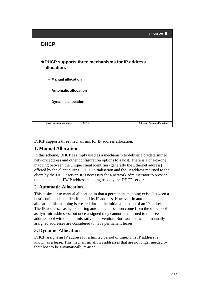

DHCP supports three mechanisms for IP address allocation.

## **1. Manual Allocation**

In this scheme, DHCP is simply used as a mechanism to deliver a predetermined network address and other configuration options to a host. There is a one-to-one mapping between the unique client identifier (generally the Ethernet address) offered by the client during DHCP initialisation and the IP address returned to the client by the DHCP server. It is necessary for a network administrator to provide the unique client ID/IP address mapping used by the DHCP server.

### **2. Automatic Allocation**

This is similar to manual allocation in that a permanent mapping exists between a host's unique client identifier and its IP address. However, in automatic allocation this mapping is created during the initial allocation of an IP address. The IP addresses assigned during automatic allocation come from the same pool as dynamic addresses, but once assigned they cannot be returned to the free address pool without administrative intervention. Both automatic and manually assigned addresses are considered to have permanent leases.

### **3. Dynamic Allocation**

DHCP assigns an IP address for a limited period of time. This IP address is known as a lease. This mechanism allows addresses that are no longer needed by their host to be automatically re-used.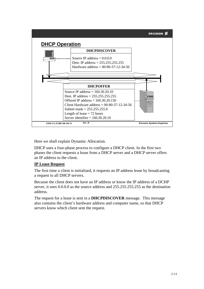

Here we shall explain Dynamic Allocation.

DHCP uses a four-phase process to configure a DHCP client. In the first two phases the client requests a lease from a DHCP server and a DHCP server offers an IP address to the client.

#### **IP Lease Request**

The first time a client is initialised, it requests an IP address lease by broadcasting a request to all DHCP servers.

Because the client does not have an IP address or know the IP address of a DCHP server, it uses 0.0.0.0 as the source address and 255.255.255.255 as the destination address.

The request for a lease is sent in a **DHCPDISCOVER** message. This message also contains the client's hardware address and computer name, so that DHCP servers know which client sent the request.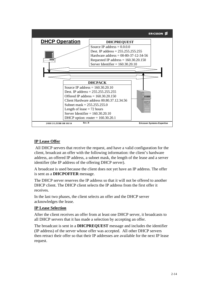

#### **IP Lease Offer**

All DHCP servers that receive the request, and have a valid configuration for the client, broadcast an offer with the following information: the client's hardware address, an offered IP address, a subnet mask, the length of the lease and a server identifier (the IP address of the offering DHCP server).

A broadcast is used because the client does not yet have an IP address. The offer is sent as a **DHCPOFFER** message.

The DHCP server reserves the IP address so that it will not be offered to another DHCP client. The DHCP client selects the IP address from the first offer it receives.

In the last two phases, the client selects an offer and the DHCP server acknowledges the lease.

#### **IP Lease Selection**

After the client receives an offer from at least one DHCP server, it broadcasts to all DHCP servers that it has made a selection by accepting an offer.

The broadcast is sent in a **DHCPREQUEST** message and includes the identifier (IP address) of the server whose offer was accepted. All other DHCP servers then retract their offer so that their IP addresses are available for the next IP lease request.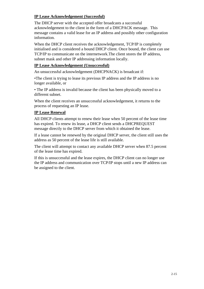#### **IP Lease Acknowledgement (Successful)**

The DHCP server with the accepted offer broadcasts a successful acknowledgement to the client in the form of a DHCPACK message. This message contains a valid lease for an IP address and possibly other configuration information.

When the DHCP client receives the acknowledgement, TCP/IP is completely initialised and is considered a bound DHCP client. Once bound, the client can use TCP/IP to communicate on the internetwork.The client stores the IP address, subnet mask and other IP addressing information locally.

#### **IP Lease Acknowledgement (Unsuccessful)**

An unsuccessful acknowledgement (DHCPNACK) is broadcast if:

•The client is trying to lease its previous IP address and the IP address is no longer available, or

• The IP address is invalid because the client has been physically moved to a different subnet.

When the client receives an unsuccessful acknowledgement, it returns to the process of requesting an IP lease.

#### **IP Lease Renewal**

All DHCP clients attempt to renew their lease when 50 percent of the lease time has expired. To renew its lease, a DHCP client sends a DHCPREQUEST message directly to the DHCP server from which it obtained the lease.

If a lease cannot be renewed by the original DHCP server, the client still uses the address as 50 percent of the lease life is still available.

The client will attempt to contact any available DHCP server when 87.5 percent of the lease time has expired.

If this is unsuccessful and the lease expires, the DHCP client can no longer use the IP address and communication over TCP/IP stops until a new IP address can be assigned to the client.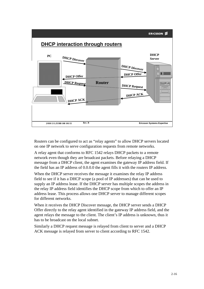

Routers can be configured to act as "relay agents" to allow DHCP servers located on one IP network to serve configuration requests from remote networks.

A relay agent that conforms to RFC 1542 relays DHCP packets to a remote network even though they are broadcast packets. Before relaying a DHCP message from a DHCP client, the agent examines the gateway IP address field. If the field has an IP address of 0.0.0.0 the agent fills it with the routers IP address.

When the DHCP server receives the message it examines the relay IP address field to see if it has a DHCP scope (a pool of IP addresses) that can be used to supply an IP address lease. If the DHCP server has multiple scopes the address in the relay IP address field identifies the DHCP scope from which to offer an IP address lease. This process allows one DHCP server to manage different scopes for different networks.

When it receives the DHCP Discover message, the DHCP server sends a DHCP Offer directly to the relay agent identified in the gateway IP address field, and the agent relays the message to the client. The client's IP address is unknown, thus it has to be broadcast on the local subnet.

Similarly a DHCP request message is relayed from client to server and a DHCP ACK message is relayed from server to client according to RFC 1542.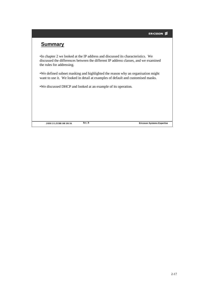# **Summary**

•In chapter 2 we looked at the IP address and discussed its characteristics. We discussed the differences between the different IP address classes, and we examined the rules for addressing.

•We defined subnet masking and highlighted the reason why an organisation might want to use it. We looked in detail at examples of default and customised masks.

•We discussed DHCP and looked at an example of its operation.

**2/038 13 LZUBB 108 101/16**

**Rev. B Ericsson Systems Expertise**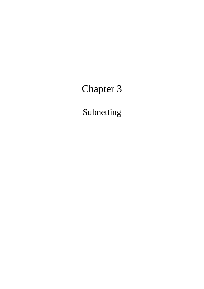# Chapter 3

Subnetting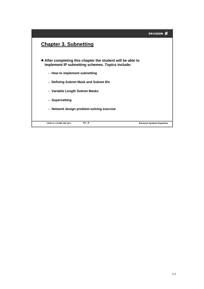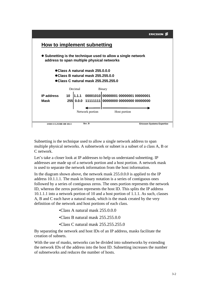

Subnetting is the technique used to allow a single network address to span multiple physical networks. A subnetwork or subnet is a subset of a class A, B or C network.

Let's take a closer look at IP addresses to help us understand subnetting. IP addresses are made up of a network portion and a host portion. A network mask is used to separate the network information from the host information.

In the diagram shown above, the network mask 255.0.0.0 is applied to the IP address 10.1.1.1. The mask in binary notation is a series of contiguous ones followed by a series of contiguous zeros. The ones portion represents the network ID, whereas the zeros portion represents the host ID. This splits the IP address 10.1.1.1 into a network portion of 10 and a host portion of 1.1.1. As such, classes A, B and C each have a natural mask, which is the mask created by the very definition of the network and host portions of each class.

•Class A natural mask 255.0.0.0

•Class B natural mask 255.255.0.0

•Class C natural mask 255.255.255.0

By separating the network and host IDs of an IP address, masks facilitate the creation of subnets.

With the use of masks, networks can be divided into subnetworks by extending the network IDs of the address into the host ID. Subnetting increases the number of subnetworks and reduces the number of hosts.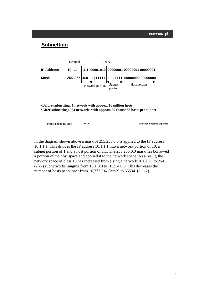

In the diagram shown above a mask of 255.255.0.0 is applied to the IP address 10.1.1.1. This divides the IP address 10.1.1.1 into a network portion of 10, a subnet portion of 1 and a host portion of 1.1. The 255.255.0.0 mask has borrowed a portion of the host space and applied it to the network space. As a result, the network space of class 10 has increased from a single network 10.0.0.0, to 254  $(2<sup>8</sup>-2)$  subnetworks ranging from 10.1.0.0 to 10.254.0.0. This decreases the number of hosts per subnet from  $16,777,214$  ( $2^{24}$ -2) to 65534 (2<sup>16</sup>-2).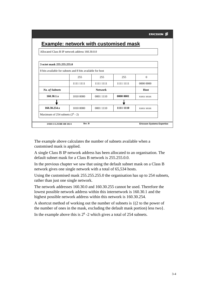|                                                            |           | <b>Example: network with customised mask</b> |           |           |
|------------------------------------------------------------|-----------|----------------------------------------------|-----------|-----------|
| Allocated Class B IP network address 160.30.0.0            |           |                                              |           |           |
|                                                            |           |                                              |           |           |
| 3 octet mask 255,255,255.0                                 |           |                                              |           |           |
| 8 bits available for subnets and 8 bits available for host |           |                                              |           |           |
|                                                            | 255       | 255                                          | 255       | $\Omega$  |
|                                                            | 1111 1111 | 1111 1111                                    | 1111 1111 | 0000 0000 |
| <b>No. of Subnets</b>                                      |           | <b>Network</b>                               |           | Host      |
| 160.30.1.x                                                 | 1010 0000 | 0001 1110                                    | 0000 0001 | XXXX XXXX |
|                                                            |           |                                              |           |           |
| 160.30.254.x                                               | 1010 0000 | 0001 1110                                    | 1111 1110 | XXXX XXXX |
| Maximum of 254 subnets $(2^8 - 2)$                         |           |                                              |           |           |

The example above calculates the number of subnets available when a customised mask is applied.

A single Class B IP network address has been allocated to an organisation. The default subnet mask for a Class B network is 255.255.0.0.

In the previous chapter we saw that using the default subnet mask on a Class B network gives one single network with a total of 65,534 hosts.

Using the customised mask 255.255.255.0 the organisation has up to 254 subnets, rather than just one single network.

The network addresses 160.30.0 and 160.30.255 cannot be used. Therefore the lowest possible network address within this internetwork is 160.30.1 and the highest possible network address within this network is 160.30.254.

A shortcut method of working out the number of subnets is {(2 to the power of the number of ones in the mask, excluding the default mask portion) less two}.

In the example above this is  $2<sup>8</sup>$  -2 which gives a total of 254 subnets.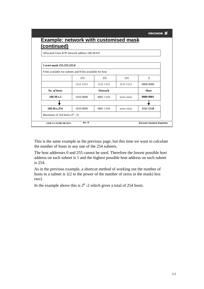| Allocated Class B IP network address 160.30.0.0            |           |                |           |           |
|------------------------------------------------------------|-----------|----------------|-----------|-----------|
|                                                            |           |                |           |           |
| 3 octet mask 255, 255, 255, 0                              |           |                |           |           |
| 8 bits available for subnets and 8 bits available for host |           |                |           |           |
|                                                            | 255       | 255            | 255       | $\theta$  |
|                                                            | 1111 1111 | 1111 1111      | 1111 1111 | 0000 0000 |
| No. of hosts                                               |           | <b>Network</b> |           | Host      |
| 160.30.x.1                                                 | 1010 0000 | 0001 1110      | XXXX XXXX | 0000 0001 |
|                                                            |           |                |           |           |
|                                                            |           |                |           |           |

This is the same example as the previous page, but this time we want to calculate the number of hosts in any one of the 254 subnets.

The host addresses 0 and 255 cannot be used. Therefore the lowest possible host address on each subnet is 1 and the highest possible host address on each subnet is 254.

As in the previous example, a shortcut method of working out the number of hosts in a subnet is {(2 to the power of the number of zeros in the mask) less two}.

In the example above this is  $2<sup>8</sup>$  -2 which gives a total of 254 hosts.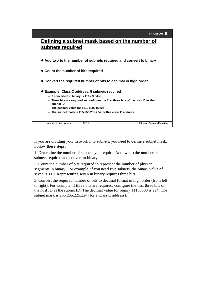| Defining a subnet mask based on the number of                                                  |  |
|------------------------------------------------------------------------------------------------|--|
| subnets required                                                                               |  |
|                                                                                                |  |
| • Add two to the number of subnets required and convert to binary                              |  |
| • Count the number of bits required                                                            |  |
| • Convert the required number of bits to decimal in high order                                 |  |
| <b>.</b> Example: Class C address, 5 subnets required                                          |  |
| - 7 converted to binary is 110 (3 bits)                                                        |  |
| - Three bits are required so configure the first three bits of the host ID as the<br>subnet ID |  |
| $-$ The decimal value for 1110 0000 is 224                                                     |  |
| - The subnet mask is 255.255.255.224 for this class C address                                  |  |
| Rev. B<br><b>Ericsson Systems Expertise</b><br>3/038 13 LZUBB 108 101/6                        |  |
|                                                                                                |  |

If you are dividing your network into subnets, you need to define a subnet mask. Follow these steps:

1. Determine the number of subnets you require. Add two to the number of subnets required and convert to binary.

2. Count the number of bits required to represent the number of physical segments in binary. For example, if you need five subnets, the binary value of seven is 110. Representing seven in binary requires three bits.

3. Convert the required number of bits to decimal format in high order (from left to right). For example, if three bits are required, configure the first three bits of the host ID as the subnet ID. The decimal value for binary 11100000 is 224. The subnet mask is 255.255.225.224 (for a Class C address).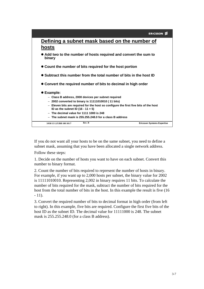| ERICSSON_Z |  |
|------------|--|
|            |  |



If you do not want all your hosts to be on the same subnet, you need to define a subnet mask, assuming that you have been allocated a single network address.

Follow these steps:

1. Decide on the number of hosts you want to have on each subnet. Convert this number to binary format.

2. Count the number of bits required to represent the number of hosts in binary. For example, if you want up to 2,000 hosts per subnet, the binary value for 2002 is 11111010010. Representing 2,002 in binary requires 11 bits. To calculate the number of bits required for the mask, subtract the number of bits required for the host from the total number of bits in the host. In this example the result is five (16  $-11$ ).

3. Convert the required number of bits to decimal format in high order (from left to right). In this example, five bits are required. Configure the first five bits of the host ID as the subnet ID. The decimal value for 11111000 is 248. The subnet mask is 255.255.248.0 (for a class B address).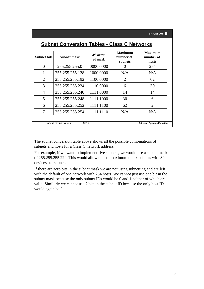| <b>Subnet bits</b> | Subnet mask                        | 4 <sup>th</sup> octet<br>of mask | <b>Maximum</b><br>number of<br>subnets | <b>Maximum</b><br>number of<br>hosts |
|--------------------|------------------------------------|----------------------------------|----------------------------------------|--------------------------------------|
| $\theta$           | 255.255.255.0                      | 0000 0000                        |                                        | 254                                  |
| 1                  | 255.255.255.128                    | 1000 0000                        | N/A                                    | N/A                                  |
| $\overline{2}$     | 255.255.255.192                    | 1100 0000                        | 2                                      | 62                                   |
| 3                  | 255.255.255.224                    | 1110 0000                        | 6                                      | 30                                   |
| 4                  | 255.255.255.240                    | 1111 0000                        | 14                                     | 14                                   |
| 5                  | 255.255.255.248                    | 1111 1000                        | 30                                     | 6                                    |
| 6                  | 255.255.255.252                    | 1111 1100                        | 62                                     | $\overline{2}$                       |
| 7                  | 255.255.255.254                    | 1111 1110                        | N/A                                    | N/A                                  |
|                    | Rev. B<br>3/038 13 LZUBB 108 101/8 |                                  |                                        | <b>Ericsson Systems Expertise</b>    |

# **Subnet Conversion Tables - Class C Networks**

The subnet conversion table above shows all the possible combinations of subnets and hosts for a Class C network address.

For example, if we want to implement five subnets, we would use a subnet mask of 255.255.255.224. This would allow up to a maximum of six subnets with 30 devices per subnet.

If there are zero bits in the subnet mask we are not using subnetting and are left with the default of one network with 254 hosts. We cannot just use one bit in the subnet mask because the only subnet IDs would be 0 and 1 neither of which are valid. Similarly we cannot use 7 bits in the subnet ID because the only host IDs would again be 0.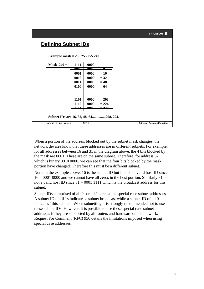# **Defining Subnet IDs**

**Example mask = 255.255.255.240**

| Mask $240 =$<br>1111                                                          | 0000                                                  |                                   |
|-------------------------------------------------------------------------------|-------------------------------------------------------|-----------------------------------|
| 0000                                                                          | $\frac{0000}{1}$<br>$=\theta$                         |                                   |
| 0001                                                                          | 0000<br>$= 16$                                        |                                   |
| 0010                                                                          | 0000<br>$= 32$                                        |                                   |
| 0011                                                                          | 0000<br>$= 48$                                        |                                   |
| 0100                                                                          | 0000<br>$= 64$                                        |                                   |
| <b>1101</b><br><b>1110</b><br>1111<br>Subnet IDs are 16, 32, 48, 64,208, 224. | 0000<br>$= 208$<br>0000<br>$= 224$<br>0000<br>$= 240$ |                                   |
|                                                                               |                                                       |                                   |
| 3/038 13 LZUBB 108 101/9                                                      | Rev. B                                                | <b>Ericsson Systems Expertise</b> |
|                                                                               |                                                       |                                   |

When a portion of the address, blocked out by the subnet mask changes, the network devices know that these addresses are in different subnets. For example, for all addresses between 16 and 31 in the diagram above, the 4 bits blocked by the mask are 0001. These are on the same subnet. Therefore, for address 32 which is binary 0010 0000, we can see that the four bits blocked by the mask portion have changed. Therefore this must be a different subnet.

Note: in the example above, 16 is the subnet ID but it is not a valid host ID since  $16 = 0001 0000$  and we cannot have all zeros in the host portion. Similarly 31 is not a valid host ID since  $31 = 00011111$  which is the broadcast address for this subnet.

Subnet IDs comprised of all 0s or all 1s are called special case subnet addresses. A subnet ID of all 1s indicates a subnet broadcast while a subnet ID of all 0s indicates "this subnet". When subnetting it is strongly recommended not to use these subnet IDs. However, it is possible to use these special case subnet addresses if they are supported by all routers and hardware on the network. Request For Comment (RFC) 950 details the limitations imposed when using special case addresses.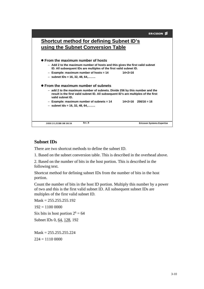

#### **Subnet IDs**

There are two shortcut methods to define the subnet ID.

1. Based on the subnet conversion table. This is described in the overhead above.

2. Based on the number of bits in the host portion. This is described in the following text.

Shortcut method for defining subnet IDs from the number of bits in the host portion.

Count the number of bits in the host ID portion. Multiply this number by a power of two and this is the first valid subnet ID. All subsequent subnet IDs are multiples of the first valid subnet ID.

 $Mask = 255.255.255.192$  $192 = 11000000$ Six bits in host portion  $2^6 = 64$ Subnet IDs 0, 64, 128, 192

 $Mask = 255.255.255.224$  $224 = 11100000$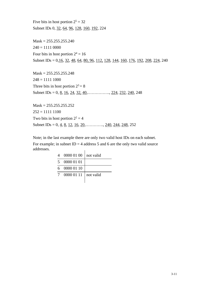Five bits in host portion  $2^5 = 32$ Subnet IDs 0, 32, 64, 96, 128, 160, 192, 224

 $Mask = 255.255.255.240$  $240 = 11110000$ Four bits in host portion  $2^4 = 16$ Subnet IDs = 0,16, 32, 48, 64, 80, 96, 112, 128, 144, 160, 176, 192, 208, 224, 240

 $Mask = 255.255.255.248$  $248 = 11111000$ Three bits in host portion  $2^3 = 8$ Subnet IDs = 0,  $\underline{8}$ ,  $\underline{16}$ ,  $\underline{24}$ ,  $\underline{32}$ ,  $\underline{40}$ , ...............,  $\underline{224}$ ,  $\underline{232}$ ,  $\underline{240}$ , 248

 $Mask = 255.255.255.252$  $252 = 11111100$ Two bits in host portion  $2^2 = 4$ Subnet IDs = 0,  $\underline{4}$ ,  $\underline{8}$ ,  $\underline{12}$ ,  $\underline{16}$ ,  $\underline{20}$ , ..........,  $\underline{240}$ ,  $\underline{244}$ ,  $\underline{248}$ ,  $252$ 

Note; in the last example there are only two valid host IDs on each subnet. For example; in subnet  $ID = 4$  address 5 and 6 are the only two valid source addresses. l,

| 4 | 0000 01 00   not valid |  |
|---|------------------------|--|
| 5 | 0000 01 01             |  |
|   | 6 0000 01 10           |  |
|   | 0000 01 11   not valid |  |
|   |                        |  |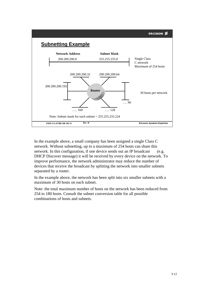

In the example above, a small company has been assigned a single Class C network. Without subnetting, up to a maximum of 254 hosts can share this network. In this configuration, if one device sends out an IP broadcast (e.g. DHCP Discover message) it will be received by every device on the network. To improve performance, the network administrator may reduce the number of devices that receive the broadcast by splitting the network into smaller subnets separated by a router.

In the example above, the network has been split into six smaller subnets with a maximum of 30 hosts on each subnet.

Note: the total maximum number of hosts on the network has been reduced from 254 to 180 hosts. Consult the subnet conversion table for all possible combinations of hosts and subnets.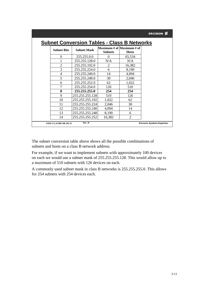|                    |                    | <b>Subnet Conversion Tables - Class B Networks</b> |                |  |
|--------------------|--------------------|----------------------------------------------------|----------------|--|
| <b>Subnet Bits</b> | <b>Subnet Mask</b> | Maximum # of  Maximum # of<br><b>Subnets</b>       | <b>Hosts</b>   |  |
| $\theta$           | 255.255.0.0        | 0                                                  | 65,534         |  |
|                    | 255.255.128.0      | N/A                                                | N/A            |  |
| $\overline{2}$     | 255.255.192.0      | 2                                                  | 16,382         |  |
| 3                  | 255.255.224.0      | 6                                                  | 8,190          |  |
| $\overline{4}$     | 255.255.240.0      | 14                                                 | 4,094          |  |
| 5                  | 255.255.248.0      | 30                                                 | 2,046          |  |
| 6                  | 255.255.252.0      | 62                                                 | 1,022          |  |
|                    | 255.255.254.0      | 126                                                | 510            |  |
| 8                  | 255.255.255.0      | 254                                                | 254            |  |
| 9                  | 255.255.255.128    | 510                                                | 126            |  |
| 10                 | 255.255.255.192    | 1,022                                              | 62             |  |
| 11                 | 255.255.255.224    | 2,046                                              | 30             |  |
| 12                 | 255.255.255.240    | 4,094                                              | 14             |  |
| 13                 | 255.255.255.248    | 8,190                                              | 6              |  |
| 14                 | 255.255.255.252    | 16,382                                             | $\mathfrak{2}$ |  |

The subnet conversion table above shows all the possible combinations of subnets and hosts on a class B network address.

For example, if we want to implement subnets with approximately 100 devices on each we would use a subnet mask of 255.255.255.128. This would allow up to a maximum of 510 subnets with 126 devices on each.

A commonly used subnet mask in class B networks is 255.255.255.0. This allows for 254 subnets with 254 devices each.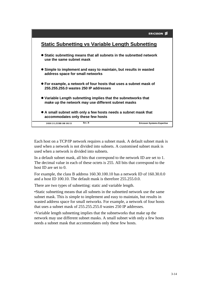

Each host on a TCP/IP network requires a subnet mask. A default subnet mask is used when a network is not divided into subnets. A customised subnet mask is used when a network is divided into subnets.

In a default subnet mask, all bits that correspond to the network ID are set to 1. The decimal value in each of these octets is 255. All bits that correspond to the host ID are set to 0.

For example, the class B address 160.30.100.10 has a network ID of 160.30.0.0 and a host ID 100.10. The default mask is therefore 255.255.0.0.

There are two types of subnetting: static and variable length.

•Static subnetting means that all subnets in the subnetted network use the same subnet mask. This is simple to implement and easy to maintain, but results in wasted address space for small networks. For example, a network of four hosts that uses a subnet mask of 255.255.255.0 wastes 250 IP addresses.

•Variable length subnetting implies that the subnetworks that make up the network may use different subnet masks. A small subnet with only a few hosts needs a subnet mask that accommodates only these few hosts.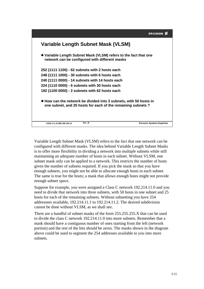

Variable Length Subnet Mask (VLSM) refers to the fact that one network can be configured with different masks. The idea behind Variable Length Subnet Masks is to offer more flexibility in dividing a network into multiple subnets while still maintaining an adequate number of hosts in each subnet. Without VLSM, one subnet mask only can be applied to a network. This restricts the number of hosts given the number of subnets required. If you pick the mask so that you have enough subnets, you might not be able to allocate enough hosts in each subnet. The same is true for the hosts; a mask that allows enough hosts might not provide enough subnet space.

Suppose for example, you were assigned a Class C network 192.214.11.0 and you need to divide that network into three subnets, with 50 hosts in one subnet and 25 hosts for each of the remaining subnets. Without subnetting you have 254 addressees available, 192.214.11.1 to 192.214.11.2. The desired subdivision cannot be done without VLSM, as we shall see.

There are a handful of subnet masks of the form 255.255.255.X that can be used to divide the class C network 192.214.11.0 into more subnets. Remember that a mask should have a contiguous number of ones starting from the left (network portion) and the rest of the bits should be zeros. The masks shown in the diagram above could be used to segment the 254 addresses available to you into more subnets.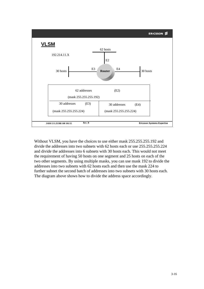

Without VLSM, you have the choices to use either mask 255.255.255.192 and divide the addresses into two subnets with 62 hosts each or use 255.255.255.224 and divide the addresses into 6 subnets with 30 hosts each. This would not meet the requirement of having 50 hosts on one segment and 25 hosts on each of the two other segments. By using multiple masks, you can use mask 192 to divide the addresses into two subnets with 62 hosts each and then use the mask 224 to further subnet the second batch of addresses into two subnets with 30 hosts each. The diagram above shows how to divide the address space accordingly.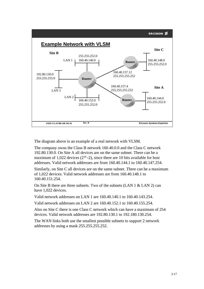

The diagram above is an example of a real network with VLSM.

The company owns the Class B network 160.40.0.0 and the Class C network 192.80.130.0. On Site A all devices are on the same subnet. There can be a maximum of 1,022 devices  $(2^{10}-2)$ , since there are 10 bits available for host addresses. Valid network addresses are from 160.40.144.1 to 160.40.147.254.

Similarly, on Site C all devices are on the same subnet. There can be a maximum of 1,022 devices. Valid network addresses are from 160.40.148.1 to 160.40.151.254.

On Site B there are three subnets. Two of the subnets (LAN 1 & LAN 2) can have 1,022 devices.

Valid network addresses on LAN 1 are 160.40.140.1 to 160.40.143.254.

Valid network addresses on LAN 2 are 160.40.152.1 to 160.40.155.254.

Also on Site C there is one Class C network which can have a maximum of 254 devices. Valid network addresses are 192.80.130.1 to 192.180.130.254.

The WAN links both use the smallest possible subnets to support 2 network addresses by using a mask 255.255.255.252.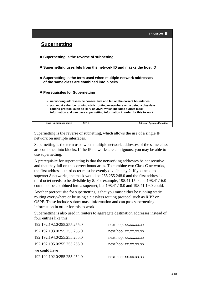# **Supernetting**

- **Supernetting is the reverse of subnetting**
- **Supernetting uses bits from the network ID and masks the host ID**
- **Supernetting is the term used when multiple network addresses of the same class are combined into blocks.**
- **Prerequisites for Supernetting**
	- **networking addresses be consecutive and fall on the correct boundaries**
	- **you must either be running static routing everywhere or be using a classless routing protocol such as RIP2 or OSPF which includes subnet mask information and can pass supernetting information in order for this to work**

| 3/038 13 LZUBB 108 101/17 | Kev | <b>Ericsson Systems Expertise</b> |
|---------------------------|-----|-----------------------------------|
|                           |     | ---------                         |

Supernetting is the reverse of subnetting, which allows the use of a single IP network on multiple interfaces.

Supernetting is the term used when multiple network addresses of the same class are combined into blocks. If the IP networks are contiguous, you may be able to use supernetting.

A prerequisite for supernetting is that the networking addresses be consecutive and that they fall on the correct boundaries. To combine two Class C networks, the first address's third octet must be evenly divisible by 2. If you need to supernet 8 networks, the mask would be 255.255.248.0 and the first address's third octet needs to be divisible by 8. For example, 198.41.15.0 and 198.41.16.0 could not be combined into a supernet, but 198.41.18.0 and 198.41.19.0 could.

Another prerequisite for supernetting is that you must either be running static routing everywhere or be using a classless routing protocol such as RIP2 or OSPF. These include subnet mask information and can pass supernetting information in order for this to work.

Supernetting is also used in routers to aggregate destination addresses instead of four entries like this:

| 192.192.192.0/255.255.255.0 | next hop: xx.xx.xx.xx |
|-----------------------------|-----------------------|
| 192.192.193.0/255.255.255.0 | next hop: xx.xx.xx.xx |
| 192.192.194.0/255.255.255.0 | next hop: xx.xx.xx.xx |
| 192.192.195.0/255.255.255.0 | next hop: xx.xx.xx.xx |
| we could have               |                       |
| 192.192.192.0/255.255.252.0 | next hop: xx.xx.xx.xx |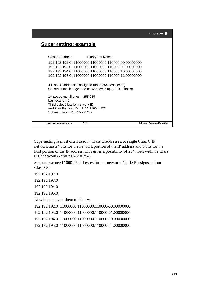# **Supernetting: example**

| 3/038 13 LZUBB 108 101/18                       | Rev. B |                                                            | <b>Ericsson Systems Expertise</b> |
|-------------------------------------------------|--------|------------------------------------------------------------|-----------------------------------|
|                                                 |        |                                                            |                                   |
| Subnet mask = 255.255.252.0                     |        |                                                            |                                   |
| and 2 for the host ID = 1111 1100 = 252         |        |                                                            |                                   |
| Third octet 6 bits for network ID               |        |                                                            |                                   |
| Last octets $= 0$                               |        |                                                            |                                   |
| 1 <sup>st</sup> two octets all ones = $255.255$ |        |                                                            |                                   |
|                                                 |        | Construct mask to get one network (with up to 1,022 hosts) |                                   |
|                                                 |        |                                                            |                                   |
|                                                 |        | 4 Class C addresses assigned (up to 254 hosts each)        |                                   |
|                                                 |        | 192.192.195.0  11000000.11000000.110000-11.00000000        |                                   |
|                                                 |        |                                                            |                                   |
|                                                 |        | 192.192.194.0 11000000.11000000.110000-10.00000000         |                                   |
|                                                 |        |                                                            |                                   |
|                                                 |        | 192.192.192.0  11000000.11000000.110000-00.00000000        |                                   |
| Class C address I                               |        | <b>Binary Equivalent</b>                                   |                                   |
|                                                 |        |                                                            |                                   |

Supernetting is most often used in Class C addresses. A single Class C IP network has 24 bits for the network portion of the IP address and 8 bits for the host portion of the IP address. This gives a possibility of 254 hosts within a Class C IP network  $(2*8=256 - 2 = 254)$ .

Suppose we need 1000 IP addresses for our network. Our ISP assigns us four Class Cs:

192.192.192.0

192.192.193.0

192.192.194.0

192.192.195.0

Now let's convert them to binary:

192.192.192.0 11000000.11000000.110000-00.00000000

192.192.193.0 11000000.11000000.110000-01.00000000

192.192.194.0 11000000.11000000.110000-10.00000000

192.192.195.0 11000000.11000000.110000-11.00000000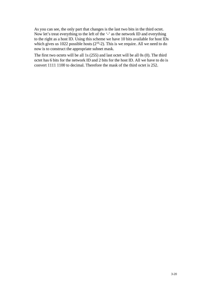As you can see, the only part that changes is the last two bits in the third octet. Now let's treat everything to the left of the '-' as the network ID and everything to the right as a host ID. Using this scheme we have 10 bits available for host IDs which gives us 1022 possible hosts  $(2^{10}-2)$ . This is we require. All we need to do now is to construct the appropriate subnet mask.

The first two octets will be all 1s (255) and last octet will be all 0s (0). The third octet has 6 bits for the network ID and 2 bits for the host ID. All we have to do is convert 1111 1100 to decimal. Therefore the mask of the third octet is 252.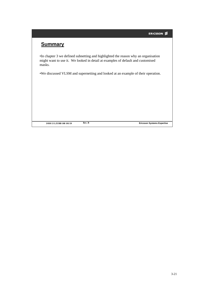# **Summary**

•In chapter 3 we defined subnetting and highlighted the reason why an organisation might want to use it. We looked in detail at examples of default and customised masks.

•We discussed VLSM and supernetting and looked at an example of their operation.

**3/038 13 LZUBB 108 101/19**

**Rev. B Ericsson Systems Expertise**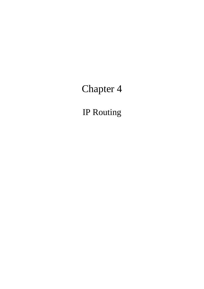# Chapter 4

IP Routing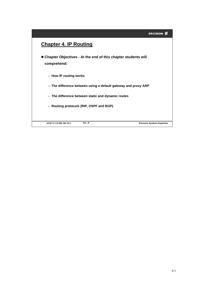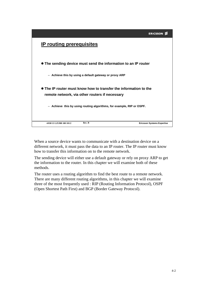|                                                                       | <b>ERICSSON</b>                   |
|-----------------------------------------------------------------------|-----------------------------------|
| <b>IP routing prerequisites</b>                                       |                                   |
| • The sending device must send the information to an IP router        |                                   |
| - Achieve this by using a default gateway or proxy ARP                |                                   |
| • The IP router must know how to transfer the information to the      |                                   |
| remote network, via other routers if necessary                        |                                   |
| - Achieve this by using routing algorithms, for example, RIP or OSPF. |                                   |
| Rev. B<br>4/038 13 LZUBB 108 101/2                                    | <b>Ericsson Systems Expertise</b> |

When a source device wants to communicate with a destination device on a different network, it must pass the data to an IP router. The IP router must know how to transfer this information on to the remote network.

The sending device will either use a default gateway or rely on proxy ARP to get the information to the router. In this chapter we will examine both of these methods.

The router uses a routing algorithm to find the best route to a remote network. There are many different routing algorithms, in this chapter we will examine three of the most frequently used : RIP (Routing Information Protocol), OSPF (Open Shortest Path First) and BGP (Border Gateway Protocol).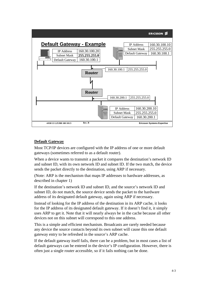

#### **Default Gateway**

Most TCP/IP devices are configured with the IP address of one or more default gateways (sometimes referred to as a default router).

When a device wants to transmit a packet it compares the destination's network ID and subnet ID, with its own network ID and subnet ID. If the two match, the device sends the packet directly to the destination, using ARP if necessary.

(Note: ARP is the mechanism that maps IP addresses to hardware addresses, as described in chapter 1)

If the destination's network ID and subnet ID, and the source's network ID and subnet ID, do not match, the source device sends the packet to the hardware address of its designated default gateway, again using ARP if necessary.

Instead of looking for the IP address of the destination in its ARP cache, it looks for the IP address of its designated default gateway. If it doesn't find it, it simply uses ARP to get it. Note that it will nearly always be in the cache because all other devices not on this subnet will correspond to this one address.

This is a simple and efficient mechanism. Broadcasts are rarely needed because any device the source contacts beyond its own subnet will cause this one default gateway entry to be refreshed in the source's ARP cache.

If the default gateway itself fails, there can be a problem, but in most cases a list of default gateways can be entered in the device's IP configuration. However, there is often just a single router accessible, so if it fails nothing can be done.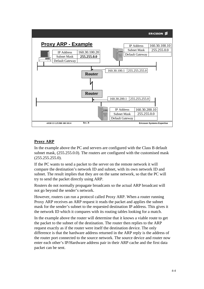

#### **Proxy ARP**

In the example above the PC and servers are configured with the Class B default subnet mask, (255.255.0.0). The routers are configured with the customised mask (255.255.255.0).

If the PC wants to send a packet to the server on the remote network it will compare the destination's network ID and subnet, with its own network ID and subnet. The result implies that they are on the same network, so that the PC will try to send the packet directly using ARP.

Routers do not normally propagate broadcasts so the actual ARP broadcast will not go beyond the sender's network.

However, routers can run a protocol called Proxy ARP. When a router running Proxy ARP receives an ARP request it reads the packet and applies the subnet mask for the sender's subnet to the requested destination IP address. This gives it the network ID which it compares with its routing tables looking for a match.

In the example above the router will determine that it knows a viable route to get the packet to the subnet of the destination. The router then replies to the ARP request exactly as if the router were itself the destination device. The only difference is that the hardware address returned in the ARP reply is the address of the router port connected to the source network. The source device and router now enter each other's IP/Hardware address pair in their ARP cache and the first data packet can be sent.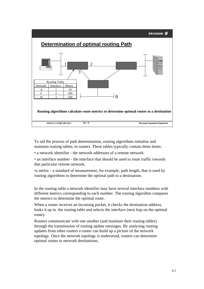

To aid the process of path determination, routing algorithms initialise and maintain routing tables, in routers. These tables typically contain three items:

• a network identifier - the network addresses of a remote network.

• an interface number - the interface that should be used to route traffic towards that particular remote network.

•a metric - a standard of measurement, for example, path length, that is used by routing algorithms to determine the optimal path to a destination.

In the routing table a network identifier may have several interface numbers with different metrics corresponding to each number. The routing algorithm compares the metrics to determine the optimal route.

When a router receives an incoming packet, it checks the destination address, looks it up in the routing table and selects the interface (next hop on the optimal route).

Routers communicate with one another (and maintain their routing tables) through the transmission of routing update messages. By analysing routing updates from other routers a router can build up a picture of the network topology. Once the network topology is understood, routers can determine optimal routes to network destinations.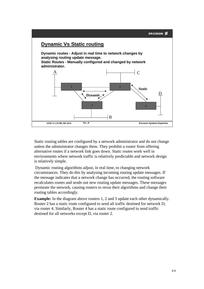

Static routing tables are configured by a network administrator and do not change unless the administrator changes them. They prohibit a router from offering alternative routes if a network link goes down. Static routes work well in environments where network traffic is relatively predictable and network design is relatively simple.

Dynamic routing algorithms adjust, in real time, to changing network circumstances. They do this by analysing incoming routing update messages. If the message indicates that a network change has occurred, the routing software recalculates routes and sends out new routing update messages. These messages permeate the network, causing routers to rerun their algorithms and change their routing tables accordingly.

**Example:** In the diagram above routers 1, 2 and 3 update each other dynamically. Router 2 has a static route configured to send all traffic destined for network D, via router 4. Similarly, Router 4 has a static route configured to send traffic destined for all networks except D, via router 2.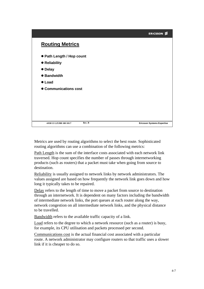

Metrics are used by routing algorithms to select the best route. Sophisticated routing algorithms can use a combination of the following metrics:

Path Length is the sum of the interface costs associated with each network link traversed. Hop count specifies the number of passes through internetworking products (such as routers) that a packet must take when going from source to destination.

Reliability is usually assigned to network links by network administrators. The values assigned are based on how frequently the network link goes down and how long it typically takes to be repaired.

Delay refers to the length of time to move a packet from source to destination through an internetwork. It is dependent on many factors including the bandwidth of intermediate network links, the port queues at each router along the way, network congestion on all intermediate network links, and the physical distance to be travelled.

Bandwidth refers to the available traffic capacity of a link.

Load refers to the degree to which a network resource (such as a router) is busy, for example, its CPU utilisation and packets processed per second.

Communications cost is the actual financial cost associated with a particular route. A network administrator may configure routers so that traffic uses a slower link if it is cheaper to do so.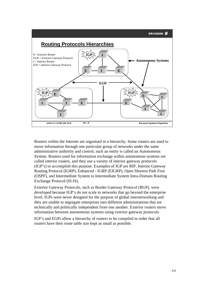

Routers within the Internet are organised in a hierarchy. Some routers are used to move information through one particular group of networks under the same administrative authority and control, such an entity is called an Autonomous System. Routers used for information exchange within autonomous systems are called interior routers, and they use a variety of interior gateway protocols (IGP's) to accomplish this purpose. Examples of IGP are RIP, Interior Gateway Routing Protocol (IGRP), Enhanced - IGRP (EIGRP), Open Shortest Path First (OSPF), and Intermediate System to Intermediate System Intra-Domain Routing Exchange Protocol (IS-IS).

Exterior Gateway Protocols, such as Border Gateway Protocol (BGP), were developed because IGP's do not scale in networks that go beyond the enterprise level. IGPs were never designed for the purpose of global internetworking and they are unable to segregate enterprises into different administrations that are technically and politically independent from one another. Exterior routers move information between autonomous systems using exterior gateway protocols.

IGP's and EGPs allow a hierarchy of routers to be compiled in order that all routers have their route table size kept as small as possible.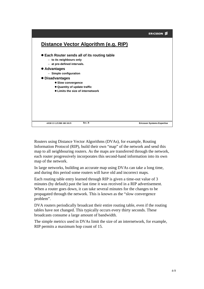

Routers using Distance Vector Algorithms (DVAs), for example, Routing Information Protocol (RIP), build their own "map" of the network and send this map to all neighbouring routers. As the maps are transferred through the network, each router progressively incorporates this second-hand information into its own map of the network.

In large networks, building an accurate map using DVAs can take a long time, and during this period some routers will have old and incorrect maps.

Each routing table entry learned through RIP is given a time-out value of 3 minutes (by default) past the last time it was received in a RIP advertisement. When a router goes down, it can take several minutes for the changes to be propagated through the network. This is known as the "slow convergence problem".

DVA routers periodically broadcast their entire routing table, even if the routing tables have not changed. This typically occurs every thirty seconds. These broadcasts consume a large amount of bandwidth.

The simple metrics used in DVAs limit the size of an internetwork, for example, RIP permits a maximum hop count of 15.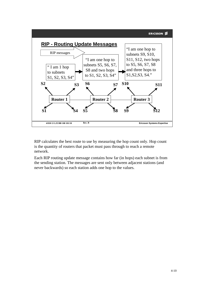

RIP calculates the best route to use by measuring the hop count only. Hop count is the quantity of routers that packet must pass through to reach a remote network.

Each RIP routing update message contains how far (in hops) each subnet is from the sending station. The messages are sent only between adjacent stations (and never backwards) so each station adds one hop to the values.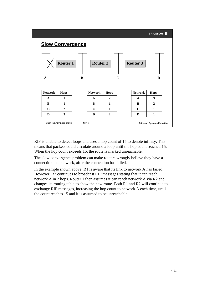

RIP is unable to detect loops and uses a hop count of 15 to denote infinity. This means that packets could circulate around a loop until the hop count reached 15. When the hop count exceeds 15, the route is marked unreachable.

The slow convergence problem can make routers wrongly believe they have a connection to a network, after the connection has failed.

In the example shown above, R1 is aware that its link to network A has failed. However, R2 continues to broadcast RIP messages stating that it can reach network A in 2 hops. Router 1 then assumes it can reach network A via R2 and changes its routing table to show the new route. Both R1 and R2 will continue to exchange RIP messages, increasing the hop count to network A each time, until the count reaches 15 and it is assumed to be unreachable.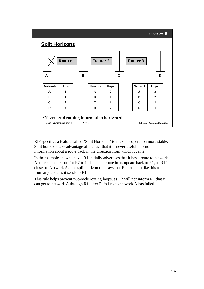|                       |                                                                        |        |                 |              |             |                 | <b>ERICSSON ≶</b>                 |
|-----------------------|------------------------------------------------------------------------|--------|-----------------|--------------|-------------|-----------------|-----------------------------------|
| <b>Split Horizons</b> |                                                                        |        |                 |              |             |                 |                                   |
|                       | <b>Router 1</b>                                                        |        | <b>Router 2</b> |              |             | <b>Router 3</b> |                                   |
| $\mathbf A$           |                                                                        | B      |                 |              | $\mathbf C$ |                 | D                                 |
| <b>Network</b>        | <b>Hops</b>                                                            |        | <b>Network</b>  | <b>Hops</b>  |             | <b>Network</b>  | <b>Hops</b>                       |
| $\mathbf{A}$          | 1                                                                      |        | $\mathbf{A}$    | $\mathbf{2}$ |             | $\mathbf{A}$    | 3                                 |
| B                     | 1                                                                      |        | B               | 1            |             | B               | $\mathbf{2}$                      |
| $\mathbf C$           | $\mathbf{2}$                                                           |        | $\mathbf C$     | 1            |             | $\mathbf C$     | $\mathbf{1}$                      |
| D                     | 3                                                                      |        | D               | $\mathbf{2}$ |             | D               | 1                                 |
|                       | •Never send routing information backwards<br>4/038 13 LZUBB 108 101/12 | Rev. B |                 |              |             |                 | <b>Ericsson Systems Expertise</b> |

RIP specifies a feature called "Split Horizons" to make its operation more stable. Split horizons take advantage of the fact that it is never useful to send information about a route back in the direction from which it came.

In the example shown above, R1 initially advertises that it has a route to network A. there is no reason for R2 to include this route in its update back to R1, as R1 is closer to Network A. The split horizon rule says that R2 should strike this route from any updates it sends to R1.

This rule helps prevent two-node routing loops, as R2 will not inform R1 that it can get to network A through R1, after R1's link to network A has failed.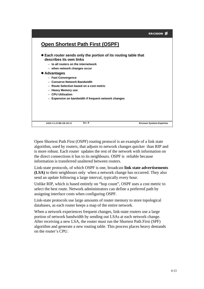|                                                                                                                                                                                                                                                                                                                                                                                        | <b>ERICSSON</b>                   |
|----------------------------------------------------------------------------------------------------------------------------------------------------------------------------------------------------------------------------------------------------------------------------------------------------------------------------------------------------------------------------------------|-----------------------------------|
| <b>Open Shortest Path First (OSPF)</b>                                                                                                                                                                                                                                                                                                                                                 |                                   |
| • Each router sends only the portion of its routing table that<br>describes its own links<br>- to all routers on the internetwork<br>- when network changes occur<br>• Advantages<br>- Fast Convergence<br>- Conserve Network Bandwidth<br>- Route Selection based on a cost metric<br>- Heavy Memory use<br>- CPU Utilisation<br>- Expensive on bandwidth if frequent network changes |                                   |
| Rev. B<br>4/038 13 LZUBB 108 101/13                                                                                                                                                                                                                                                                                                                                                    | <b>Ericsson Systems Expertise</b> |

Open Shortest Path First (OSPF) routing protocol is an example of a link state algorithm, used by routers, that adjusts to network changes quicker than RIP and is more robust. Each router updates the rest of the network with information on the direct connections it has to its neighbours. OSPF is reliable because information is transferred unaltered between routers.

Link-state protocols, of which OSPF is one, broadcast **link state advertisements (LSA)** to their neighbours only when a network change has occurred. They also send an update following a large interval, typically every hour.

Unlike RIP, which is based entirely on "hop count", OSPF uses a cost metric to select the best route. Network administrators can define a preferred path by assigning interface costs when configuring OSPF.

Link-state protocols use large amounts of router memory to store topological databases, as each router keeps a map of the entire network.

When a network experiences frequent changes, link-state routers use a large portion of network bandwidth by sending out LSAs at each network change. After receiving a new LSA, the router must run the Shortest Path First (SPF) algorithm and generate a new routing table. This process places heavy demands on the router's CPU.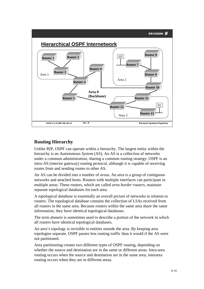

#### **Routing Hierarchy**

Unlike RIP, OSPF can operate within a hierarchy. The largest entity within the hierarchy is an A*utonomous System* (AS). An AS is a collection of networks under a common administration, sharing a common routing strategy. OSPF is an intra-AS (interior gateway) routing protocol, although it is capable of receiving routes from and sending routes to other AS.

An AS can be divided into a number of *areas.* An area is a group of contiguous networks and attached hosts. Routers with multiple interfaces can participate in multiple areas. These routers, which are called *area border routers,* maintain separate topological databases for each area.

A *topological database* is essentially an overall picture of networks in relation to routers. The topological database contains the collection of LSAs received from all routers in the same area. Because routers within the same area share the same information, they have identical topological databases.

The term *domain* is sometimes used to describe a portion of the network in which all routers have identical topological databases.

An area's topology is invisible to entities outside the area. By keeping area topologies separate, OSPF passes less routing traffic than it would if the AS were not partitioned.

Area partitioning creates two different types of OSPF routing, depending on whether the source and destination are in the same or different areas. Intra-area routing occurs when the source and destination are in the same area; interarea routing occurs when they are in different areas.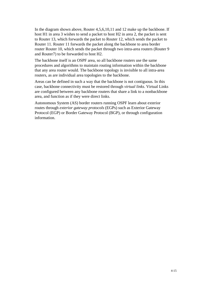In the diagram shown above, Router 4,5,6,10,11 and 12 make up the backbone. If host H1 in area 3 wishes to send a packet to host H2 in area 2, the packet is sent to Router 13, which forwards the packet to Router 12, which sends the packet to Router 11. Router 11 forwards the packet along the backbone to area border router Router 10, which sends the packet through two intra-area routers (Router 9 and Router7) to be forwarded to host H2.

The backbone itself is an OSPF area, so all backbone routers use the same procedures and algorithms to maintain routing information within the backbone that any area router would. The backbone topology is invisible to all intra-area routers, as are individual area topologies to the backbone.

Areas can be defined in such a way that the backbone is not contiguous. In this case, backbone connectivity must be restored through *virtual links*. Virtual Links are configured between any backbone routers that share a link to a nonbackbone area, and function as if they were direct links.

Autonomous System (AS) border routers running OSPF learn about exterior routes through *exterior gateway protocols* (EGPs) such as Exterior Gateway Protocol (EGP) or Border Gateway Protocol (BGP), or through configuration information.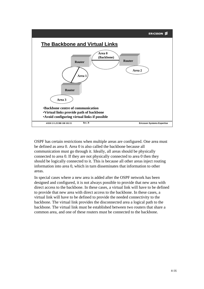

OSPF has certain restrictions when multiple areas are configured. One area must be defined as area 0. Area 0 is also called the backbone because all communication must go through it. Ideally, all areas should be physically connected to area 0. If they are not physically connected to area 0 then they should be logically connected to it. This is because all other areas inject routing information into area 0, which in turn disseminates that information to other areas.

In special cases where a new area is added after the OSPF network has been designed and configured, it is not always possible to provide that new area with direct access to the backbone. In these cases, a virtual link will have to be defined to provide that new area with direct access to the backbone. In these cases, a virtual link will have to be defined to provide the needed connectivity to the backbone. The virtual link provides the disconnected area a logical path to the backbone. The virtual link must be established between two routers that share a common area, and one of these routers must be connected to the backbone.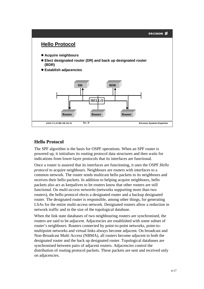

### **Hello Protocol**

The SPF algorithm is the basis for OSPF operations. When an SPF router is powered up, it initialises its routing protocol data structures and then waits for indications from lower-layer protocols that its interfaces are functional.

Once a router is assured that its interfaces are functioning, it uses the OSPF *Hello protocol* to acquire neighbours. Neighbours are routers with interfaces to a common network. The router sends multicast hello packets to its neighbours and receives their hello packets. In addition to helping acquire neighbours, hello packets also act as keepalives to let routers know that other routers are still functional. On *multi-access networks* (networks supporting more than two routers), the hello protocol elects a designated router and a backup designated router. The designated router is responsible, among other things, for generating LSAs for the entire multi-access network. Designated routers allow a reduction in network traffic and in the size of the topological database.

When the link state databases of two neighbouring routers are synchronised, the routers are said to be *adjacent.* Adjacencies are established with some subset of router's neighbours. Routers connected by point-to-point networks, point-tomultipoint networks and virtual links always become adjacent. On broadcast and Non-Broadcast Multi Access (NBMA), all routers become adjacent to both the designated router and the back up designated router. Topological databases are synchronised between pairs of adjacent routers. Adjacencies control the distribution of routing protocol packets. These packets are sent and received only on adjacencies.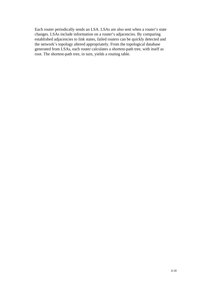Each router periodically sends an LSA. LSAs are also sent when a router's state changes. LSAs include information on a router's adjacencies. By comparing established adjacencies to link states, failed routers can be quickly detected and the network's topology altered appropriately. From the topological database generated from LSAs, each router calculates a shortest-path tree, with itself as root. The shortest-path tree, in turn, yields a routing table.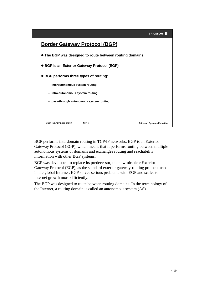|                                                          | <b>ERICSSON</b>                   |
|----------------------------------------------------------|-----------------------------------|
| <b>Border Gateway Protocol (BGP)</b>                     |                                   |
| • The BGP was designed to route between routing domains. |                                   |
| • BGP is an Exterior Gateway Protocol (EGP)              |                                   |
| • BGP performs three types of routing:                   |                                   |
| - interautonomous system routing                         |                                   |
| - intra-autonomous system routing                        |                                   |
| - pass-through autonomous system routing                 |                                   |
|                                                          |                                   |
| Rev. B<br>4/038 13 LZUBB 108 101/17                      | <b>Ericsson Systems Expertise</b> |

BGP performs interdomain routing in TCP/IP networks. BGP is an Exterior Gateway Protocol (EGP), which means that it performs routing between multiple autonomous systems or domains and exchanges routing and reachability information with other BGP systems.

BGP was developed to replace its predecessor, the now-obsolete Exterior Gateway Protocol (EGP), as the standard exterior gateway-routing protocol used in the global Internet. BGP solves serious problems with EGP and scales to Internet growth more efficiently.

The BGP was designed to route between routing domains. In the terminology of the Internet, a routing domain is called an autonomous system (AS).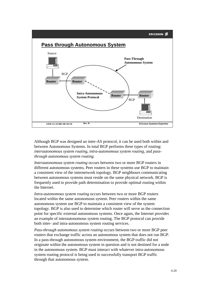

Although BGP was designed an inter-AS protocol, it can be used both within and between Autonomous Systems. In total BGP performs three types of routing: *interautonomous system routing, intra-autonomous system routing,* and *passthrough autonomous system routing*.

*Interautonomous system routing* occurs between two or more BGP routers in different autonomous systems. Peer routers in these systems use BGP to maintain a consistent view of the internetwork topology. BGP neighbours communicating between autonomous systems must reside on the same physical network. BGP is frequently used to provide path determination to provide optimal routing within the Internet.

*Intra-autonomous system routing* occurs between two or more BGP routers located within the same autonomous system. Peer routers within the same autonomous system use BGP to maintain a consistent view of the system topology. BGP is also used to determine which router will serve as the connection point for specific external autonomous systems. Once again, the Internet provides an example of interautonomous system routing. The BGP protocol can provide both inter- and intra-autonomous system routing services.

*Pass-through autonomous system routing* occurs between two or more BGP peer routers that exchange traffic across an autonomous system that does not run BGP. In a pass-through autonomous system environment, the BGP traffic did not originate within the autonomous system in question and is not destined for a node in the autonomous system. BGP must interact with whatever intra-autonomous system routing protocol is being used to successfully transport BGP traffic through that autonomous system.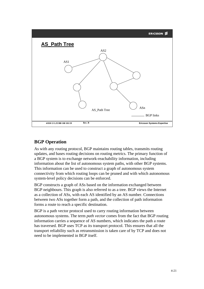

#### **BGP Operation**

As with any routing protocol, BGP maintains routing tables, transmits routing updates, and bases routing decisions on routing metrics. The primary function of a BGP system is to exchange network-reachability information, including information about the list of autonomous system paths, with other BGP systems. This information can be used to construct a graph of autonomous system connectivity from which routing loops can be pruned and with which autonomous system-level policy decisions can be enforced.

BGP constructs a graph of ASs based on the information exchanged between BGP neighbours. This graph is also referred to as a tree. BGP views the Internet as a collection of ASs, with each AS identified by an AS number. Connections between two ASs together form a path, and the collection of path information forms a route to reach a specific destination.

BGP is a path vector protocol used to carry routing information between autonomous systems. The term *path vector* comes from the fact that BGP routing information carries a sequence of AS numbers, which indicates the path a route has traversed. BGP uses TCP as its transport protocol. This ensures that all the transport reliability such as retransmission is taken care of by TCP and does not need to be implemented in BGP itself.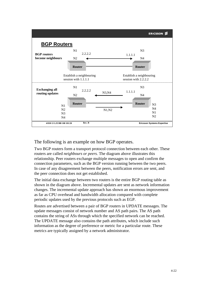

#### The following is an example on how BGP operates.

Two BGP routers form a transport protocol connection between each other. These routers are called *neighbours or peers.* The diagram above illustrates this relationship. Peer routers exchange multiple messages to open and confirm the connection parameters, such as the BGP version running between the two peers. In case of any disagreement between the peers, notification errors are sent, and the peer connection does not get established.

The initial data exchange between two routers is the entire BGP routing table as shown in the diagram above. Incremental updates are sent as network information changes. The incremental update approach has shown an enormous improvement as far as CPU overhead and bandwidth allocation compared with complete periodic updates used by the previous protocols such as EGP.

Routes are advertised between a pair of BGP routers in UPDATE messages. The update messages consist of network number and AS path pairs. The AS path contains the string of ASs through which the specified network can be reached. The UPDATE message also contains the path attributes, which include such information as the degree of preference or metric for a particular route. These metrics are typically assigned by a network administrator.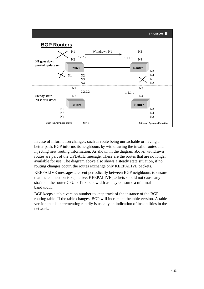

In case of information changes, such as route being unreachable or having a better path, BGP informs its neighbours by withdrawing the invalid routes and injecting new routing information. As shown in the diagram above, withdrawn routes are part of the UPDATE message. These are the routes that are no longer available for use. The diagram above also shows a steady state situation, if no routing changes occur, the routes exchange only KEEPALIVE packets.

KEEPALIVE messages are sent periodically between BGP neighbours to ensure that the connection is kept alive. KEEPALIVE packets should not cause any strain on the router CPU or link bandwidth as they consume a minimal bandwidth.

BGP keeps a table version number to keep track of the instance of the BGP routing table. If the table changes, BGP will increment the table version. A table version that is incrementing rapidly is usually an indication of instabilities in the network.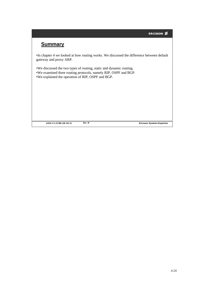## **Summary**

•In chapter 4 we looked at how routing works. We discussed the difference between default gateway and proxy ARP.

•We discussed the two types of routing, static and dynamic routing. •We examined three routing protocols, namely RIP, OSPF and BGP. •We explained the operation of RIP, OSPF and BGP.

**4/038 13 LZUBB 108 101/22**

**FREV. B Expertise**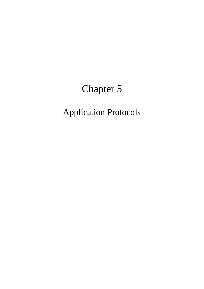# Chapter 5

## Application Protocols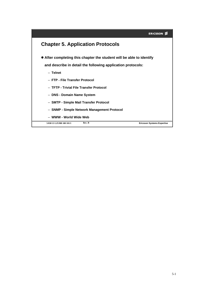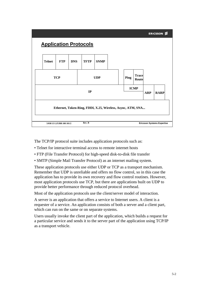## **Application Protocols**



The TCP/IP protocol suite includes application protocols such as:

- Telnet for interactive terminal access to remote internet hosts
- FTP (File Transfer Protocol) for high-speed disk-to-disk file transfer
- SMTP (Simple Mail Transfer Protocol) as an internet mailing system.

These application protocols use either UDP or TCP as a transport mechanism. Remember that UDP is unreliable and offers no flow control, so in this case the application has to provide its own recovery and flow control routines. However, most application protocols use TCP, but there are applications built on UDP to provide better performance through reduced protocol overhead.

Most of the application protocols use the client/server model of interaction.

A server is an application that offers a service to Internet users. A client is a requester of a service. An application consists of both a server and a client part, which can run on the same or on separate systems.

Users usually invoke the client part of the application, which builds a request for a particular service and sends it to the server part of the application using TCP/IP as a transport vehicle.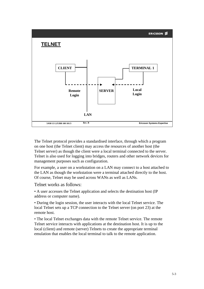

The Telnet protocol provides a standardised interface, through which a program on one host (the Telnet client) may access the resources of another host (the Telnet server) as though the client were a local terminal connected to the server. Telnet is also used for logging into bridges, routers and other network devices for management purposes such as configuration.

For example, a user on a workstation on a LAN may connect to a host attached to the LAN as though the workstation were a terminal attached directly to the host. Of course, Telnet may be used across WANs as well as LANs.

Telnet works as follows:

• A user accesses the Telnet application and selects the destination host (IP address or computer name).

• During the login session, the user interacts with the local Telnet service. The local Telnet sets up a TCP connection to the Telnet server (on port 23) at the remote host.

• The local Telnet exchanges data with the remote Telnet service. The remote Telnet service interacts with applications at the destination host. It is up to the local (client) and remote (server) Telnets to create the appropriate terminal emulation that enables the local terminal to talk to the remote application.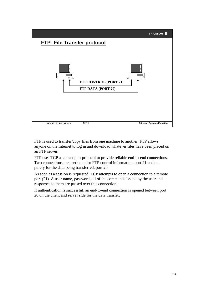

FTP is used to transfer/copy files from one machine to another. FTP allows anyone on the Internet to log in and download whatever files have been placed on an FTP server.

FTP uses TCP as a transport protocol to provide reliable end-to-end connections. Two connections are used: one for FTP control information, port 21 and one purely for the data being transferred, port 20.

As soon as a session is requested, TCP attempts to open a connection to a remote port (21). A user-name, password, all of the commands issued by the user and responses to them are passed over this connection.

If authentication is successful, an end-to-end connection is opened between port 20 on the client and server side for the data transfer.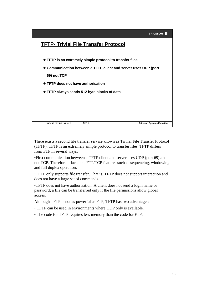

There exists a second file transfer service known as Trivial File Transfer Protocol (TFTP). TFTP is an extremely simple protocol to transfer files. TFTP differs from FTP in several ways.

•First communication between a TFTP client and server uses UDP (port 69) and not TCP. Therefore it lacks the FTP/TCP features such as sequencing, windowing and full duplex operation.

•TFTP only supports file transfer. That is, TFTP does not support interaction and does not have a large set of commands.

•TFTP does not have authorisation. A client does not send a login name or password; a file can be transferred only if the file permissions allow global access.

Although TFTP is not as powerful as FTP, TFTP has two advantages:

- TFTP can be used in environments where UDP only is available.
- The code for TFTP requires less memory than the code for FTP.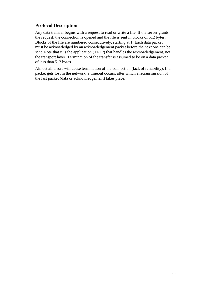### **Protocol Description**

Any data transfer begins with a request to read or write a file. If the server grants the request, the connection is opened and the file is sent in blocks of 512 bytes. Blocks of the file are numbered consecutively, starting at 1. Each data packet must be acknowledged by an acknowledgement packet before the next one can be sent. Note that it is the application (TFTP) that handles the acknowledgement, not the transport layer. Termination of the transfer is assumed to be on a data packet of less than 512 bytes.

Almost all errors will cause termination of the connection (lack of reliability). If a packet gets lost in the network, a timeout occurs, after which a retransmission of the last packet (data or acknowledgement) takes place.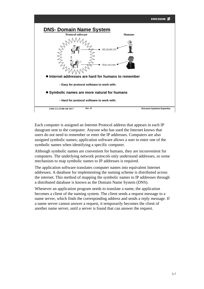

Each computer is assigned an Internet Protocol address that appears in each IP datagram sent to the computer. Anyone who has used the Internet knows that users do not need to remember or enter the IP addresses. Computers are also assigned symbolic names; application software allows a user to enter one of the symbolic names when identifying a specific computer.

Although symbolic names are convenient for humans, they are inconvenient for computers. The underlying network protocols only understand addresses, so some mechanism to map symbolic names to IP addresses is required.

The application software translates computer names into equivalent Internet addresses. A database for implementing the naming scheme is distributed across the internet. This method of mapping the symbolic names to IP addresses through a distributed database is known as the Domain Name System (DNS).

Whenever an application program needs to translate a name, the application becomes a client of the naming system. The client sends a request message to a name server, which finds the corresponding address and sends a reply message. If a name server cannot answer a request, it temporarily becomes the client of another name server, until a server is found that can answer the request.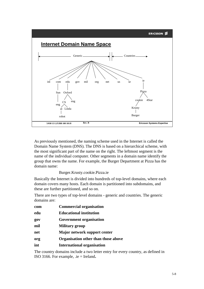



As previously mentioned, the naming scheme used in the Internet is called the Domain Name System (DNS). The DNS is based on a hierarchical scheme, with the most significant part of the name on the right. The leftmost segment is the name of the individual computer. Other segments in a domain name identify the group that owns the name. For example, the Burger Department at Pizza has the domain name:

Burger.Krusty.cookie.Pizza.ie

Basically the Internet is divided into hundreds of top-level domains, where each domain covers many hosts. Each domain is partitioned into subdomains, and these are further partitioned, and so on.

There are two types of top-level domains - generic and countries. The generic domains are:

| com | <b>Commercial organisation</b>      |
|-----|-------------------------------------|
| edu | <b>Educational institution</b>      |
| gov | <b>Government organisation</b>      |
| mil | <b>Military group</b>               |
| net | <b>Major network support center</b> |
| org | Organisation other than those above |
| int | <b>International organisation</b>   |

The country domains include a two letter entry for every country, as defined in ISO 3166. For example, .ie = Ireland**.**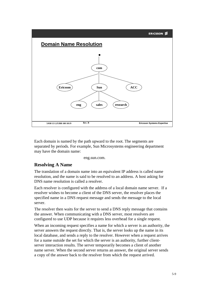

Each domain is named by the path upward to the root. The segments are separated by periods. For example, Sun Microsystems engineering department may have the domain name:

eng.sun.com.

#### **Resolving A Name**

The translation of a domain name into an equivalent IP address is called name resolution, and the name is said to be resolved to an address. A host asking for DNS name resolution is called a resolver.

Each resolver is configured with the address of a local domain name server. If a resolver wishes to become a client of the DNS server, the resolver places the specified name in a DNS request message and sends the message to the local server.

The resolver then waits for the server to send a DNS reply message that contains the answer. When communicating with a DNS server, most resolvers are configured to use UDP because it requires less overhead for a single request.

When an incoming request specifies a name for which a server is an authority, the server answers the request directly. That is, the server looks up the name in its local database, and sends a reply to the resolver. However when a request arrives for a name outside the set for which the server is an authority, further clientserver interaction results. The server temporarily becomes a client of another name server. When the second server returns an answer, the original server sends a copy of the answer back to the resolver from which the request arrived.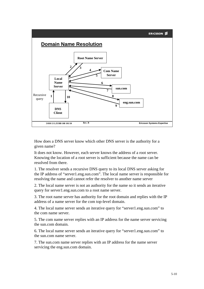

How does a DNS server know which other DNS server is the authority for a given name?

It does not know. However, each server knows the address of a root server. Knowing the location of a root server is sufficient because the name can be resolved from there.

1. The resolver sends a recursive DNS query to its local DNS server asking for the IP address of "server1.eng.sun.com". The local name server is responsible for resolving the name and cannot refer the resolver to another name server

2. The local name server is not an authority for the name so it sends an iterative query for server1.eng.sun.com to a root name server.

3. The root name server has authority for the root domain and replies with the IP address of a name server for the com top-level domain.

4. The local name server sends an iterative query for "server1.eng.sun.com" to the com name server.

5. The com name server replies with an IP address for the name server servicing the sun.com domain.

6. The local name server sends an iterative query for "server1.eng.sun.com" to the sun.com name server.

7. The sun.com name server replies with an IP address for the name server servicing the eng.sun.com domain.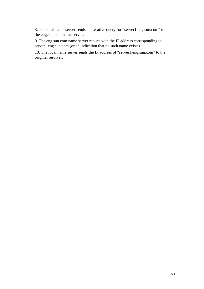8. The local name server sends an iterative query for "server1.eng.sun.com" to the eng.sun.com name server.

9. The eng.sun.com name server replies with the IP address corresponding to server1.eng.sun.com (or an indication that no such name exists)

10. The local name server sends the IP address of "server1.eng.sun.com" to the original resolver.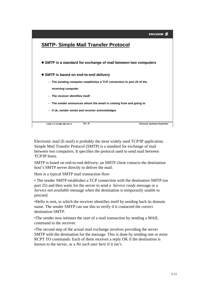

Electronic mail (E-mail) is probably the most widely used TCP/IP application. Simple Mail Transfer Protocol (SMTP) is a standard for exchange of mail between two computers. It specifies the protocol used to send mail between TCP/IP hosts.

SMTP is based on end-to-end delivery; an SMTP client contacts the destination host's SMTP server directly to deliver the mail.

Here is a typical SMTP mail transaction flow:

• The sender SMTP establishes a TCP connection with the destination SMTP (on port 25) and then waits for the server to send a *Service ready* message or a *Service not available* message when the destination is temporarily unable to proceed.

•Hello is sent, to which the receiver identifies itself by sending back its domain name. The sender SMTP can use this to verify if it contacted the correct destination SMTP.

•The sender now initiates the start of a mail transaction by sending a MAIL command to the receiver.

•The second step of the actual mail exchange involves providing the server SMTP with the destination for the message. This is done by sending one or more RCPT TO commands. Each of them receives a reply OK if the destination is known to the server, or a *No such user here* if it isn't.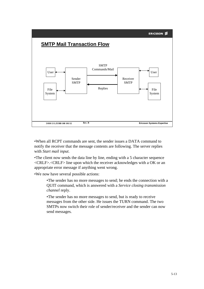# **SMTP Mail Transaction Flow**



•When all RCPT commands are sent, the sender issues a DATA command to notify the receiver that the message contents are following. The server replies with *Start mail input*.

•The client now sends the data line by line, ending with a 5 character sequence <CRLF>.<CRLF> line upon which the receiver acknowledges with a OK or an appropriate error message if anything went wrong.

•We now have several possible actions:

•The sender has no more messages to send; he ends the connection with a QUIT command, which is answered with a *Service closing transmission channel* reply.

•The sender has no more messages to send, but is ready to receive messages from the other side. He issues the TURN command. The two SMTPs now switch their role of sender/receiver and the sender can now send messages.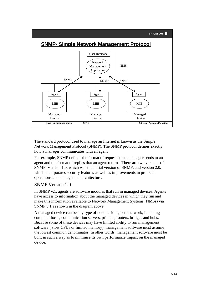#### **ERICSSON**



The standard protocol used to manage an Internet is known as the Simple Network Management Protocol (SNMP). The SNMP protocol defines exactly how a manager communicates with an agent.

For example, SNMP defines the format of requests that a manager sends to an agent and the format of replies that an agent returns. There are two versions of SNMP. Version 1.0, which was the initial version of SNMP, and version 2.0, which incorporates security features as well as improvements in protocol operations and management architecture.

#### SNMP Version 1.0

In SNMP v.1, agents are software modules that run in managed devices. Agents have access to information about the managed devices in which they run and make this information available to Network Management Systems (NMSs) via SNMP v.1 as shown in the diagram above.

A managed device can be any type of node residing on a network, including computer hosts, communication servers, printers, routers, bridges and hubs. Because some of these devices may have limited ability to run management software ( slow CPUs or limited memory), management software must assume the lowest common denominator. In other words, management software must be built in such a way as to minimise its own performance impact on the managed device.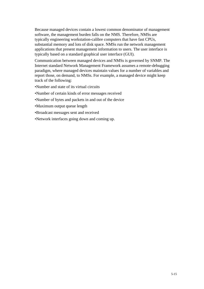Because managed devices contain a lowest common denominator of management software, the management burden falls on the NMS. Therefore, NMSs are typically engineering workstation-calibre computers that have fast CPUs, substantial memory and lots of disk space. NMSs run the network management applications that present management information to users. The user interface is typically based on a standard graphical user interface (GUI).

Communication between managed devices and NMSs is governed by SNMP. The Internet standard Network Management Framework assumes a remote-debugging paradigm, where managed devices maintain values for a number of variables and report those, on demand, to NMSs. For example, a managed device might keep track of the following:

- •Number and state of its virtual circuits
- •Number of certain kinds of error messages received
- •Number of bytes and packets in and out of the device
- •Maximum output queue length
- •Broadcast messages sent and received
- •Network interfaces going down and coming up.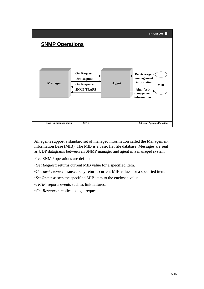

All agents support a standard set of managed information called the Management Information Base (MIB). The MIB is a basic flat file database. Messages are sent as UDP datagrams between an SNMP manager and agent in a managed system.

Five SNMP operations are defined:

- •*Get Request*: returns current MIB value for a specified item.
- •*Get-next-request*: transversely returns current MIB values for a specified item.
- •*Set-Request*: sets the specified MIB item to the enclosed value.

•*TRAP*: reports events such as link failures.

•*Get Response*: replies to a get request.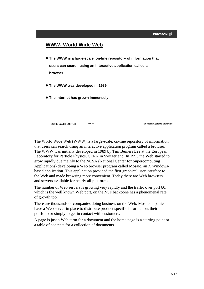#### ERICSSON<sup>2</sup>



The World Wide Web (WWW) is a large-scale, on-line repository of information that users can search using an interactive application program called a browser. The WWW was initially developed in 1989 by Tim Berners Lee at the European Laboratory for Particle Physics, CERN in Switzerland. In 1993 the Web started to grow rapidly due mainly to the NCSA (National Center for Supercomputing Applications) developing a Web browser program called Mosaic, an X Windowsbased application. This application provided the first graphical user interface to the Web and made browsing more convenient. Today there are Web browsers and servers available for nearly all platforms.

The number of Web servers is growing very rapidly and the traffic over port 80, which is the well known Web port, on the NSF backbone has a phenomenal rate of growth too.

There are thousands of companies doing business on the Web. Most companies have a Web server in place to distribute product specific information, their portfolio or simply to get in contact with customers.

A page is just a Web term for a document and the home page is a starting point or a table of contents for a collection of documents.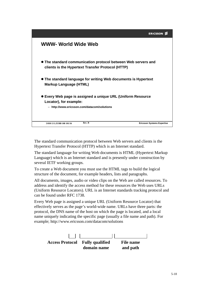

The standard communication protocol between Web servers and clients is the Hypertext Transfer Protocol (HTTP) which is an Internet standard.

The standard language for writing Web documents is HTML (Hypertext Markup Language) which is an Internet standard and is presently under construction by several IETF working groups.

To create a Web document you must use the HTML tags to build the logical structure of the document, for example headers, lists and paragraphs.

All documents, images, audio or video clips on the Web are called resources. To address and identify the access method for these resources the Web uses URLs (Uniform Resource Locators). URL is an Internet standards tracking protocol and can be found under RFC 1738.

Every Web page is assigned a unique URL (Uniform Resource Locator) that effectively serves as the page's world-wide name. URLs have three parts: the protocol, the DNS name of the host on which the page is located, and a local name uniquely indicating the specific page (usually a file name and path). For example; http://www.ericsson.com/datacom/solutions

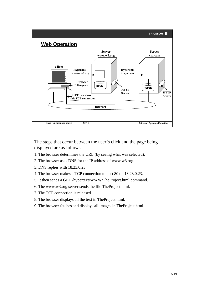

The steps that occur between the user's click and the page being displayed are as follows:

- 1. The browser determines the URL (by seeing what was selected).
- 2. The browser asks DNS for the IP address of www.w3.org.
- 3. DNS replies with 18.23.0.23.
- 4. The browser makes a TCP connection to port 80 on 18.23.0.23.
- 5. It then sends a GET /hypertext/WWW/TheProject.html command.
- 6. The www.w3.org server sends the file TheProject.html.
- 7. The TCP connection is released.
- 8. The browser displays all the text in TheProject.html.
- 9. The browser fetches and displays all images in TheProject.html.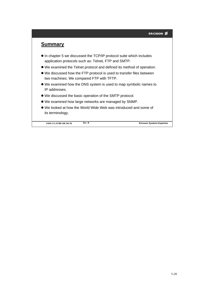## **Summary**

- $\bullet$  In chapter 5 we discussed the TCP/IP protocol suite which includes application protocols such as: Telnet, FTP and SMTP.
- We examined the Telnet protocol and defined its method of operation.
- We discussed how the FTP protocol is used to transfer files between two machines. We compared FTP with TFTP.
- We examined how the DNS system is used to map symbolic names to IP addresses.
- We discussed the basic operation of the SMTP protocol.
- We examined how large networks are managed by SNMP.
- We looked at how the World Wide Web was introduced and some of its terminology.

**5/038 13 LZUBB 108 101/18**

**Rev. B Ericsson Systems Expertise**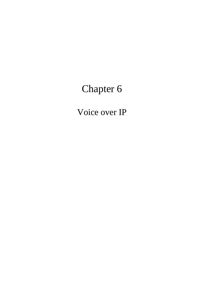# Chapter 6

Voice over IP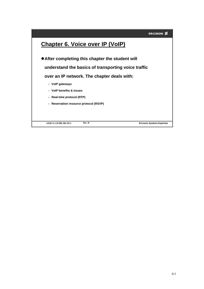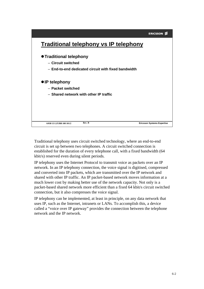

Traditional telephony uses circuit switched technology, where an end-to-end circuit is set up between two telephones. A circuit switched connection is established for the duration of every telephone call, with a fixed bandwidth (64 kbit/s) reserved even during silent periods.

IP telephony uses the Internet Protocol to transmit voice as packets over an IP network. In an IP telephony connection, the voice signal is digitised, compressed and converted into IP packets, which are transmitted over the IP network and shared with other IP traffic. An IP packet-based network moves information at a much lower cost by making better use of the network capacity. Not only is a packet-based shared network more efficient than a fixed 64 kbit/s circuit switched connection, but it also compresses the voice signal.

IP telephony can be implemented, at least in principle, on any data network that uses IP, such as the Internet, intranets or LANs. To accomplish this, a device called a "voice over IP gateway" provides the connection between the telephone network and the IP network.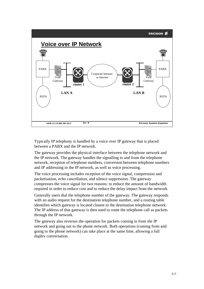

Typically IP telephony is handled by a voice over IP gateway that is placed between a PABX and the IP network.

The gateway provides the physical interface between the telephone network and the IP network. The gateway handles the signalling to and from the telephone network, reception of telephone numbers, conversion between telephone numbers and IP addressing in the IP network, as well as voice processing.

The voice processing includes reception of the voice signal, compression and packetisation, echo cancellation, and silence suppression. The gateway compresses the voice signal for two reasons: to reduce the amount of bandwidth required in order to reduce cost and to reduce the delay impact from the network.

Generally users dial the telephone number of the gateway. The gateway responds with an audio request for the destination telephone number, and a routing table identifies which gateway is located closest to the destination telephone network. The IP address of that gateway is then used to route the telephone call as packets through the IP network.

The gateway also reverses the operation for packets coming in from the IP network and going out to the phone network. Both operations (coming from and going to the phone network) can take place at the same time, allowing a full duplex conversation.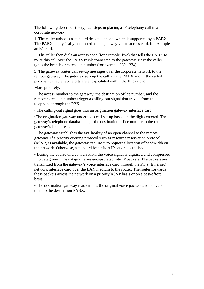The following describes the typical steps in placing a IP telephony call in a corporate network:

1. The caller unhooks a standard desk telephone, which is supported by a PABX. The PABX is physically connected to the gateway via an access card, for example an E1 card.

2. The caller then dials an access code (for example, five) that tells the PABX to route this call over the PABX trunk connected to the gateway. Next the caller types the branch or extension number (for example 830-1234).

3. The gateway routes call set-up messages over the corporate network to the remote gateway. The gateway sets up the call via the PABX and, if the called party is available, voice bits are encapsulated within the IP payload.

More precisely:

• The access number to the gateway, the destination office number, and the remote extension number trigger a calling-out signal that travels from the telephone through the PBX.

• The calling-out signal goes into an origination gateway interface card.

•The origination gateway undertakes call set-up based on the digits entered. The gateway's telephone database maps the destination office number to the remote gateway's IP address.

• The gateway establishes the availability of an open channel to the remote gateway. If a priority queuing protocol such as resource reservation protocol (RSVP) is available, the gateway can use it to request allocation of bandwidth on the network. Otherwise, a standard best-effort IP service is utilised.

• During the course of a conversation, the voice signal is digitised and compressed into datagrams. The datagrams are encapsulated into IP packets. The packets are transmitted from the gateway's voice interface card through the PC's (Ethernet) network interface card over the LAN medium to the router. The router forwards these packets across the network on a priority/RSVP basis or on a best-effort basis.

• The destination gateway reassembles the original voice packets and delivers them to the destination PABX.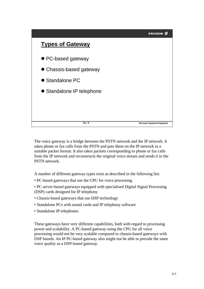

The voice gateway is a bridge between the PSTN network and the IP network. It takes phone or fax calls from the PSTN and puts them on the IP network in a suitable packet format. It also takes packets corresponding to phone or fax calls from the IP network and reconstructs the original voice stream and sends it to the PSTN network.

A number of different gateway types exist as described in the following list:

• PC-based gateways that use the CPU for voice processing

• PC server-based gateways equipped with specialised Digital Signal Processing (DSP) cards designed for IP telephony

- Chassis-based gateways that use DSP technology
- Standalone PCs with sound cards and IP telephony software
- Standalone IP telephones

These gateways have very different capabilities, both with regard to processing power and scalability. A PC-based gateway using the CPU for all voice processing would not be very scalable compared to chassis-based gateways with DSP boards. An IP PC-based gateway also might not be able to provide the same voice quality as a DSP-based gateway.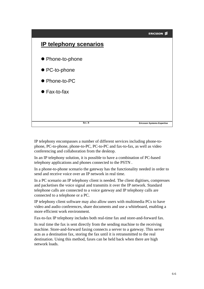

IP telephony encompasses a number of different services including phone-tophone, PC-to-phone, phone-to-PC, PC-to-PC and fax-to-fax, as well as video conferencing and collaboration from the desktop.

In an IP telephony solution, it is possible to have a combination of PC-based telephony applications and phones connected to the PSTN .

In a phone-to-phone scenario the gateway has the functionality needed in order to send and receive voice over an IP network in real time.

In a PC scenario an IP telephony client is needed. The client digitises, compresses and packetises the voice signal and transmits it over the IP network. Standard telephone calls are connected to a voice gateway and IP telephony calls are connected to a telephone or a PC.

IP telephony client software may also allow users with multimedia PCs to have video and audio conferences, share documents and use a whiteboard, enabling a more efficient work environment.

Fax-to-fax IP telephony includes both real-time fax and store-and-forward fax.

In real time the fax is sent directly from the sending machine to the receiving machine. Store-and-forward faxing connects a server to a gateway. This server acts as a destination fax, storing the fax until it is retransmitted to the real destination. Using this method, faxes can be held back when there are high network loads.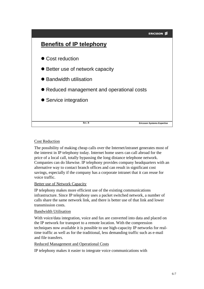

#### Cost Reduction

The possibility of making cheap calls over the Internet/intranet generates most of the interest in IP telephony today. Internet home users can call abroad for the price of a local call, totally bypassing the long distance telephone network. Companies can do likewise. IP telephony provides company headquarters with an alternative way to contact branch offices and can result in significant cost savings, especially if the company has a corporate intranet that it can reuse for voice traffic.

#### Better use of Network Capacity

IP telephony makes more efficient use of the existing communications infrastructure. Since IP telephony uses a packet switched network, a number of calls share the same network link, and there is better use of that link and lower transmission costs.

#### Bandwidth Utilisation

With voice/data integration, voice and fax are converted into data and placed on the IP network for transport to a remote location. With the compression techniques now available it is possible to use high-capacity IP networks for realtime traffic as well as for the traditional, less demanding traffic such as e-mail and file transfers.

#### Reduced Management and Operational Costs

IP telephony makes it easier to integrate voice communications with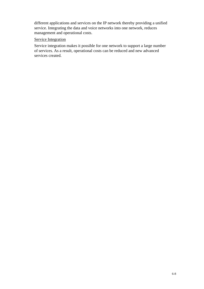different applications and services on the IP network thereby providing a unified service. Integrating the data and voice networks into one network, reduces management and operational costs.

#### Service Integration

Service integration makes it possible for one network to support a large number of services. As a result, operational costs can be reduced and new advanced services created.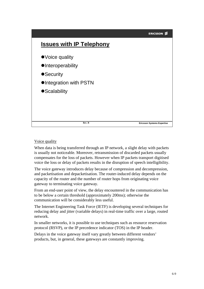

#### Voice quality

When data is being transferred through an IP network, a slight delay with packets is usually not noticeable. Moreover, retransmission of discarded packets usually compensates for the loss of packets. However when IP packets transport digitised voice the loss or delay of packets results in the disruption of speech intelligibility.

The voice gateway introduces delay because of compression and decompression, and packetisation and depacketisation. The router-induced delay depends on the capacity of the router and the number of router hops from originating voice gateway to terminating voice gateway.

From an end-user point of view, the delay encountered in the communication has to be below a certain threshold (approximately 200ms); otherwise the communication will be considerably less useful.

The Internet Engineering Task Force (IETF) is developing several techniques for reducing delay and jitter (variable delays) in real-time traffic over a large, routed network.

In smaller networks, it is possible to use techniques such as resource reservation protocol (RSVP), or the IP precedence indicator (TOS) in the IP header.

Delays in the voice gateway itself vary greatly between different vendors' products, but, in general, these gateways are constantly improving.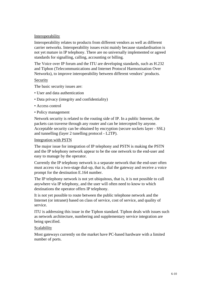#### Interoperability

Interoperability relates to products from different vendors as well as different carrier networks. Interoperability issues exist mainly because standardisation is not yet mature in IP telephony. There are no universally implemented or agreed standards for signalling, calling, accounting or billing.

The Voice over IP forum and the ITU are developing standards, such as H.232 and Tiphon (Telecommunications and Internet Protocol Harmonisation Over Networks), to improve interoperability between different vendors' products.

#### Security

The basic security issues are:

- User and data authentication
- Data privacy (integrity and confidentiality)
- Access control
- Policy management

Network security is related to the routing side of IP. In a public Internet, the packets can traverse through any router and can be intercepted by anyone. Acceptable security can be obtained by encryption (secure sockets layer - SSL) and tunnelling (layer 2 tunelling protocol - L2TP).

#### Integration with PSTN

The major issue for integration of IP telephony and PSTN is making the PSTN and the IP telephony network appear to be the one network to the end-user and easy to manage by the operator.

Currently the IP telephony network is a separate network that the end-user often must access via a two-stage dial-up, that is, dial the gateway and receive a voice prompt for the destination E.164 number.

The IP telephony network is not yet ubiquitous, that is, it is not possible to call anywhere via IP telephony, and the user will often need to know to which destinations the operator offers IP telephony.

It is not yet possible to route between the public telephone network and the Internet (or intranet) based on class of service, cost of service, and quality of service.

ITU is addressing this issue in the Tiphon standard. Tiphon deals with issues such as network architecture, numbering and supplementary service integration are being specified.

#### Scalability

Most gateways currently on the market have PC-based hardware with a limited number of ports.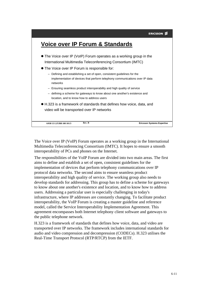# **Voice over IP Forum & Standards**

- The Voice over IP (VoIP) Forum operates as a working group in the International Multimedia Teleconferencing Consortium (IMTC)
- The Voice over IP Forum is responsible for:
	- Defining and establishing a set of open, consistent guidelines for the implementation of devices that perform telephony communications over IP data networks
	- Ensuring seamless product interoperability and high quality of service
	- defining a scheme for gateways to know about one another's existence and location, and to know how to address users
- H.323 is a framework of standards that defines how voice, data, and video will be transported over IP networks

| 6/038 13 LZUBB 108 101/3 | Rev. B | <b>Ericsson Systems Expertise</b> |
|--------------------------|--------|-----------------------------------|
|                          |        |                                   |

The Voice over IP (VoIP) Forum operates as a working group in the International Multimedia Teleconferencing Consortium (IMTC). It hopes to ensure a smooth interoperability of PCs and phones on the Internet.

The responsibilities of the VoIP Forum are divided into two main areas. The first aims to define and establish a set of open, consistent guidelines for the implementation of devices that perform telephony communications over IP protocol data networks. The second aims to ensure seamless product interoperability and high quality of service. The working group also needs to develop standards for addressing. This group has to define a scheme for gateways to know about one another's existence and location, and to know how to address users. Addressing a particular user is especially challenging in today's infrastructure, where IP addresses are constantly changing. To facilitate product interoperability, the VoIP Forum is creating a master guideline and reference model, called the Service Interoperability Implementation Agreement. This agreement encompasses both Internet telephony client software and gateways to the public telephone network.

H.323 is a framework of standards that defines how voice, data, and video are transported over IP networks. The framework includes international standards for audio and video compression and decompression (CODECs). H.323 utilises the Real-Time Transport Protocol (RTP/RTCP) from the IETF.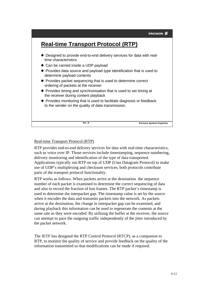# **Real-time Transport Protocol (RTP)**

- Designed to provide end-to-end delivery services for data with realtime characteristics
- Can be carried inside a UDP payload
- Provides data source and payload type identification that is used to determine payload contents
- **Provides packet sequencing that is used to determine correct** ordering of packets at the receiver
- **•** Provides timing and synchronisation that is used to set timing at the receiver during content playback
- **Provides monitoring that is used to facilitate diagnosis or feedback** to the sender on the quality of data transmission.

**Rev. B Ericsson Systems Expertise**

#### Real-time Transport Protocol (RTP)

RTP provides end-to-end delivery services for data with real-time characteristics, such as voice over IP. Those services include timestamping, sequence numbering, delivery monitoring and identification of the type of data transported. Applications typically run RTP on top of UDP (User Datagram Protocol) to make use of UDP's multiplexing and checksum services; both protocols contribute parts of the transport protocol functionality.

RTP works as follows. When packets arrive at the destination the sequence number of each packet is examined to determine the correct sequencing of data and also to record the fraction of lost frames. The RTP packet's timestamp is used to determine the interpacket gap. The timestamp value is set by the source when it encodes the data and transmits packets into the network. As packets arrive at the destination, the change in interpacket gap can be examined, and during playback this information can be used to regenerate the contents at the same rate as they were encoded. By utilising the buffer at the receiver, the source can attempt to pace the outgoing traffic independently of the jitter introduced by the packet network.

The IETF has designed the RTP Control Protocol (RTCP), as a companion to RTP, to monitor the quality of service and provide feedback on the quality of the information transmitted so that modifications can be made if required.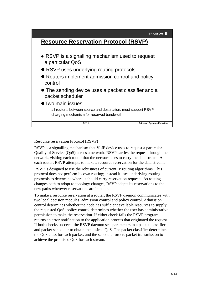# **ERICSSON Resource Reservation Protocol (RSVP)** RSVP is a signalling mechanism used to request a particular QoS ● RSVP uses underlying routing protocols ● Routers implement admission control and policy control The sending device uses a packet classifier and a packet scheduler Two main issues – all routers, between source and destination, must support RSVP – charging mechanism for reserved bandwidth **Rev. B Ericsson Systems Expertise**

Resource reservation Protocol (RSVP)

RSVP is a signalling mechanism that VoIP device uses to request a particular Quality of Service (QoS) across a network. RSVP carries the request through the network, visiting each router that the network uses to carry the data stream. At each router, RSVP attempts to make a resource reservation for the data stream.

RSVP is designed to use the robustness of current IP routing algorithms. This protocol does not perform its own routing; instead it uses underlying routing protocols to determine where it should carry reservation requests. As routing changes path to adopt to topology changes, RSVP adapts its reservations to the new paths wherever reservations are in place.

To make a resource reservation at a router, the RSVP daemon communicates with two local decision modules, admission control and policy control. Admission control determines whether the node has sufficient available resources to supply the requested QoS; policy control determines whether the user has administrative permission to make the reservation. If either check fails the RSVP program returns an error notification to the application process that originated the request. If both checks succeed, the RSVP daemon sets parameters in a packet classifier and packet scheduler to obtain the desired QoS. The packet classifier determines the QoS class for each packet, and the scheduler orders packet transmission to achieve the promised QoS for each stream.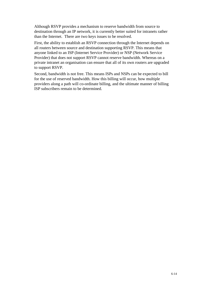Although RSVP provides a mechanism to reserve bandwidth from source to destination through an IP network, it is currently better suited for intranets rather than the Internet. There are two keys issues to be resolved.

First, the ability to establish an RSVP connection through the Internet depends on all routers between source and destination supporting RSVP. This means that anyone linked to an ISP (Internet Service Provider) or NSP (Network Service Provider) that does not support RSVP cannot reserve bandwidth. Whereas on a private intranet an organisation can ensure that all of its own routers are upgraded to support RSVP.

Second, bandwidth is not free. This means ISPs and NSPs can be expected to bill for the use of reserved bandwidth. How this billing will occur, how multiple providers along a path will co-ordinate billing, and the ultimate manner of billing ISP subscribers remain to be determined.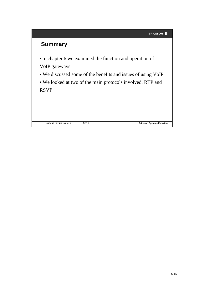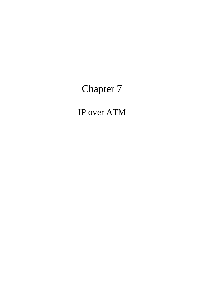# Chapter 7

IP over ATM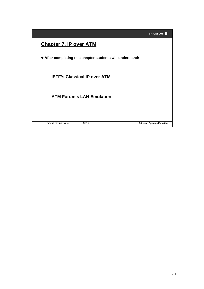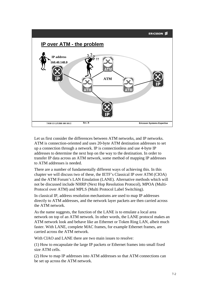#### **ERICSSON ≶**



Let us first consider the differences between ATM networks, and IP networks. ATM is connection-oriented and uses 20-byte ATM destination addresses to set up a connection through a network. IP is connectionless and use 4-byte IP addresses to determine the next hop on the way to the destination. In order to transfer IP data across an ATM network, some method of mapping IP addresses to ATM addresses is needed.

There are a number of fundamentally different ways of achieving this. In this chapter we will discuss two of these, the IETF's Classical IP over ATM (CIOA) and the ATM Forum's LAN Emulation (LANE). Alternative methods which will not be discussed include NHRP (Next Hop Resolution Protocol), MPOA (Multi-Protocol over ATM) and MPLS (Multi Protocol Label Switching).

In classical IP, address resolution mechanisms are used to map IP addresses directly to ATM addresses, and the network layer packets are then carried across the ATM network.

As the name suggests, the function of the LANE is to emulate a local area network on top of an ATM network. In other words, the LANE protocol makes an ATM network look and behave like an Ethernet or Token Ring LAN, albeit much faster. With LANE, complete MAC frames, for example Ethernet frames, are carried across the ATM network.

With CIAO and LANE there are two main issues to resolve:

(1) How to encapsulate the large IP packets or Ethernet frames into small fixed size ATM cells.

(2) How to map IP addresses into ATM addresses so that ATM connections can be set up across the ATM network.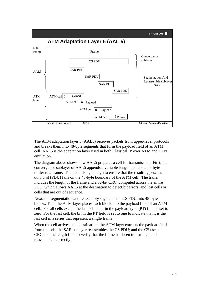

The ATM adaptation layer 5 (AAL5) receives packets from upper-level protocols and breaks them into 48-byte segments that form the payload field of an ATM cell. AAL5 is the adaptation layer used in both Classical IP over ATM and LAN emulation.

The diagram above shows how AAL5 prepares a cell for transmission. First, the convergence sublayer of AAL5 appends a variable-length pad and an 8-byte trailer to a frame. The pad is long enough to ensure that the resulting *protocol data unit* (PDU) falls on the 48-byte boundary of the ATM cell. The trailer includes the length of the frame and a 32-bit CRC, computed across the entire PDU, which allows AAL5 at the destination to detect bit errors, and lost cells or cells that are out of sequence.

Next, the segmentation and reassembly segments the CS PDU into 48-byte blocks. Then the ATM layer places each block into the payload field of an ATM cell. For all cells except the last cell, a bit in the payload type (PT) field is set to zero. For the last cell, the bit in the PT field is set to one to indicate that it is the last cell in a series that represent a single frame.

When the cell arrives at its destination, the ATM layer extracts the payload field from the cell; the SAR sublayer reassembles the CS PDU; and the CS uses the CRC and the length field to verify that the frame has been transmitted and reassembled correctly.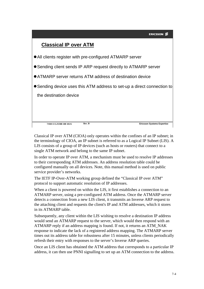

Classical IP over ATM (CIOA) only operates within the confines of an IP subnet; in the terminology of CIOA, an IP subnet is referred to as a Logical IP Subnet (LIS). A LIS consists of a group of IP devices (such as hosts or routers) that connect to a single ATM network and belong to the same IP subnet.

In order to operate IP over ATM, a mechanism must be used to resolve IP addresses to their corresponding ATM addresses. An address resolution table could be configured manually on all devices. Note, this manual method is used on public service provider's networks.

The IETF IP-Over-ATM working group defined the "Classical IP over ATM" protocol to support automatic resolution of IP addresses.

When a client is powered on within the LIS, it first establishes a connection to an ATMARP server, using a pre-configured ATM address. Once the ATMARP server detects a connection from a new LIS client, it transmits an Inverse ARP request to the attaching client and requests the client's IP and ATM addresses, which it stores in its ATMARP table.

Subsequently, any client within the LIS wishing to resolve a destination IP address would send an ATMARP request to the server, which would then respond with an ATMARP reply if an address mapping is found. If not, it returns an ATM\_NAK response to indicate the lack of a registered address mapping. The ATMARP server times out its address table for robustness after 15 minutes, unless clients periodically refresh their entry with responses to the server's Inverse ARP queries.

Once an LIS client has obtained the ATM address that corresponds to a particular IP address, it can then use PNNI signalling to set up an ATM connection to the address.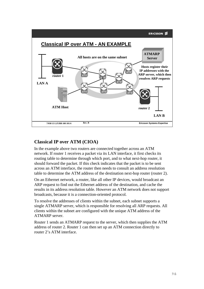

## **Classical IP over ATM (CIOA)**

In the example above two routers are connected together across an ATM network. If router 1 receives a packet via its LAN interface, it first checks its routing table to determine through which port, and to what next-hop router, it should forward the packet. If this check indicates that the packet is to be sent across an ATM interface, the router then needs to consult an address resolution table to determine the ATM address of the destination next-hop router (router 2).

On an Ethernet network, a router, like all other IP devices, would broadcast an ARP request to find out the Ethernet address of the destination, and cache the results in its address resolution table. However an ATM network does not support broadcasts, because it is a connection-oriented protocol.

To resolve the addresses of clients within the subnet, each subnet supports a single ATMARP server, which is responsible for resolving all ARP requests. All clients within the subnet are configured with the unique ATM address of the ATMARP server.

Router 1 sends an ATMARP request to the server, which then supplies the ATM address of router 2. Router 1 can then set up an ATM connection directly to router 2's ATM interface.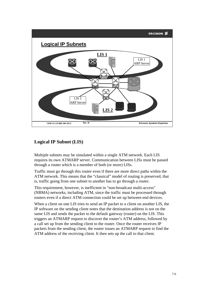#### **ERICSSON ≶**



## **Logical IP Subnet (LIS)**

Multiple subnets may be simulated within a single ATM network. Each LIS requires its own ATMARP server. Communication between LISs must be passed through a router which is a member of both (or more) LISs.

Traffic must go through this router even if there are more direct paths within the ATM network. This means that the "classical" model of routing is preserved, that is, traffic going from one subnet to another has to go through a router.

This requirement, however, is inefficient in "non-broadcast multi-access" (NBMA) networks, including ATM, since the traffic must be processed through routers even if a direct ATM connection could be set up between end devices.

When a client on one LIS tries to send an IP packet to a client on another LIS, the IP software on the sending client notes that the destination address is not on the same LIS and sends the packet to the default gateway (router) on the LIS. This triggers an ATMARP request to discover the router's ATM address, followed by a call set up from the sending client to the router. Once the router receives IP packets from the sending client, the router issues an ATMARP request to find the ATM address of the receiving client. It then sets up the call to that client.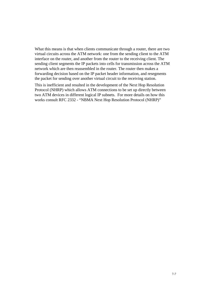What this means is that when clients communicate through a router, there are two virtual circuits across the ATM network: one from the sending client to the ATM interface on the router, and another from the router to the receiving client. The sending client segments the IP packets into cells for transmission across the ATM network which are then reassembled in the router. The router then makes a forwarding decision based on the IP packet header information, and resegments the packet for sending over another virtual circuit to the receiving station.

This is inefficient and resulted in the development of the Next Hop Resolution Protocol (NHRP) which allows ATM connections to be set up directly between two ATM devices in different logical IP subnets. For more details on how this works consult RFC 2332 - "NBMA Next Hop Resolution Protocol (NHRP)"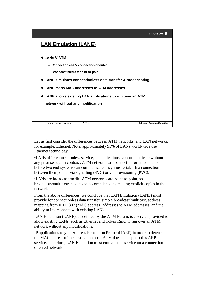

Let us first consider the differences between ATM networks, and LAN networks, for example, Ethernet. Note, approximately 95% of LANs world-wide use Ethernet technology.

•LANs offer connectionless service, so applications can communicate without any prior set-up. In contrast, ATM networks are connection-oriented that is, before two end-systems can communicate, they must establish a connection between them, either via signalling (SVC) or via provisioning (PVC).

•LANs are broadcast media. ATM networks are point-to-point, so broadcasts/multicasts have to be accomplished by making explicit copies in the network.

From the above differences, we conclude that LAN Emulation (LANE) must provide for connectionless data transfer, simple broadcast/multicast, address mapping from IEEE 802 (MAC address) addresses to ATM addresses, and the ability to interconnect with existing LANs.

LAN Emulation (LANE), as defined by the ATM Forum, is a service provided to allow existing LANs, such as Ethernet and Token Ring, to run over an ATM network without any modifications.

IP applications rely on Address Resolution Protocol (ARP) in order to determine the MAC address of the destination host. ATM does not support this ARP service. Therefore, LAN Emulation must emulate this service on a connectionoriented network.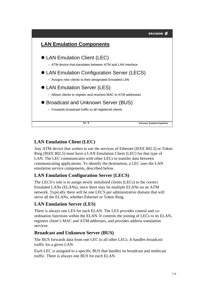

# **LAN Emulation Client (LEC)**

Any ATM device that wishes to use the services of Ethernet (IEEE 802.3) or Token Ring (IEEE 802.5) must have a LAN Emulation Client (LEC) for that type of LAN. The LEC communicates with other LECs to transfer data between communicating applications. To identify the destination, a LEC uses the LAN emulation service components, described below.

## **LAN Emulation Configuration Server (LECS)**

The LECS's role is to assign newly initialised clients (LECs) to the correct Emulated LANs (ELANs), since there may be multiple ELANs on an ATM network. Typically there will be one LECS per administrative domain that will serve all the ELANs, whether Ethernet or Token Ring.

## **LAN Emulation Server (LES)**

There is always one LES for each ELAN. The LES provides control and coordination functions within the ELAN. It controls the joining of LECs to its ELAN, registers client's MAC and ATM addresses, and provides address translation services.

### **Broadcast and Unknown Server (BUS)**

The BUS forwards data from one LEC to all other LECs. It handles broadcast traffic for a given LAN.

Each LEC is assigned to a specific BUS that handles its broadcast and multicast traffic. There is always one BUS for each ELAN.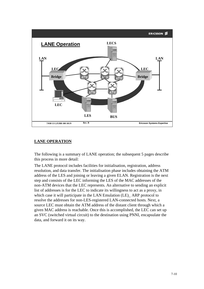

#### **LANE OPERATION**

The following is a summary of LANE operation; the subsequent 5 pages describe this process in more detail:

The LANE protocol includes facilities for initialisation, registration, address resolution, and data transfer. The initialisation phase includes obtaining the ATM address of the LES and joining or leaving a given ELAN. Registration is the next step and consists of the LEC informing the LES of the MAC addresses of the non-ATM devices that the LEC represents. An alternative to sending an explicit list of addresses is for the LEC to indicate its willingness to act as a proxy, in which case it will participate in the LAN Emulation (LE) ARP protocol to resolve the addresses for non-LES-registered LAN-connected hosts. Next, a source LEC must obtain the ATM address of the distant client through which a given MAC address is reachable. Once this is accomplished, the LEC can set up an SVC (switched virtual circuit) to the destination using PNNI, encapsulate the data, and forward it on its way.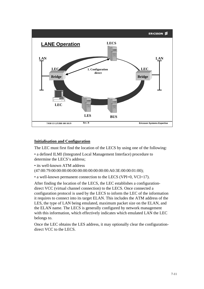

#### **Initialisation and Configuration**

The LEC must first find the location of the LECS by using one of the following:

• a defined ILMI (Integrated Local Management Interface) procedure to determine the LECS's address;

• its well-known ATM address (47:00:79:00:00:00:00:00:00:00:00:00:00:00:A0:3E:00:00:01:00);

• a well-known permanent connection to the LECS (VPI=0, VCI=17).

After finding the location of the LECS, the LEC establishes a configurationdirect VCC (virtual channel connection) to the LECS. Once connected a configuration protocol is used by the LECS to inform the LEC of the information it requires to connect into its target ELAN. This includes the ATM address of the LES, the type of LAN being emulated, maximum packet size on the ELAN, and the ELAN name. The LECS is generally configured by network management with this information, which effectively indicates which emulated LAN the LEC belongs to.

Once the LEC obtains the LES address, it may optionally clear the configurationdirect VCC to the LECS.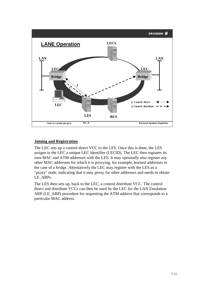

#### **Joining and Registration**

The LEC sets up a control direct VCC to the LES. Once this is done, the LES assigns to the LEC a unique LEC identifier (LECID). The LEC then registers its own MAC and ATM addresses with the LES. It may optionally also register any other MAC addresses for which it is proxying, for example, learned addresses in the case of a bridge. Alternatively the LEC may register with the LES as a "proxy" node, indicating that it may proxy for other addresses and needs to obtain LE\_ARPs.

The LES then sets up, back to the LEC, a control distribute VCC. The control direct and distribute VCCs can then be used by the LEC for the LAN Emulation ARP (LE\_ARP) procedure for requesting the ATM address that corresponds to a particular MAC address.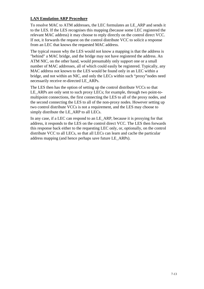#### **LAN Emulation ARP Procedure**

To resolve MAC to ATM addresses, the LEC formulates an LE\_ARP and sends it to the LES. If the LES recognises this mapping (because some LEC registered the relevant MAC address) it may choose to reply directly on the control direct VCC. If not, it forwards the request on the control distribute VCC to solicit a response from an LEC that knows the requested MAC address.

The typical reason why the LES would not know a mapping is that the address is "behind" a MAC bridge, and the bridge may not have registered the address. An ATM NIC, on the other hand, would presumably only support one or a small number of MAC addresses, all of which could easily be registered. Typically, any MAC address not known to the LES would be found only in an LEC within a bridge, and not within an NIC, and only the LECs within such "proxy"nodes need necessarily receive re-directed LE\_ARPs.

The LES then has the option of setting up the control distribute VCCs so that LE\_ARPs are only sent to such proxy LECs; for example, through two point-tomultipoint connections, the first connecting the LES to all of the proxy nodes, and the second connecting the LES to all of the non-proxy nodes. However setting up two control distribute VCCs is not a requirement, and the LES may choose to simply distribute the LE\_ARP to all LECs.

In any case, if a LEC can respond to an LE\_ARP, because it is proxying for that address, it responds to the LES on the control direct VCC. The LES then forwards this response back either to the requesting LEC only, or, optionally, on the control distribute VCC to all LECs, so that all LECs can learn and cache the particular address mapping (and hence perhaps save future LE\_ARPs).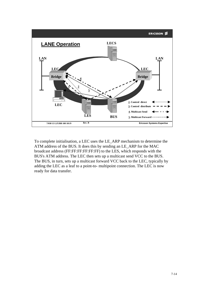

To complete initialisation, a LEC uses the LE\_ARP mechanism to determine the ATM address of the BUS. It does this by sending an LE\_ARP for the MAC broadcast address (FF:FF:FF:FF:FF:FF) to the LES, which responds with the BUS's ATM address. The LEC then sets up a multicast send VCC to the BUS. The BUS, in turn, sets up a multicast forward VCC back to the LEC, typically by adding the LEC as a leaf to a point-to- multipoint connection. The LEC is now ready for data transfer.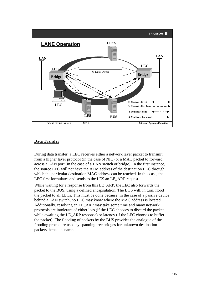

#### **Data Transfer**

During data transfer, a LEC receives either a network layer packet to transmit from a higher layer protocol (in the case of NIC) or a MAC packet to forward across a LAN port (in the case of a LAN switch or bridge). In the first instance, the source LEC will not have the ATM address of the destination LEC through which the particular destination MAC address can be reached. In this case, the LEC first formulates and sends to the LES an LE\_ARP request.

While waiting for a response from this LE\_ARP, the LEC also forwards the packet to the BUS, using a defined encapsulation. The BUS will, in turn, flood the packet to all LECs. This must be done because, in the case of a passive device behind a LAN switch, no LEC may know where the MAC address is located. Additionally, resolving an LE\_ARP may take some time and many network protocols are intolerant of either loss (if the LEC chooses to discard the packet while awaiting the LE\_ARP response) or latency (if the LEC chooses to buffer the packet). The flooding of packets by the BUS provides the analogue of the flooding procedure used by spanning tree bridges for unknown destination packets, hence its name.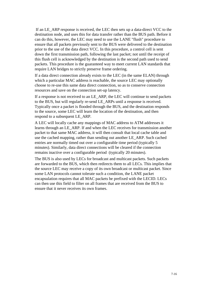If an LE\_ARP response is received, the LEC then sets up a data-direct VCC to the destination node, and uses this for data transfer rather than the BUS path. Before it can do this, however, the LEC may need to use the LANE "flush" procedure to ensure that all packets previously sent to the BUS were delivered to the destination prior to the use of the data direct VCC. In this procedure, a control cell is sent down the first transmission path, following the last packet; not until the receipt of this flush cell is acknowledged by the destination is the second path used to send packets. This procedure is the guaranteed way to meet current LAN standards that require LAN bridges to strictly preserve frame ordering.

If a data direct connection already exists to the LEC (in the same ELAN) through which a particular MAC address is reachable, the source LEC may optionally choose to re-use this same data direct connection, so as to conserve connection resources and save on the connection set-up latency.

If a response is not received to an LE\_ARP, the LEC will continue to send packets to the BUS, but will regularly re-send LE\_ARPs until a response is received. Typically once a packet is flooded through the BUS, and the destination responds to the source, some LEC will learn the location of the destination, and then respond to a subsequent LE\_ARP.

A LEC will locally cache any mappings of MAC address to ATM addresses it learns through an LE\_ARP. If and when the LEC receives for transmission another packet to that same MAC address, it will then consult that local cache table and use the cached mapping, rather than sending out another LE\_ARP. Such cached entries are normally timed out over a configurable time period (typically 5 minutes). Similarly, data direct connections will be cleared if the connection remains inactive over a configurable period (typically 20 minutes).

The BUS is also used by LECs for broadcast and multicast packets. Such packets are forwarded to the BUS, which then redirects them to all LECs. This implies that the source LEC may receive a copy of its own broadcast or multicast packet. Since some LAN protocols cannot tolerate such a condition, the LANE packet encapsulation requires that all MAC packets be prefixed with the LECID. LECs can then use this field to filter on all frames that are received from the BUS to ensure that it never receives its own frames.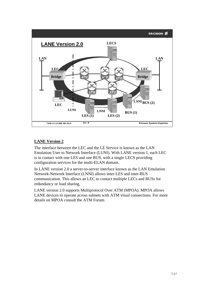

### **LANE Version 2**

The interface between the LEC and the LE Service is known as the LAN Emulation User to Network Interface (LUNI). With LANE version 1, each LEC is in contact with one LES and one BUS, with a single LECS providing configuration services for the multi-ELAN domain.

In LANE version 2.0 a server-to-server interface known as the LAN Emulation Network-Network Interface (LNNI) allows inter-LES and inter-BUS communication. This allows an LEC to contact multiple LECs and BUSs for redundancy or load sharing.

LANE version 2.0 supports Multiprotocol Over ATM (MPOA). MPOA allows LANE devices to operate across subnets with ATM vitual connections. For more details on MPOA consult the ATM Forum.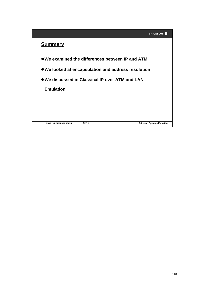## **Summary**

- **We examined the differences between IP and ATM**
- **We looked at encapsulation and address resolution**
- **We discussed in Classical IP over ATM and LAN**

**Emulation**

**7/038 13 LZUBB 108 101/14**

**Rev. B Ericsson Systems Expertise**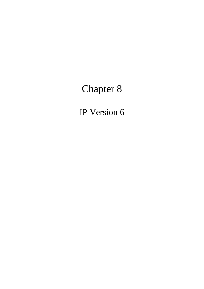# Chapter 8

IP Version 6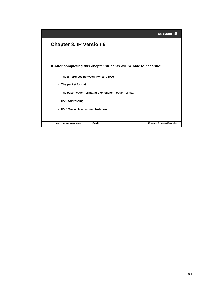|                                                                    | <b>ERICSSON</b>                   |
|--------------------------------------------------------------------|-----------------------------------|
| <b>Chapter 8. IP Version 6</b>                                     |                                   |
|                                                                    |                                   |
| • After completing this chapter students will be able to describe: |                                   |
| - The differences between IPv4 and IPv6                            |                                   |
| - The packet format                                                |                                   |
| - The base header format and extension header format               |                                   |
| - IPv6 Addressing                                                  |                                   |
| - IPv6 Colon Hexadecimal Notation                                  |                                   |
|                                                                    |                                   |
| Rev. B<br>8/038 13 LZUBB 108 101/1                                 | <b>Ericsson Systems Expertise</b> |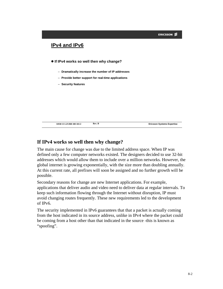

### **If IPv4 works so well then why change?**

The main cause for change was due to the limited address space. When IP was defined only a few computer networks existed. The designers decided to use 32-bit addresses which would allow them to include over a million networks. However, the global internet is growing exponentially, with the size more than doubling annually. At this current rate, all prefixes will soon be assigned and no further growth will be possible.

Secondary reasons for change are new Internet applications. For example, applications that deliver audio and video need to deliver data at regular intervals. To keep such information flowing through the Internet without disruption, IP must avoid changing routes frequently. These new requirements led to the development of IPv6.

The security implemented in IPv6 guarantees that that a packet is actually coming from the host indicated in its source address, unlike in IPv4 where the packet could be coming from a host other than that indicated in the source -this is known as "spoofing".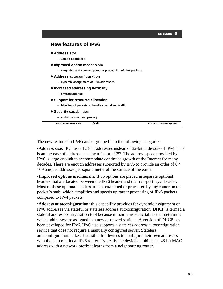

The new features in IPv6 can be grouped into the following categories:

•**Address size:** IPv6 uses 128-bit addresses instead of 32-bit addresses of IPv4. This is an increase of address space by a factor of  $2^{96}$ . The address space provided by IPv6 is large enough to accommodate continued growth of the Internet for many decades. There are enough addresses supported by IPv6 to provide an order of 6 \* 1023 unique addresses per square meter of the surface of the earth.

•**Improved options mechanism:** IPv6 options are placed in separate optional headers that are located between the IPv6 header and the transport layer header. Most of these optional headers are not examined or processed by any router on the packet's path; which simplifies and speeds up router processing of IPv6 packets compared to IPv4 packets.

•**Address autoconfiguration:** this capability provides for dynamic assignment of IPv6 addresses via stateful or stateless address autoconfiguration. DHCP is termed a stateful address configuration tool because it maintains static tables that determine which addresses are assigned to a new or moved stations. A version of DHCP has been developed for IPv6. IPv6 also supports a stateless address autoconfiguration service that does not require a manually configured server. Stateless autoconfiguration makes it possible for devices to configure their own addresses with the help of a local IPv6 router. Typically the device combines its 48-bit MAC address with a network prefix it learns from a neighbouring router.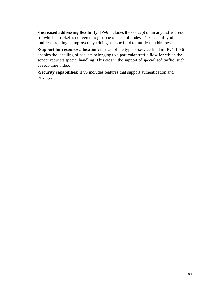•**Increased addressing flexibility:** IPv6 includes the concept of an anycast address, for which a packet is delivered to just one of a set of nodes. The scalability of multicast routing is improved by adding a scope field to multicast addresses.

•**Support for resource allocation:** instead of the type of service field in IPv4, IPv6 enables the labelling of packets belonging to a particular traffic flow for which the sender requests special handling. This aids in the support of specialised traffic, such as real-time video.

•**Security capabilities:** IPv6 includes features that support authentication and privacy.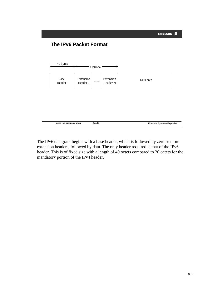

The IPv6 datagram begins with a base header, which is followed by zero or more extension headers, followed by data. The only header required is that of the IPv6 header. This is of fixed size with a length of 40 octets compared to 20 octets for the mandatory portion of the IPv4 header.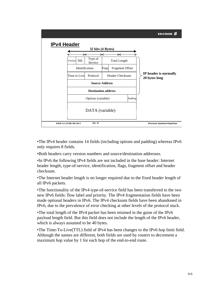

•The IPv4 header contains 14 fields (including options and padding) whereas IPv6 only requires 8 fields.

•Both headers carry version numbers and source/destination addresses.

•In IPv6 the following IPv4 fields are not included in the base header: Internet header length, type-of-service, identification, flags, fragment offset and header checksum.

•The Internet header length is no longer required due to the fixed header length of all IPv6 packets.

•The functionality of the IPv4 type-of-service field has been transferred to the two new IPv6 fields: flow label and priority. The IPv4 fragmentation fields have been made optional headers in IPv6. The IPv4 checksum fields have been abandoned in IPv6, due to the prevalence of error checking at other levels of the protocol stack.

•The total length of the IPv4 packet has been retained in the guise of the IPv6 payload length field. But this field does not include the length of the IPv6 header, which is always assumed to be 40 bytes.

•The Time-To-Live(TTL) field of IPv4 has been changes to the IPv6 hop limit field. Although the names are different, both fields are used by routers to decrement a maximum hop value by 1 for each hop of the end-to-end route.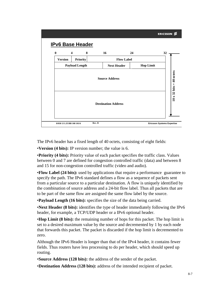

The IPv6 header has a fixed length of 40 octets, consisting of eight fields:

•**Version (4 bits):** IP version number; the value is 6.

•**Priority (4 bits):** Priority value of each packet specifies the traffic class. Values between 0 and 7 are defined for congestion controlled traffic (data) and between 8 and 15 for non-congestion controlled traffic (video and audio).

•**Flow Label (24 bits):** used by applications that require a performance guarantee to specify the path. The IPv6 standard defines a flow as a sequence of packets sent from a particular source to a particular destination. A flow is uniquely identified by the combination of source address and a 24-bit flow label. Thus all packets that are to be part of the same flow are assigned the same flow label by the source.

•**Payload Length (16 bits):** specifies the size of the data being carried.

•**Next Header (8 bits):** identifies the type of header immediately following the IPv6 header, for example, a TCP/UDP header or a IPv6 optional header.

•**Hop Limit (8 bits):** the remaining number of hops for this packet. The hop limit is set to a desired maximum value by the source and decremented by 1 by each node that forwards this packet. The packet is discarded if the hop limit is decremented to zero.

Although the IPv6 Header is longer than that of the IPv4 header, it contains fewer fields. Thus routers have less processing to do per header, which should speed up routing.

•**Source Address (128 bits):** the address of the sender of the packet.

•**Destination Address (128 bits):** address of the intended recipient of packet.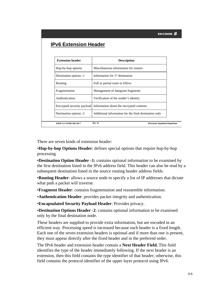|                              | <b>ERICSSON</b>                                       |  |
|------------------------------|-------------------------------------------------------|--|
| <b>IPv6 Extension Header</b> |                                                       |  |
|                              |                                                       |  |
| <b>Extension header</b>      | <b>Description</b>                                    |  |
| Hop-by-hop options           | Miscellaneous information for routers                 |  |
| Destination options -1       | Information for 1 <sup>st</sup> destination           |  |
| Routing                      | Full or partial route to follow                       |  |
| Fragmentation                | Management of datagram fragments                      |  |
| Authentication               | Verification of the sender's identity                 |  |
| Encrypted security payload   | Information about the encrypted contents              |  |
| Destination options -2       | Additional information for the final destination only |  |
| 8/038 13 LZUBB 108 101/7     | Rev. B<br><b>Ericsson Systems Expertise</b>           |  |

There are seven kinds of extension header:

•**Hop-by-hop Options Header**: defines special options that require hop-by-hop processing

•**Destination Option Header -1:** contains optional information to be examined by the first destination listed in the IPv6 address field. This header can also be read by a subsequent destination listed in the source routing header address fields.

•**Routing Header**: allows a source node to specify a list of IP addresses that dictate what path a packet will traverse.

•**Fragment Header**: contains fragmentation and reassemble information.

•**Authentication Header**: provides packet integrity and authentication.

•**Encapsulated Security Payload Header**: Provides privacy.

•**Destination Options Header -2**: contains optional information to be examined only by the final destination node.

These headers are supplied to provide extra information, but are encoded in an efficient way. Processing speed is increased because each header is a fixed length. Each one of the seven extension headers is optional and if more than one is present, they must appear directly after the fixed header and in the preferred order.

The IPv6 header and extension header contain a **Next Header Field.** This field identifies the type of the header immediately following. If the next header is an extension, then this field contains the type identifier of that header; otherwise, this field contains the protocol identifier of the upper layer protocol using IPv6.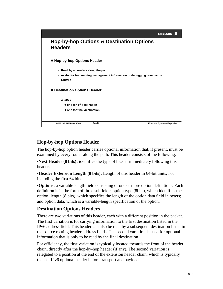|                                                                           | <b>ERICSSON</b>                   |
|---------------------------------------------------------------------------|-----------------------------------|
| <b>Hop-by-hop Options &amp; Destination Options</b>                       |                                   |
| <b>Headers</b>                                                            |                                   |
|                                                                           |                                   |
| • Hop-by-hop Options Header                                               |                                   |
| - Read by all routers along the path                                      |                                   |
| - useful for transmitting management information or debugging commands to |                                   |
| routers                                                                   |                                   |
| • Destination Options Header                                              |                                   |
| $-2$ types                                                                |                                   |
| $\bullet$ one for 1 <sup>st</sup> destination                             |                                   |
| • one for final destination                                               |                                   |
|                                                                           |                                   |
| Rev. B<br>8/038 13 LZUBB 108 101/8                                        | <b>Ericsson Systems Expertise</b> |

## **Hop-by-hop Options Header**

The hop-by-hop option header carries optional information that, if present, must be examined by every router along the path. This header consists of the following:

•**Next Header (8 bits):** identifies the type of header immediately following this header.

•**Header Extension Length (8 bits):** Length of this header in 64-bit units, not including the first 64 bits.

•**Options:** a variable length field consisting of one or more option definitions. Each definition is in the form of three subfields: option type (8bits), which identifies the option; length (8 bits), which specifies the length of the option data field in octets; and option data, which is a variable-length specification of the option.

## **Destination Options Headers**

There are two variations of this header, each with a different position in the packet. The first variation is for carrying information to the first destination listed in the IPv6 address field. This header can also be read by a subsequent destination listed in the source routing header address fields. The second variation is used for optional information that is only to be read by the final destination.

For efficiency, the first variation is typically located towards the front of the header chain, directly after the hop-by-hop header (if any). The second variation is relegated to a position at the end of the extension header chain, which is typically the last IPv6 optional header before transport and payload.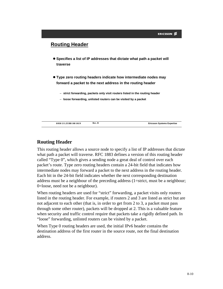

## **Routing Header**

This routing header allows a source node to specify a list of IP addresses that dictate what path a packet will traverse. RFC 1883 defines a version of this routing header called "Type 0", which gives a sending node a great deal of control over each packet's route. Type zero routing headers contain a 24-bit field that indicates how intermediate nodes may forward a packet to the next address in the routing header. Each bit in the 24-bit field indicates whether the next corresponding destination address must be a neighbour of the preceding address (1=strict, must be a neighbour; 0=loose, need not be a neighbour).

When routing headers are used for "strict" forwarding, a packet visits only routers listed in the routing header. For example, if routers 2 and 3 are listed as strict but are not adjacent to each other (that is, in order to get from 2 to 3, a packet must pass through some other router), packets will be dropped at 2. This is a valuable feature when security and traffic control require that packets take a rigidly defined path. In "loose" forwarding, unlisted routers can be visited by a packet.

When Type 0 routing headers are used, the initial IPv6 header contains the destination address of the first router in the source route, not the final destination address.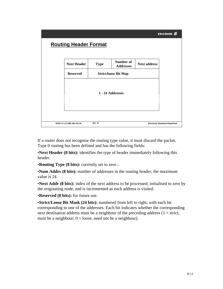

If a router does not recognise the routing type value, it must discard the packet. Type 0 routing has been defined and has the following fields:

•**Next Header (8 bits):** identifies the type of header immediately following this header.

•**Routing Type (8 bits):** currently set to zero **.**

•**Num Addrs (8 bits):** number of addresses in the routing header; the maximum value is 24.

•**Next Addr (8 bits):** index of the next address to be processed; initialised to zero by the originating node, and is incremented as each address is visited.

•**Reserved (8 bits):** for future use.

•**Strict/Loose Bit Mask (24 bits):** numbered from left to right, with each bit corresponding to one of the addresses. Each bit indicates whether the corresponding next destination address must be a neighbour of the preceding address  $(1 = \text{strict},$ must be a neighbour;  $0 =$  loose, need not be a neighbour).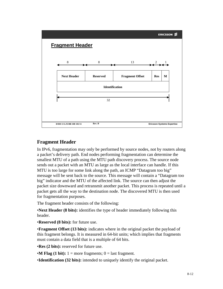

## **Fragment Header**

In IPv6, fragmentation may only be performed by source nodes, not by routers along a packet's delivery path. End nodes performing fragmentation can determine the smallest MTU of a path using the MTU path discovery process. The source node sends out a packet with an MTU as large as the local interface can handle. If this MTU is too large for some link along the path, an ICMP "Datagram too big" message will be sent back to the source. This message will contain a "Datagram too big" indicator and the MTU of the affected link. The source can then adjust the packet size downward and retransmit another packet. This process is repeated until a packet gets all the way to the destination node. The discovered MTU is then used for fragmentation purposes.

The fragment header consists of the following:

•**Next Header (8 bits):** identifies the type of header immediately following this header.

•**Reserved (8 bits):** for future use.

•**Fragment Offset (13 bits):** indicates where in the original packet the payload of this fragment belongs. It is measured in 64-bit units; which implies that fragments must contain a data field that is a multiple of 64 bits.

•**Res (2 bits):** reserved for future use.

•**M Flag (1 bit):**  $1 =$  more fragments;  $0 =$  last fragment.

•**Identification (32 bits):** intended to uniquely identify the original packet.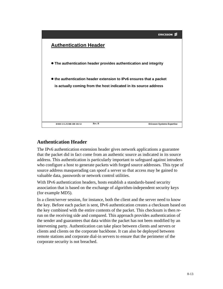

## **Authentication Header**

The IPv6 authentication extension header gives network applications a guarantee that the packet did in fact come from an authentic source as indicated in its source address. This authentication is particularly important to safeguard against intruders who configure a host to generate packets with forged source addresses. This type of source address masquerading can spoof a server so that access may be gained to valuable data, passwords or network control utilities.

With IPv6 authentication headers, hosts establish a standards-based security association that is based on the exchange of algorithm-independent security keys (for example MD5).

In a client/server session, for instance, both the client and the server need to know the key. Before each packet is sent, IPv6 authentication creates a checksum based on the key combined with the entire contents of the packet. This checksum is then rerun on the receiving side and compared. This approach provides authentication of the sender and guarantees that data within the packet has not been modified by an intervening party. Authentication can take place between clients and servers or clients and clients on the corporate backbone. It can also be deployed between remote stations and corporate dial-in servers to ensure that the perimeter of the corporate security is not breached.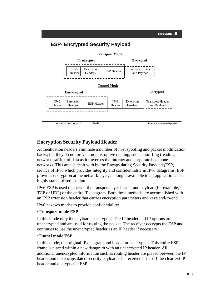

## **Encryption Security Payload Header**

Authentication headers eliminate a number of host spoofing and packet modification hacks, but they do not prevent nondisruptive reading, such as sniffing (reading network traffic), of data as it traverses the Internet and corporate backbone networks. This area is dealt with by the Encapsulating Security Payload (ESP) service of IPv6 which provides integrity and confidentiality in IPv6 datagrams. ESP provides encryption at the network layer, making it available to all applications in a highly standardised fashion.

IPv6 ESP is used to encrypt the transport-layer header and payload (for example, TCP or UDP) or the entire IP datagram. Both these methods are accomplished with an ESP extension header that carries encryption parameters and keys end-to-end.

IPv6 has two modes to provide confidentiality:

#### •**Transport mode ESP**

In this mode only the payload is encrypted. The IP header and IP options are unencrypted and are used for routing the packet. The receiver decrypts the ESP and continues to use the unencrypted header as an IP header if necessary.

#### •**Tunnel mode ESP**

In this mode, the original IP datagram and header are encrypted. This entire ESP frame is placed within a new datagram with an unencrypted IP header. All additional unencrypted information such as routing header are placed between the IP header and the encapsulated security payload. The receiver strips off the cleartext IP header and decrypts the ESP.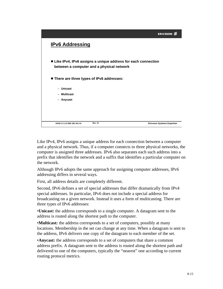|                                            |                                                                                                             | <b>ERICSSON</b>                   |
|--------------------------------------------|-------------------------------------------------------------------------------------------------------------|-----------------------------------|
| <b>IPv6 Addressing</b>                     |                                                                                                             |                                   |
|                                            | • Like IPv4, IPv6 assigns a unique address for each connection<br>between a computer and a physical network |                                   |
| • There are three types of IPv6 addresses: |                                                                                                             |                                   |
| - Unicast                                  |                                                                                                             |                                   |
| - Multicast                                |                                                                                                             |                                   |
| - Anycast                                  |                                                                                                             |                                   |
|                                            |                                                                                                             |                                   |
|                                            |                                                                                                             |                                   |
|                                            |                                                                                                             |                                   |
| 8/038 13 LZUBB 108 101/14                  | Rev. B                                                                                                      | <b>Ericsson Systems Expertise</b> |

Like IPv4, IPv6 assigns a unique address for each connection between a computer and a physical network. Thus, if a computer connects to three physical networks, the computer is assigned three addresses. IPv6 also separates each such address into a prefix that identifies the network and a suffix that identifies a particular computer on the network.

Although IPv6 adopts the same approach for assigning computer addresses, IPv6 addressing differs in several ways.

First, all address details are completely different.

Second, IPv6 defines a set of special addresses that differ dramatically from IPv4 special addresses. In particular, IPv6 does not include a special address for broadcasting on a given network. Instead it uses a form of multicasting. There are three types of IPv6 addresses:

•**Unicast:** the address corresponds to a single computer. A datagram sent to the address is routed along the shortest path to the computer.

•**Multicast:** the address corresponds to a set of computers, possibly at many locations. Membership in the set can change at any time. When a datagram is sent to the address, IPv6 delivers one copy of the datagram to each member of the set.

•**Anycast:** the address corresponds to a set of computers that share a common address prefix. A datagram sent to the address is routed along the shortest path and delivered to one of the computers, typically the "nearest" one according to current routing protocol metrics.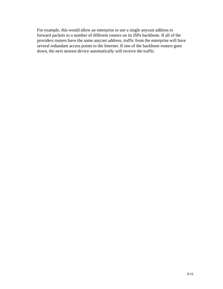For example, this would allow an enterprise to use a single anycast address to forward packets to a number of different routers on its ISPs backbone. If all of the providers routers have the same anycast address, traffic from the enterprise will have several redundant access points to the Internet. If one of the backbone routers goes down, the next nearest device automatically will receive the traffic.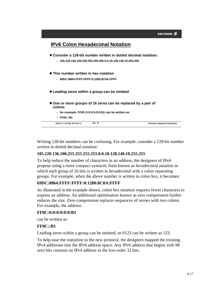

Writing 128-bit numbers can be confusing. For example, consider a 128-bit number written in dotted decimal notation:

#### **105.220.136.100.255.255.255.255.0.0.18.128.140.10.255.255**

To help reduce the number of characters in an address, the designers of IPv6 propose using a more compact syntactic form known as hexadecimal notation in which each group of 16 bits is written in hexadecimal with a colon separating groups. For example, when the above number is written in colon hex, it becomes:

#### **69DC:8864:FFFF:FFFF:0:1280:8C0A:FFFF**

As illustrated in the example shown, colon hex notation requires fewer characters to express an address. An additional optimisation known as zero compression further reduces the size. Zero compression replaces sequences of zeroes with two colons. For example, the address:

#### **FF0C:0:0:0:0:0:0:B1**

can be written as:

#### **FF0C::B1**

Leading zeros within a group can be omitted, so 0123 can be written as 123.

To help ease the transition to the new protocol, the designers mapped the existing IPv4 addresses into the IPv6 address space. Any IPv6 address that begins with 98 zero bits contains an IPv4 address in the low-order 32 bits.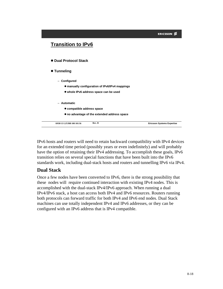

IPv6 hosts and routers will need to retain backward compatibility with IPv4 devices for an extended time period (possibly years or even indefinitely) and will probably have the option of retaining their IPv4 addressing. To accomplish these goals, IPv6 transition relies on several special functions that have been built into the IPv6 standards work, including dual-stack hosts and routers and tunnelling IPv6 via IPv4.

## **Dual Stack**

Once a few nodes have been converted to IPv6, there is the strong possibility that these nodes will require continued interaction with existing IPv4 nodes. This is accomplished with the dual-stack IPv4/IPv6 approach. When running a dual IPv4/IPv6 stack, a host can access both IPv4 and IPv6 resources. Routers running both protocols can forward traffic for both IPv4 and IPv6 end nodes. Dual Stack machines can use totally independent IPv4 and IPv6 addresses, or they can be configured with an IPv6 address that is IPv4 compatible.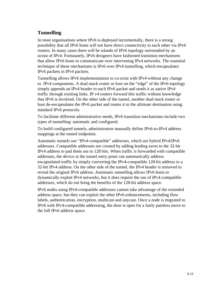## **Tunnelling**

In most organisations where IPv6 is deployed incrementally, there is a strong possibility that all IPv6 hosts will not have direct connectivity to each other via IPv6 routers. In many cases there will be islands of IPv6 topology surrounded by an ocean of IPv4. Fortunately, IPv6 designers have fashioned transition mechanisms that allow IPv6 hosts to communicate over intervening IPv4 networks. The essential technique of these mechanisms is IPv6 over IPv4 tunnelling, which encapsulates IPv6 packets in IPv4 packets.

Tunnelling allows IPv6 implementations to co-exist with IPv4 without any change to IPv4 components. A dual-stack router or host on the "edge" of the IPv6 topology simply appends an IPv4 header to each IPv6 packet and sends it as native IPv4 traffic through existing links. IP v4 routers forward this traffic without knowledge that IPv6 is involved. On the other side of the tunnel, another dual-stack router or host de-encapsulates the IPv6 packet and routes it to the ultimate destination using standard IPv6 protocols.

To facilitate different administrative needs, IPv6 transition mechanisms include two types of tunnelling: automatic and configured.

To build configured tunnels, administrators manually define IPv6-to-IPv4 address mappings at the tunnel endpoints.

Automatic tunnels use "IPv4-compatible" addresses, which are hybrid IPv4/IPv6 addresses. Compatible addresses are created by adding leading zeros to the 32-bit IPv4 address to pad them out to 128 bits. When traffic is forwarded with compatible addresses, the device at the tunnel entry point can automatically address encapsulated traffic by simply converting the IPv4-compatible 128-bit address to a 32-bit IPv4 address. On the other side of the tunnel, the IPv4 header is removed to reveal the original IPv6 address. Automatic tunnelling allows IPv6 hosts to dynamically exploit IPv4 networks, but it does require the use of IPv4-compatible addresses, which do not bring the benefits of the 128-bit address space.

IPv6 nodes using IPv4-compatible addresses cannot take advantage of the extended address space, but they can exploit the other IPv6 enhancements, including flow labels, authentication, encryption, multicast and anycast. Once a node is migrated to IPv6 with IPv4-compatible addressing, the door is open for a fairly painless move to the full IPv6 address space.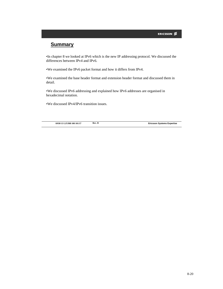| <b>ERICSSON</b> |  |
|-----------------|--|
|-----------------|--|

## **Summary**

•In chapter 8 we looked at IPv6 which is the new IP addressing protocol. We discussed the differences between IPv4 and IPv6.

•We examined the IPv6 packet format and how it differs from IPv4.

•We examined the base header format and extension header format and discussed them in detail.

•We discussed IPv6 addressing and explained how IPv6 addresses are organised in hexadecimal notation.

•We discussed IPv4/IPv6 transition issues.

**8/038 13 LZUBB 108 101/17**

**Rev. B Ericsson Systems Expertise**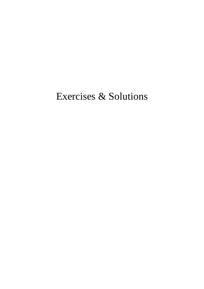# Exercises & Solutions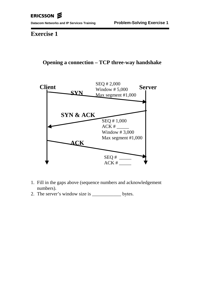**Exercise 1**

## **Opening a connection – TCP three-way handshake**



- 1. Fill in the gaps above (sequence numbers and acknowledgement numbers).
- 2. The server's window size is \_\_\_\_\_\_\_\_\_\_\_\_\_ bytes.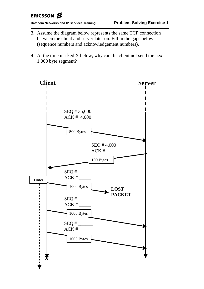# ERICSSON &

**Datacom Networks and IP Services Training Problem-Solving Exercise 1**

- 3. Assume the diagram below represents the same TCP connection between the client and server later on. Fill in the gaps below (sequence numbers and acknowledgement numbers).
- 4. At the time marked X below, why can the client not send the next 1,000 byte segment? \_\_\_\_\_\_\_\_\_\_\_\_\_\_\_\_\_\_\_\_\_\_\_\_\_\_\_\_\_\_\_\_\_\_\_

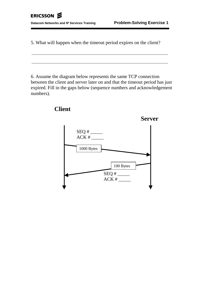5. What will happen when the timeout period expires on the client?

6. Assume the diagram below represents the same TCP connection between the client and server later on and that the timeout period has just expired. Fill in the gaps below (sequence numbers and acknowledgement numbers).

# SEQ # \_\_\_\_\_  $ACK$  #  $\_\_$ SEQ # \_\_\_\_\_  $ACK#$ **Server** 1000 Bytes 100 Bytes

## **Client**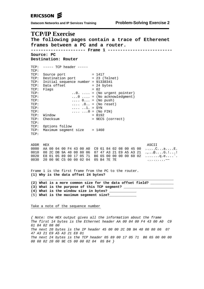Datacom Networks and IP Services Training Problem-Solving Exercise 2

## **TCP/IP Exercise**

The following pages contain a trace of Etherenet frames between a PC and a router. Source: PC Destination: Router  $TCP: --- TCP header -- TCD:$ TCP: Source port  $= 1417$  $ICP:$  Source port = 1417<br>TCP: Destination port = 23 (Telnet) TCP: Initial sequence number = 91338341 TCP: Data offset  $= 24$  bytes TCP: Flags  $= 02$ TCP:  $\ldots$ 0.  $\ldots$  = (No urgent pointer)  $TCP:$  $\ldots$  0  $\ldots$  = (No acknowledgment) TCP:  $\ldots$  0... = (No push) TCP:  $\ldots$  . 0. = (No reset)<br> $\ldots$  . 1. = SYN TCP:  $\cdots \cdots 0 = (N \circ \text{FIN})$ TCP: TCP: Window  $= 8192$ TCP: Checksum = 9EC5 (correct)  $TCP:$ TCP: Options follow TCP: Maximum segment size = 1460 TCP: ADDR HEX ASCII 0000 AA 00 04 00 F4 43 00 A0 C9 61 84 02 08 00 45 00 .....C...a....E.<br>0010 00 2C DB 9A 40 00 80 06 07 47 A3 21 E9 A5 A3 21 ....@....G.!...!<br>0020 E8 01 05 89 00 17 05 71 B6 65 00 00 00 00 60 02 ......q.e....`.<br>0030 20 00 9 Frame 1 is the first frame from the PC to the router. (1) Why is the data offset 24 bytes? (2) What is a more common size for the data offset field? (3) What is the purpose of this TCP segment? \_\_\_\_\_\_\_ (4) What is the window size in bytes? \_\_\_\_\_\_\_ (5) What is the maximum segement size? Take a note of the sequence number { Note: the HEX output gives all the information about the frame The first 14 bytes is the Ethernet header AA 00 04 00 F4 43 00 A0 C9 61 84 02 08 00

The next 20 bytes is the IP header 45 00 00 2C DB 9A 40 00 80 06 07 47 A3 21 E9 A5 A3 21 E8 01 The next 24 bytes is the TCP header 05 89 00 17 05 71 B6 65 00 00 00 00 60 02 20 00 9E C5 00 00 02 04 05 B4 }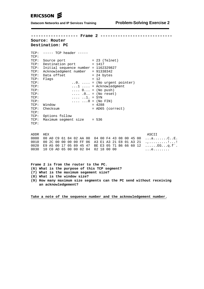**------------------- Frame 2 -----------------------------**

#### **Source: Router Destination: PC**

| TCP:         | ----- TCP header -----                          |                                            |
|--------------|-------------------------------------------------|--------------------------------------------|
| TCP:<br>TCP: |                                                 | $= 23$ (Telnet)                            |
|              | Source port                                     |                                            |
| TCP:         | Destination port                                | $= 1417$                                   |
| TCP:         | Initial sequence number = 1162329827            |                                            |
| TCP:         | Acknowledgment number                           | $= 91338342$                               |
| TCP:         | Data offset                                     | = 24 bytes                                 |
|              | TCP: Flaqs                                      | $= 12$                                     |
| TCP:         |                                                 | $\ldots$ 0. $\ldots$ = (No urgent pointer) |
| TCP:         |                                                 | $\dots$ 1 $\dots$ = Acknowledgment         |
| TCP:         | $\ldots$ 0 = (No push)                          |                                            |
| TCP:         |                                                 | $\ldots$ .0 = (No reset)                   |
| TCP:         | $\ldots$ $\ldots$ $\ldots$ = SYN                |                                            |
| TCP:         | $\ldots \ldots \ldots 0 = (N \circ \text{FIN})$ |                                            |
| TCP:         | Window                                          | $= 4288$                                   |
| TCP:         | Checksum                                        | = AD65 (correct)                           |
| TCP:         |                                                 |                                            |
| TCP:         | Options follow                                  |                                            |
| TCP:         | Maximum seqment size $= 536$                    |                                            |
| TCP:         |                                                 |                                            |
|              |                                                 |                                            |

ADDR HEX ASCII 0000 00 A0 C9 61 84 02 AA 00 04 00 F4 43 08 00 45 00 ...a.......C..E. 0010 00 2C 00 00 00 00 FF 06 A3 E1 A3 21 E8 01 A3 21 .,..........!...! 0020 E9 A5 00 17 05 89 45 47 BE E3 05 71 B6 66 60 12 ......EG...q.f`. 0030 10 C0 AD 65 00 00 02 04 02 18 00 00 ...e........

**Frame 2 is from the router to the PC. (6) What is the purpose of this TCP segment? (7) What is the maximum segement size? (8) What is the window size?**

**(9) How many maximum size segments can the PC send without receiving an acknowledgement?**

**Take a note of the sequence number and the acknowledgement number.**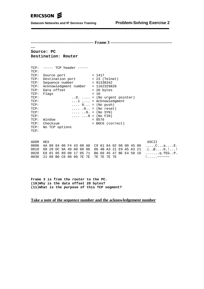$\overline{a}$ 

**Datacom Networks and IP Services Training** 

#### Source: PC Destination: Router

| TCP:<br>TCP: | ----- TCP header -----             |  |                                                 |
|--------------|------------------------------------|--|-------------------------------------------------|
| TCP:         | Source port                        |  | $= 1417$                                        |
| TCP:         | Destination port                   |  | $= 23$ (Telnet)                                 |
| TCP:         | Sequence number                    |  | = 91338342                                      |
| TCP:         | Acknowledgment number = 1162329828 |  |                                                 |
| TCP:         | Data offset                        |  | $= 20$ bytes                                    |
| TCP:         | Flags                              |  | $= 10$                                          |
| TCP:         |                                    |  | $\ldots$ = (No urgent pointer)                  |
| TCP:         |                                    |  | $\dots$ 1 $\dots$ = Acknowledgment              |
| TCP:         |                                    |  | $\ldots$ 0 = (No push)                          |
| TCP:         |                                    |  | $\ldots$ .0 = (No reset)                        |
| TCP:         |                                    |  | $\ldots \ldots$ $\ldots$ 0. = (No SYN)          |
| TCP:         |                                    |  | $\ldots \ldots \ldots 0 = (N \circ \text{FIN})$ |
| TCP:         | Window                             |  | $= 8576$                                        |
| TCP:         | Checksum                           |  | = BOC6 (correct)                                |
| TCP:         | No TCP options                     |  |                                                 |
| TCP:         |                                    |  |                                                 |

| ADDR HEX                                 |  |  |  |  |  |  |  |  | ASCII                                                                                                                                         |
|------------------------------------------|--|--|--|--|--|--|--|--|-----------------------------------------------------------------------------------------------------------------------------------------------|
|                                          |  |  |  |  |  |  |  |  | 0000 AA 00 04 00 F4 43 00 A0 C9 61 84 02 08 00 45 00 CaE.                                                                                     |
|                                          |  |  |  |  |  |  |  |  | 0010 00 28 DC 9A 40 00 80 06 06 4B A3 21 E9 A5 A3 21 .(@K.!!                                                                                  |
|                                          |  |  |  |  |  |  |  |  | 0020 E8 01 05 89 00 17 05 71 B6 66 45 47 BE E4 50 10 q.fEGP.                                                                                  |
| 0030 21 80 B0 C6 00 00 7E 7E 7E 7E 7E 7E |  |  |  |  |  |  |  |  | $\frac{1}{2}$ , $\frac{1}{2}$ , $\frac{1}{2}$ , $\frac{1}{2}$ , $\frac{1}{2}$ , $\frac{1}{2}$ , $\frac{1}{2}$ , $\frac{1}{2}$ , $\frac{1}{2}$ |

Frame 3 is from the router to the PC. (10) Why is the data offset 20 bytes? (11) What is the purpose of this TCP segment?

#### Take a note of the sequence number and the acknowledgement number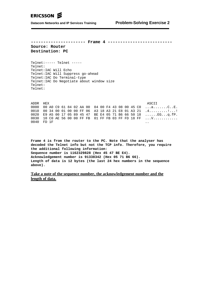**---------------------- Frame 4 -------------------------- Source: Router Destination: PC**

Telnet:----- Telnet ----- Telnet: Telnet:IAC Will Echo Telnet:IAC Will Suppress go-ahead Telnet:IAC Do Terminal-type Telnet:IAC Do Negotiate about window size Telnet: Telnet:

| ADDR HEX   |  |  |  |  |  |  |  |  | ASCII                                                        |
|------------|--|--|--|--|--|--|--|--|--------------------------------------------------------------|
|            |  |  |  |  |  |  |  |  | 0000 00 A0 C9 61 84 02 AA 00 04 00 F4 43 08 00 45 C0 aCE.    |
|            |  |  |  |  |  |  |  |  | 0010 00 34 00 01 00 00 FF 06 A3 18 A3 21 E8 01 A3 21 .4      |
|            |  |  |  |  |  |  |  |  | 0020 E9 A5 00 17 05 89 45 47 BE E4 05 71 B6 66 50 18 EGq.fP. |
|            |  |  |  |  |  |  |  |  | 0030    10 CO AE 56 00 00 FF FB 01 FF FB 03 FF FD 18 FF V    |
| 0040 FD 1F |  |  |  |  |  |  |  |  |                                                              |

**Frame 4 is from the router to the PC. Note that the analyser has decoded the Telnet info but not the TCP info. Therefore, you require the additional following information: Sequence number is 1162329828 (Hex 45 47 BE E4). Acknowledgement number is 91338342 (Hex 05 71 B6 66). Length of data is 12 bytes (the last 24 hex numbers in the sequence above).**

**Take a note of the sequence number, the acknowledgement number and the length of data.**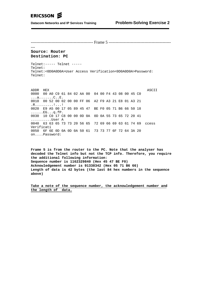--------------------------------------------- Frame 5 ---------------------------------------------

### **Source: Router Destination: PC**

---

Telnet:----- Telnet ----- Telnet: Telnet:<0D0A0D0A>User Access Verification<0D0A0D0A>Password: Telnet:

ADDR HEX ASCII 0000 00 A0 C9 61 84 02 AA 00 04 00 F4 43 08 00 45 C0 ...a.......C..E. 0010 00 52 00 02 00 00 FF 06 A2 F9 A3 21 E8 01 A3 21 .R.........!...! 0020 E9 A5 00 17 05 89 45 47 BE F0 05 71 B6 66 50 18 ......EG...q.fP. 0030 10 C0 17 C8 00 00 0D 0A 0D 0A 55 73 65 72 20 41 ..........User A 0040 63 63 65 73 73 20 56 65 72 69 66 69 63 61 74 69 ccess Verificati 0050 6F 6E 0D 0A 0D 0A 50 61 73 73 77 6F 72 64 3A 20 on....Password:

**Frame 5 is from the router to the PC. Note that the analyser has decoded the Telnet info but not the TCP info. Therefore, you require the additional following information: Sequence number is 1162329840 (Hex 45 47 BE F0) Acknowledgement number is 91338342 (Hex 05 71 B6 66) Length of data is 42 bytes (the last 84 hex numbers in the sequence above)**

**Take a note of the sequence number, the acknowledgement number and the length of data.**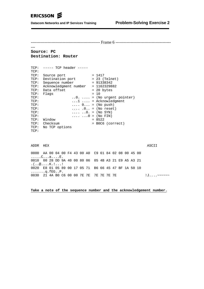---

-------------------------------------------------- Frame 6 ----------------------------------------

#### **Source: PC Destination: Router**

| TCP:<br>TCP: | ----- TCP header -----             |  |                                            |
|--------------|------------------------------------|--|--------------------------------------------|
| TCP:         | Source port                        |  | $= 1417$                                   |
| TCP:         | Destination port                   |  | $= 23$ (Telnet)                            |
| TCP:         | Sequence number                    |  | $= 91338342$                               |
| TCP:         | Acknowledgment number = 1162329882 |  |                                            |
| TCP:         | Data offset                        |  | $= 20$ bytes                               |
| TCP:         | Flaqs                              |  | $= 10$                                     |
| TCP:         |                                    |  | $\ldots$ 0. $\ldots$ = (No urgent pointer) |
| TCP:         |                                    |  | $\dots$ 1 $\dots$ = Acknowledgment         |
| TCP:         |                                    |  | $\ldots$ 0 = (No push)                     |
| TCP:         |                                    |  | $\ldots$ .0 = (No reset)                   |
| TCP:         |                                    |  | $\ldots \ldots 0. = (N_{O} SYN)$           |
| TCP:         |                                    |  | $\ldots \ldots 0 = (N \circ \text{FIN})$   |
| TCP:         | Window                             |  | $= 8522$                                   |
| TCP:         | Checksum                           |  | = BOC6 (correct)                           |
| TCP:         | No TCP options                     |  |                                            |
| TCP:         |                                    |  |                                            |

| ADDR HEX                                             |  |  |  |  |  |  |  |  | ASCII             |
|------------------------------------------------------|--|--|--|--|--|--|--|--|-------------------|
| 0000 AA 00 04 00 F4 43 00 A0 C9 61 84 02 08 00 45 00 |  |  |  |  |  |  |  |  |                   |
| CaE.                                                 |  |  |  |  |  |  |  |  |                   |
| 0010 00 28 DD 9A 40 00 80 06 05 4B A3 21 E9 A5 A3 21 |  |  |  |  |  |  |  |  |                   |
| $( \ldots @ \ldots K, ! \ldots !$                    |  |  |  |  |  |  |  |  |                   |
| 0020 E8 01 05 89 00 17 05 71 B6 66 45 47 BF 1A 50 10 |  |  |  |  |  |  |  |  |                   |
| $\ldots \ldots$ q.fegp.                              |  |  |  |  |  |  |  |  |                   |
| 0030 21 4A B0 C6 00 00 7E 7E 7E 7E 7E 7E             |  |  |  |  |  |  |  |  | ! <b>∏ ~~~~~~</b> |

**Take a note of the sequence number and the acknowledgement number.**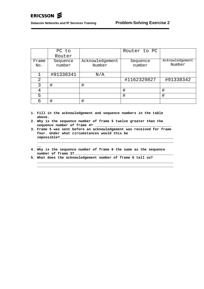**\_\_**

**Datacom Networks and IP Services Training Problem-Solving Exercise 2**

|               | PC to              |                           | Router to PC       |                           |
|---------------|--------------------|---------------------------|--------------------|---------------------------|
|               | Router             |                           |                    |                           |
| Frame<br>No.  | Sequence<br>number | Acknowledgement<br>Number | Sequence<br>number | Acknowledgement<br>Number |
|               | #91338341          | N/A                       |                    |                           |
| $\mathcal{D}$ |                    |                           | #1162329827        | #91338342                 |
|               | #                  | #                         |                    |                           |
| 4             |                    |                           | ⋕                  | #                         |
| 5             |                    |                           | ⋕                  | #                         |
| 6             | #                  | #                         |                    |                           |

- **1. Fill in the acknowledgement and sequence numbers in the table above.**
- **2. Why is the sequence number of frame 5 twelve greater than the** sequence number of frame 4?
- **3. Frame 5 was sent before an acknowledgement was received for frame four. Under what circumstances would this be impossible?\_\_\_\_\_\_\_\_\_\_\_\_\_\_\_\_\_\_\_\_\_\_\_\_\_\_\_\_\_\_\_\_\_\_\_\_\_\_\_\_\_\_\_\_\_\_\_\_\_\_\_\_\_\_\_**

**\_\_\_\_\_\_\_\_\_\_\_\_\_\_\_\_\_\_\_\_\_\_\_\_\_\_\_\_\_\_\_\_\_\_\_\_\_\_\_\_\_\_\_\_\_\_\_\_\_\_\_\_\_\_\_\_\_\_\_\_\_\_\_\_\_\_**

**\_\_\_\_\_\_\_\_\_\_\_\_\_\_\_\_\_\_\_\_\_\_\_\_\_\_\_\_\_\_\_\_\_\_\_\_\_\_\_\_\_\_\_\_\_\_\_\_\_\_\_\_\_\_\_\_\_\_\_\_\_\_\_\_\_\_ \_\_\_\_\_\_\_\_\_\_\_\_\_\_\_\_\_\_\_\_\_\_\_\_\_\_\_\_\_\_\_\_\_\_\_\_\_\_\_\_\_\_\_\_\_\_\_\_\_\_\_\_\_\_\_\_\_\_\_\_\_\_\_\_\_\_**

- **4. Why is the sequence number of frame 6 the same as the sequence number of frame 3?\_\_\_\_\_\_\_\_\_\_\_\_\_\_\_\_\_\_\_\_\_\_\_\_\_\_\_\_\_\_\_\_\_\_\_\_\_\_\_\_\_\_\_\_\_\_\_\_**
- **5. What does the acknowledgement number of frame 6 tell us?**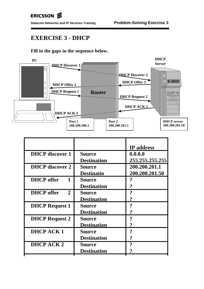# **EXERCISE 3 - DHCP**

## **Fill in the gaps in the sequence below.**



|                    | <b>IP</b> address |
|--------------------|-------------------|
| <b>Source</b>      | 0.0.0.0           |
| <b>Destination</b> | 255.255.255.255   |
| <b>Source</b>      | 200.200.201.1     |
| <b>Destinatio</b>  | 200.200.201.50    |
| <b>Source</b>      |                   |
| <b>Destination</b> | ?                 |
| <b>Source</b>      | 9                 |
| <b>Destination</b> | ?                 |
| Source             | 9                 |
| <b>Destination</b> |                   |
| <b>Source</b>      | 9                 |
| <b>Destination</b> |                   |
| <b>Source</b>      | າ                 |
| <b>Destination</b> | ?                 |
| <b>Source</b>      | 9                 |
| <b>Destination</b> |                   |
|                    |                   |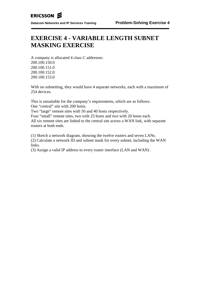# **EXERCISE 4 - VARIABLE LENGTH SUBNET MASKING EXERCISE**

A company is allocated 4 class C addresses: 200.100.150.0 200.100.151.0 200.100.152.0 200.100.153.0

With no subnetting, they would have 4 separate networks, each with a maximum of 254 devices.

This is unsuitable for the company's requirements, which are as follows: One "central" site with 200 hosts.

Two "large" remote sites with 50 and 40 hosts respectively.

Four "small" remote sites, two with 25 hosts and two with 20 hosts each. All six remote sites are linked to the central site across a WAN link, with separate routers at both ends.

(1) Sketch a network diagram, showing the twelve routers and seven LANs.

(2) Calculate a network ID and subnet mask for every subnet, including the WAN links.

(3) Assign a valid IP address to every router interface (LAN and WAN) .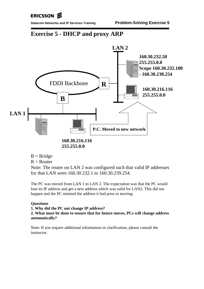# ERICSSON **S**

# **Exercise 5 - DHCP and proxy ARP**



- $B =$ Bridge
- $R =$ Router

Note: The router on LAN 2 was configured such that valid IP addresses for that LAN were 160.30.232.1 to 160.30.239.254.

The PC was moved from LAN 1 to LAN 2. The expectation was that the PC would lose its IP address and get a new address which was valid for LAN2. This did not happen and the PC retained the address it had prior to moving.

## **Questions**

## **1. Why did the PC not change IP address?**

**2. What must be done to ensure that for future moves, PCs will change address automatically?**

Note: If you require additional information or clarification, please consult the instructor.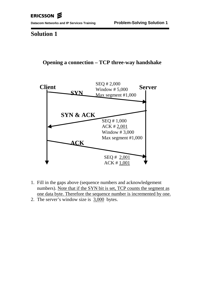## **Solution 1**

## **Opening a connection – TCP three-way handshake**



- 1. Fill in the gaps above (sequence numbers and acknowledgement numbers). Note that if the SYN bit is set, TCP counts the segment as one data byte. Therefore the sequence number is incremented by one.
- 2. The server's window size is 3,000 bytes.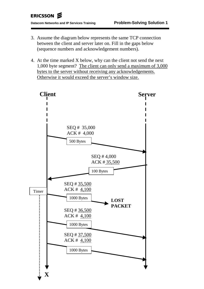- 3. Assume the diagram below represents the same TCP connection between the client and server later on. Fill in the gaps below (sequence numbers and acknowledgement numbers).
- 4. At the time marked X below, why can the client not send the next 1,000 byte segment? The client can only send a maximum of 3,000 bytes to the server without receiving any acknowledgements. Otherwise it would exceed the server's window size.

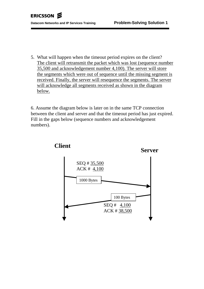5. What will happen when the timeout period expires on the client? The client will retransmit the packet which was lost (sequence number 35,500 and acknowledgement number 4,100). The server will store the segments which were out of sequence until the missing segment is received. Finally, the server will resequence the segments. The server will acknowledge all segments received as shown in the diagram below.

6. Assume the diagram below is later on in the same TCP connection between the client and server and that the timeout period has just expired. Fill in the gaps below (sequence numbers and acknowledgement numbers).



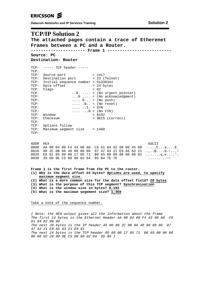## ERICSSON **S**

**Datacom Networks and IP Services Training <b>Solution 2 Solution 2** 

## **TCP/IP Solution 2**

**The attached pages contain a trace of Etherenet Frames between a PC and a Router. ---------------------- Frame 1 -------------------------- Source: PC Destination: Router**  $TCP: --- TCP header ---$ TCP:<br>TCP: Source port TCP: Source port = 1417 TCP: Destination port = 23 (Telnet) TCP: Initial sequence number = 91338341  $TCP: Data offset$  = 24 bytes TCP: Flags  $= 02$ <br>
TCP:  $= (N_0 + N_1)$ TCP: ...0. .... = (No urgent pointer)<br>TCP: ...0. ... = (No acknowledgment) TCP:  $\ldots 0 \ldots = (No \space acknowledgment)$ <br>TCP:  $\ldots 0 \ldots = (No \space push)$  $\ldots$  0... = (No push) TCP: .... .0.. = (No reset) TCP:  $\ldots$   $\ldots$   $\ldots$   $\ldots$  SYN TCP:  $\text{Window}$   $\ldots \ldots \ldots 0 = (\text{No FIN})$ <br>TCP:  $\text{Window}$  = 8192 TCP: Window<br>TCP: Checksum = 9EC5 (correct) TCP: TCP: Options follow TCP: Maximum segment size = 1460 TCP: ADDR HEX ASCII 0000 AA 00 04 00 F4 43 00 A0 C9 61 84 02 08 00 45 00 .....C...a....E. 0010 00 2C DB 9A 40 00 80 06 07 47 A3 21 E9 A5 A3 21 .,..@....G.!...! 0020 E8 01 05 89 00 17 05 71 B6 65 00 00 00 00 60 02 .......q.e....'. 0030 20 00 9E C5 00 00 02 04 05 B4 7E 7E ..........~~ **Frame 1 is the first frame from the PC to the router. (1) Why is the data offset 24 bytes? Options are used, to specify**

**maximum segment size. (2) What is a more common size for the data offset field? 20 bytes (3) What is the purpose of this TCP segment? Synchronisation (4) What is the window size in bytes? 8,192 (5) What is the maximum segement size? 1,460**

Take a note of the sequence number.

{ Note: the HEX output gives all the information about the frame The first 14 bytes is the Ethernet Header AA 00 04 00 F4 43 00 A0 C9 61 84 02 08 00 The next 20 bytes is the IP header 45 00 00 2C DB 9A 40 00 80 06 07 47 A3 21 E9 A5 A3 21 E8 01 The next 24 bytes is the TCP header 05 89 00 17 05 71 B6 65 00 00 00 00 60 02 20 00 9E C5 00 00 02 04 05 B4 }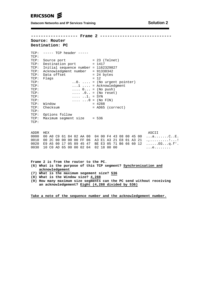## ERICSSON **S**

**Datacom Networks and IP Services Training <b>Solution 2 Solution 2** 

**------------------- Frame 2 -----------------------------**

#### **Source: Router Destination: PC**

TCP: ----- TCP header ----- TCP: TCP: Source port = 23 (Telnet) TCP: Destination port = 1417 TCP: Initial sequence number = 1162329827 TCP: Acknowledgment number = 91338342 TCP: Data offset  $= 24$  bytes TCP: Flags =  $12$ <br>TCP: Flags =  $12$ TCP: ..0. .... = (No urgent pointer) TCP:  $\ldots$   $\ldots$   $\ldots$   $\ldots$   $\ldots$   $\ldots$   $\ldots$   $\ldots$   $\ldots$   $\ldots$   $\ldots$   $\ldots$   $\ldots$   $\ldots$   $\ldots$   $\ldots$   $\ldots$   $\ldots$   $\ldots$   $\ldots$   $\ldots$   $\ldots$   $\ldots$   $\ldots$   $\ldots$   $\ldots$   $\ldots$   $\ldots$   $\ldots$   $\ldots$   $\ldots$   $\ldots$   $\ldots$   $\ldots$   $\ldots$   $\ldots$  TCP:  $\begin{array}{ccc} \text{TCP:} & \dots & 0 \dots & = (\text{No push}) \\ \text{TCP:} & 0 & = (\text{No reset}) \end{array}$ TCP: .... .0.. = (No reset) TCP: .... ..1. = SYN  $\cdots$  ...  $0 = (N \circ \text{FIN})$ <br>= 4288 TCP: Window TCP: Checksum = AD65 (correct) TCP: TCP: Options follow TCP: Maximum segment size = 536 TCP:

ADDR HEX ASCII 0000 00 A0 C9 61 84 02 AA 00 04 00 F4 43 08 00 45 00 ...a.......C..E. 0010 00 2C 00 00 00 00 FF 06 A3 E1 A3 21 E8 01 A3 21 .,..........!...! 0020 E9 A5 00 17 05 89 45 47 BE E3 05 71 B6 66 60 12 ......EG...q.f'. 0030 10 C0 AD 65 00 00 02 04 02 18 00 00 ...e........

**Frame 2 is from the router to the PC. (6) What is the purpose of this TCP segment? Synchronisation and acknowledgement (7) What is the maximum segement size? 536**

**(8) What is the Window size? 4,288**

**(9) How many maximum size segments can the PC send without receiving an acknowledgement? Eight (4,288 divided by 536)**

**Take a note of the sequence number and the acknowledgement number.**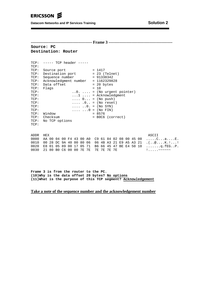**Datacom Networks and IP Services Training** 

Source: PC Destination: Router

| TCP:<br>TCP: | ----- TCP header ----- |  |                                            |
|--------------|------------------------|--|--------------------------------------------|
| TCP:         | Source port            |  | $= 1417$                                   |
| TCP:         | Destination port       |  | $= 23$ (Telnet)                            |
| TCP:         | Sequence number        |  | $= 91338342$                               |
| TCP:         | Acknowledgment number  |  | $= 1162329828$                             |
| TCP:         | Data offset            |  | $= 20$ bytes                               |
| TCP:         | Flaqs                  |  | $= 10$                                     |
| TCP:         |                        |  | $\ldots$ 0. $\ldots$ = (No urgent pointer) |
| TCP:         |                        |  | $\dots$ 1 $\dots$ = Acknowledgment         |
| TCP:         |                        |  | $\ldots$ 0 = (No push)                     |
| TCP:         |                        |  | $\ldots$ .0 = (No reset)                   |
| TCP:         |                        |  | $\ldots \ldots 0. = (N_{O} SYN)$           |
| TCP:         |                        |  | $\ldots$ $\ldots$ 0 = (No FIN)             |
| TCP:         | Window                 |  | $= 8576$                                   |
| TCP:         | Checksum               |  | = BOC6 (correct)                           |
| TCP:         | No TCP options         |  |                                            |
| TCP:         |                        |  |                                            |

ASCII ADDR HEX 0000 AA 00 04 00 F4 43 00 A0 C9 61 84 02 08 00 45 00 .....C...a....E.<br>0010 00 28 DC 9A 40 00 80 06 06 4B A3 21 E9 A5 A3 21 .(..@....K.!...!<br>0020 E8 01 05 89 00 17 05 71 B6 66 45 47 BE E4 50 10 .......q.fEG..P. 0030 21 80 B0 C6 00 00 7E 7E 7E 7E 7E 7E  $\frac{1}{2}$ .....~~~~~

Frame 3 is from the router to the PC. (10) Why is the data offset 20 bytes? No options (11) What is the purpose of this TCP segment? Acknowledgement

#### Take a note of the sequence number and the acknowledgement number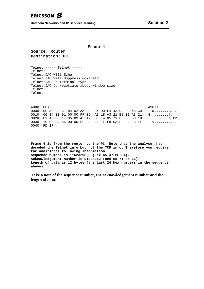**Datacom Networks and IP Services Training <b>Solution 2 Solution 2** 

**---------------------- Frame 4 -------------------------- Source: Router Destination: PC**

Telnet:----- Telnet ----- Telnet: Telnet:IAC Will Echo Telnet:IAC Will Suppress go-ahead Telnet:IAC Do Terminal-type Telnet:IAC Do Negotiate about window size Telnet: Telnet:

|  |          |                |  |  |  |  |  |  | ASCII                                                                                                                                                                                                                                             |
|--|----------|----------------|--|--|--|--|--|--|---------------------------------------------------------------------------------------------------------------------------------------------------------------------------------------------------------------------------------------------------|
|  |          |                |  |  |  |  |  |  |                                                                                                                                                                                                                                                   |
|  |          |                |  |  |  |  |  |  |                                                                                                                                                                                                                                                   |
|  |          |                |  |  |  |  |  |  |                                                                                                                                                                                                                                                   |
|  |          |                |  |  |  |  |  |  |                                                                                                                                                                                                                                                   |
|  |          |                |  |  |  |  |  |  | $\ddot{\phantom{1}}$                                                                                                                                                                                                                              |
|  | ADDR HEX | $0040$ FD $1F$ |  |  |  |  |  |  | 0000 00 A0 C9 61 84 02 AA 00 04 00 F4 43 08 00 45 C0 aCE.<br>0010 00 34 00 01 00 00 FF 06 A3 18 A3 21 E8 01 A3 21 .4!<br>0020 E9 A5 00 17 05 89 45 47 BE E4 05 71 B6 66 50 18 EGq.fP.<br>0030   10 CO AE 56 00 00 FF FB 01 FF FB 03 FF FD 18 FF V |

**Frame 4 is from the router to the PC. Note that the analyser has decoded the Telnet info but not the TCP info. Therefore you require the additional following information: Sequence number is 1162329828 (Hex 45 47 BE E4). Acknowledgement number is 91338342 (Hex 05 71 B6 66). Length of data is 12 bytes (the last 24 hex numbers in the sequence above).**

**Take a note of the sequence number, the acknowledgement number and the length of data.**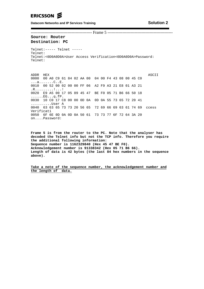**Datacom Networks and IP Services Training <b>Solution 2 Solution 2** 

--------------------------------------------- Frame 5 ------------------------------------------------

#### **Source: Router Destination: PC**

Telnet:----- Telnet ----- Telnet: Telnet:<0D0A0D0A>User Access Verification<0D0A0D0A>Password: Telnet:

ADDR HEX ASCII 0000 00 A0 C9 61 84 02 AA 00 04 00 F4 43 08 00 45 C0 ...a.......C..E. 0010 00 52 00 02 00 00 FF 06 A2 F9 A3 21 E8 01 A3 21 .R.........!...! 0020 E9 A5 00 17 05 89 45 47 BE F0 05 71 B6 66 50 18  $\ldots \ldots$ . $EG \ldots q$ .fP. 0030 10 C0 17 C8 00 00 0D 0A 0D 0A 55 73 65 72 20 41 ..........User A 0040 63 63 65 73 73 20 56 65 72 69 66 69 63 61 74 69 ccess Verificati 0050 6F 6E 0D 0A 0D 0A 50 61 73 73 77 6F 72 64 3A 20 on....Password:

**Frame 5 is from the router to the PC. Note that the analyser has decoded the Telnet info but not the TCP info. Therefore you require the additional following information: Sequence number is 1162329840 (Hex 45 47 BE F0). Acknowledgement number is 91338342 (Hex 05 71 B6 66). Length of data is 42 bytes (the last 84 hex numbers in the sequence above).**

**Take a note of the sequence number, the acknowledgement number and the length of data.**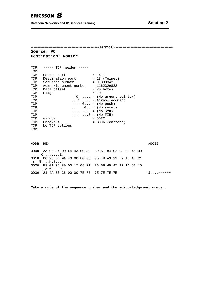**Datacom Networks and IP Services Training <b>Solution 2 Solution 2** 

-------------------------------------------------- Frame 6 ------------------------------------------- **Source: PC Destination: Router** TCP: ----- TCP header ----- TCP:<br>TCP: Source port TCP: Source port = 1417 TCP: Destination port = 23 (Telnet) TCP: Sequence number = 91338342 TCP: Acknowledgment number = 1162329882 TCP: Data offset = 20 bytes TCP: Flags  $= 10$ <br>
TCP:  $= (\text{N}$ TCP: ....... = (No urgent pointer)<br>TCP: ...1 .... = Acknowledgment TCP:  $\ldots 1 \ldots$  = Acknowledgment<br>TCP:  $\ldots \ldots 0 \ldots$  (No push) TCP:  $\ldots$  0... = (No push)<br>TCP:  $\ldots$ , 0... = (No reset TCP: .... .0.. = (No reset) TCP: .... ..0. = (No SYN)<br>TCP: .... ...0 = (No FIN)  $\cdots$  ...  $0 = (No \text{ FIN})$ <br>= 8522 TCP: Window<br>TCP: Checksum = B0C6 (correct) TCP: No TCP options TCP: ADDR HEX ASCII 0000 AA 00 04 00 F4 43 00 A0 C9 61 84 02 08 00 45 00 .....C...a....E. 0010 00 28 DD 9A 40 00 80 06 05 4B A3 21 E9 A5 A3 21 .(..@....K.!...! 0020 E8 01 05 89 00 17 05 71 B6 66 45 47 BF 1A 50 10 .......q.fEG..P. 0030 21 4A B0 C6 00 00 7E 7E 7E 7E 7E 7E 7E  $\cdot$  !J....~~~~~~

**Take a note of the sequence number and the acknowledgement number.**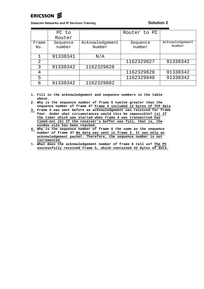# ERICSSON Z

**Datacom Networks and IP Services Training <b>Solution 2 Solution 2** 

|              | PC to              |                           | Router to PC       |                           |
|--------------|--------------------|---------------------------|--------------------|---------------------------|
|              | Router             |                           |                    |                           |
| Frame<br>No. | Sequence<br>number | Acknowledgement<br>Number | Sequence<br>number | Acknowledgement<br>Number |
|              | 91338341           | N/A                       |                    |                           |
| 2            |                    |                           | 1162329827         | 91338342                  |
| 3            | 91338342           | 1162329828                |                    |                           |
| 4            |                    |                           | 1162329828         | 91338342                  |
| 5            |                    |                           | 1162329840         | 91338342                  |
| б            | 91338342           | 1162329882                |                    |                           |

**1. Fill in the acknowledgement and sequence numbers in the table above.**

**2. Why is the sequence number of frame 5 twelve greater than the sequence number of frame 4? Frame 4 included 12 bytes of TCP data**

- **3. Frame 5 was sent before an acknowledgement was received for frame four. Under what circumstances would this be impossible? (a) If the timer which was started when frame 4 was transmitted has timed-out (b) If the receiver's buffer was full, that is, the window size has been reached.**
- **4. Why is the sequence number of frame 6 the same as the sequence number of frame 3? No data was sent in frame 3. It was only an acknowledgement packet. Therefore, the sequence number is not incremented.**
- 5. **What does the acknowledgement number of frame 6 tell us? The PC successfully received frame 5, which contained 42 bytes of data.**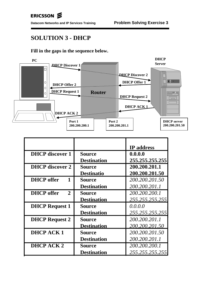# **SOLUTION 3 - DHCP**

## **Fill in the gaps in the sequence below.**



|                                     |                    | <b>IP</b> address |
|-------------------------------------|--------------------|-------------------|
| <b>DHCP</b> discover 1              | <b>Source</b>      | 0.0.0.0           |
|                                     | <b>Destination</b> | 255.255.255.255   |
| <b>DHCP</b> discover 2              | <b>Source</b>      | 200.200.201.1     |
|                                     | <b>Destinatio</b>  | 200.200.201.50    |
| <b>DHCP</b> offer<br>$\mathbf 1$    | Source             | 200.200.201.50    |
|                                     | <b>Destination</b> | 200.200.201.1     |
| <b>DHCP</b> offer<br>$\overline{2}$ | <b>Source</b>      | 200.200.200.1     |
|                                     | <b>Destination</b> | 255.255.255.255   |
| <b>DHCP Request 1</b>               | Source             | 0.0.0.0           |
|                                     | <b>Destination</b> | 255.255.255.255   |
| <b>DHCP Request 2</b>               | <b>Source</b>      | 200.200.201.1     |
|                                     | <b>Destination</b> | 200.200.201.50    |
| <b>DHCPACK1</b>                     | <b>Source</b>      | 200.200.201.50    |
|                                     | <b>Destination</b> | 200.200.201.1     |
| DHCP ACK 2                          | <b>Source</b>      | 200.200.200.1     |
|                                     | <b>Destination</b> | 255.255.255.255   |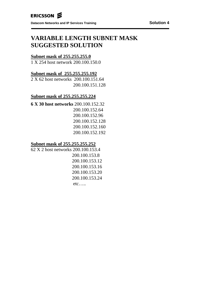# **VARIABLE LENGTH SUBNET MASK SUGGESTED SOLUTION**

## **Subnet mask of 255.255.255.0**

1 X 254 host network 200.100.150.0

## **Subnet mask of 255.255.255.192**

2 X 62 host networks 200.100.151.64 200.100.151.128

## **Subnet mask of 255.255.255.224**

**6 X 30 host networks** 200.100.152.32 200.100.152.64 200.100.152.96 200.100.152.128 200.100.152.160 200.100.152.192

## **Subnet mask of 255.255.255.252**

62 X 2 host networks 200.100.153.4 200.100.153.8 200.100.153.12 200.100.153.16 200.100.153.20 200.100.153.24 etc… ..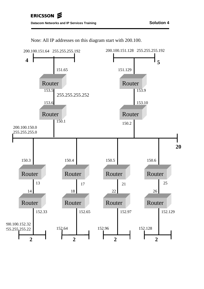

Note: All IP addresses on this diagram start with 200.100.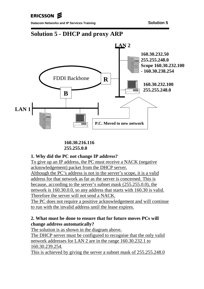ERICSSON **S** 

**Datacom Networks and IP Services Training <b>Solution 5** and Solution 5



**160.30.216.116 255.255.0.0**

## **1. Why did the PC not change IP address?**

To give up an IP address, the PC must receive a NACK (negative acknowledgement) packet from the DHCP server. Although the PC's address is not in the server's scope, it is a valid address for that network as far as the server is concerned. This is because, according to the server's subnet mask (255.255.0.0), the network is 160.30.0.0, so any address that starts with 160.30 is valid. Therefore the server will not send a NACK.

The PC does not require a positive acknowledgement and will continue to run with the invalid address until the lease expires.

## **2. What must be done to ensure that for future moves PCs will change address automatically?**

The solution is as shown in the diagram above.

The DHCP server must be configured to recognise that the only valid network addresses for LAN 2 are in the range 160.30.232.1 to 160.30.239.254.

This is achieved by giving the server a subnet mask of 255.255.248.0